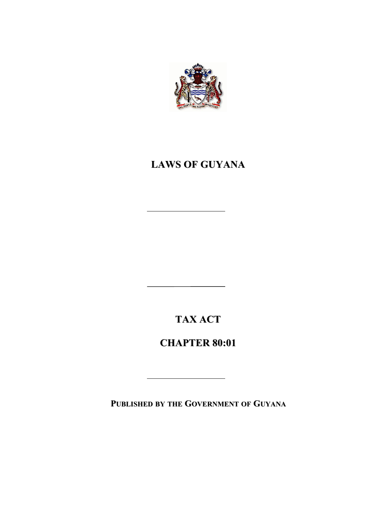

**TAX ACT**

<u> 1980 - Johann Barnett, fransk politiker (</u>

**CHAPTER 80:01**

**PUBLISHED BY THE GOVERNMENT OF GUYANA**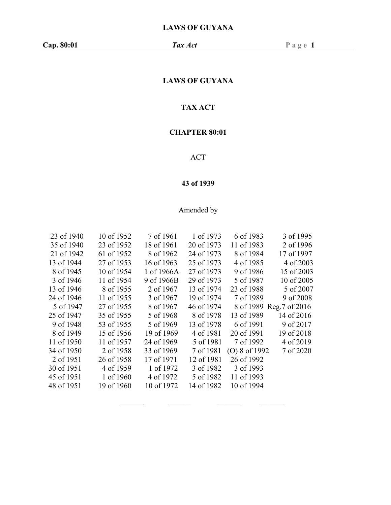# **TAX ACT**

# **CHAPTER 80:01**

# ACT

## **of 1939**

# Amended by

| 23 of 1940 | 10 of 1952 | 7 of 1961  | 1 of 1973  | 6 of 1983       | 3 of 1995               |
|------------|------------|------------|------------|-----------------|-------------------------|
| 35 of 1940 | 23 of 1952 | 18 of 1961 | 20 of 1973 | 11 of 1983      | 2 of 1996               |
| 21 of 1942 | 61 of 1952 | 8 of 1962  | 24 of 1973 | 8 of 1984       | 17 of 1997              |
| 13 of 1944 | 27 of 1953 | 16 of 1963 | 25 of 1973 | 4 of 1985       | 4 of 2003               |
| 8 of 1945  | 10 of 1954 | 1 of 1966A | 27 of 1973 | 9 of 1986       | 15 of 2003              |
| 3 of 1946  | 11 of 1954 | 9 of 1966B | 29 of 1973 | 5 of 1987       | 10 of 2005              |
| 13 of 1946 | 8 of 1955  | 2 of 1967  | 13 of 1974 | 23 of 1988      | 5 of 2007               |
| 24 of 1946 | 11 of 1955 | 3 of 1967  | 19 of 1974 | 7 of 1989       | 9 of 2008               |
| 5 of 1947  | 27 of 1955 | 8 of 1967  | 46 of 1974 |                 | 8 of 1989 Reg.7 of 2016 |
| 25 of 1947 | 35 of 1955 | 5 of 1968  | 8 of 1978  | 13 of 1989      | 14 of 2016              |
| 9 of 1948  | 53 of 1955 | 5 of 1969  | 13 of 1978 | 6 of 1991       | 9 of 2017               |
| 8 of 1949  | 15 of 1956 | 19 of 1969 | 4 of 1981  | 20 of 1991      | 19 of 2018              |
| 11 of 1950 | 11 of 1957 | 24 of 1969 | 5 of 1981  | 7 of 1992       | 4 of 2019               |
| 34 of 1950 | 2 of 1958  | 33 of 1969 | 7 of 1981  | $(O)$ 8 of 1992 | 7 of 2020               |
| 2 of 1951  | 26 of 1958 | 17 of 1971 | 12 of 1981 | 26 of 1992      |                         |
| 30 of 1951 | 4 of 1959  | 1 of 1972  | 3 of 1982  | 3 of 1993       |                         |
| 45 of 1951 | 1 of 1960  | 4 of 1972  | 5 of 1982  | 11 of 1993      |                         |
| 48 of 1951 | 19 of 1960 | 10 of 1972 | 14 of 1982 | 10 of 1994      |                         |
|            |            |            |            |                 |                         |

——— ——— ——— ———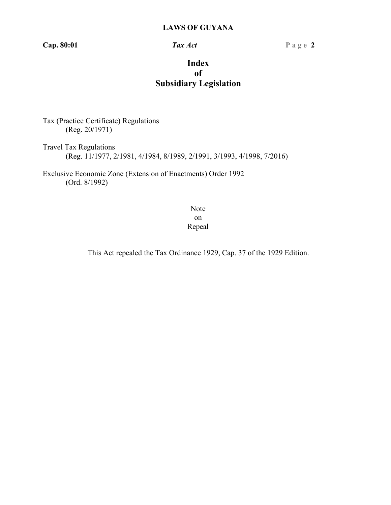**Cap. 80:01** *Tax Act* **P a g e 2**

# **Index of Subsidiary Legislation**

Tax (Practice Certificate) Regulations (Reg. 20/1971)

Travel Tax Regulations (Reg. 11/1977, 2/1981, 4/1984, 8/1989, 2/1991, 3/1993, 4/1998, 7/2016)

Exclusive Economic Zone (Extension of Enactments) Order 1992 (Ord. 8/1992)

> Note on Repeal

This Act repealed the Tax Ordinance 1929, Cap. 37 of the 1929 Edition.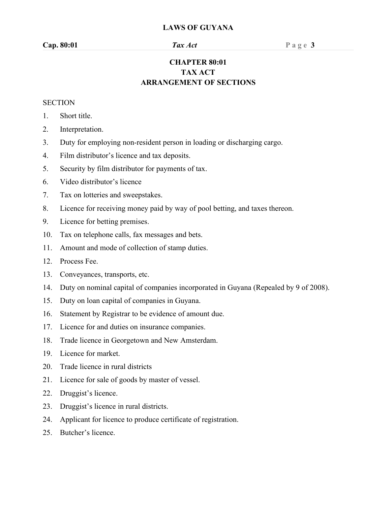# **CHAPTER 80:01 TAX ACT ARRANGEMENT OF SECTIONS**

#### **SECTION**

- 1. Short title.
- 2. Interpretation.
- 3. Duty for employing non-resident person in loading or discharging cargo.
- 4. Film distributor's licence and tax deposits.
- 5. Security by film distributor for payments of tax.
- 6. Video distributor's licence
- 7. Tax on lotteries and sweepstakes.
- 8. Licence for receiving money paid by way of pool betting, and taxes thereon.
- 9. Licence for betting premises.
- 10. Tax on telephone calls, fax messages and bets.
- 11. Amount and mode of collection of stamp duties.
- 12. Process Fee.
- 13. Conveyances, transports, etc.
- 14. Duty on nominal capital of companies incorporated in Guyana (Repealed by 9 of 2008).
- 15. Duty on loan capital of companies in Guyana.
- 16. Statement by Registrar to be evidence of amount due.
- 17. Licence for and duties on insurance companies.
- 18. Trade licence in Georgetown and New Amsterdam.
- 19. Licence for market.
- 20. Trade licence in rural districts
- 21. Licence for sale of goods by master of vessel.
- 22. Druggist's licence.
- 23. Druggist's licence in rural districts.
- 24. Applicant for licence to produce certificate of registration.
- 25. Butcher's licence.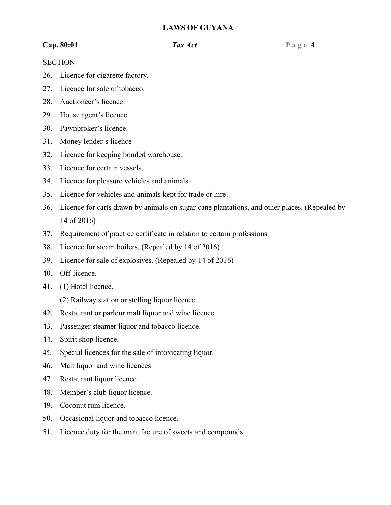#### **Cap. 80:01** *Tax Act* **P a g e 4**

#### **SECTION**

- 26. Licence for cigarette factory.
- 27. Licence for sale of tobacco.
- 28. Auctioneer's licence.
- 29. House agent's licence.
- 30. Pawnbroker's licence.
- 31. Money lender's licence
- 32. Licence for keeping bonded warehouse.33. Licence for certain vessels.
- 
- 34. Licence for pleasure vehicles and animals.
- 35. Licence for vehicles and animals kept for trade or hire.
- 36. Licence for carts drawn by animals on sugar cane plantations, and other places. (Repealed by 14 of 2016)
- 37. Requirement of practice certificate in relation to certain professions.
- 38. Licence for steam boilers. (Repealed by 14 of 2016)
- 39. Licence for sale of explosives. (Repealed by 14 of 2016)
- 40. Off-licence.
- 41. (1) Hotel licence.

(2) Railway station or stelling liquor licence.

- 42. Restaurant or parlour malt liquor and wine licence.
- 43. Passenger steamer liquor and tobacco licence.
- 44. Spirit shop licence.
- 45. Special licences for the sale of intoxicating liquor.
- 46. Malt liquor and wine licences
- 47. Restaurant liquor licence.
- 48. Member's club liquor licence.
- 49. Coconut rum licence.
- 50. Occasional liquor and tobacco licence.
- 51. Licence duty for the manufacture of sweets and compounds.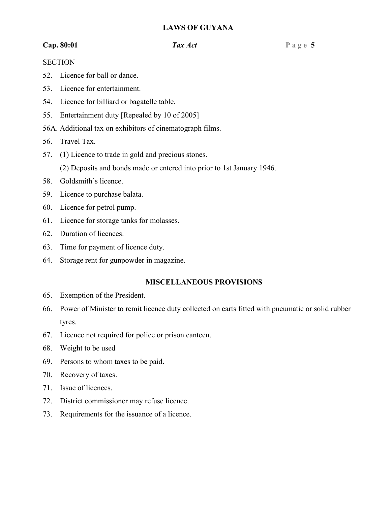#### **Cap. 80:01** *Tax Act* **P a g e 5**

#### **SECTION**

- 52. Licence for ball or dance.
- 53. Licence for entertainment.
- 54. Licence for billiard or bagatelle table.
- 55. Entertainment duty [Repealed by 10 of 2005]
- 56A. Additional tax on exhibitors of cinematograph films.
- 56. Travel Tax.
- 57. (1) Licence to trade in gold and precious stones. (2) Deposits and bonds made or entered into prior to 1st January 1946.
- 58. Goldsmith's licence.
- 59. Licence to purchase balata.
- 60. Licence for petrol pump.
- 61. Licence for storage tanks for molasses.
- 
- 62. Duration of licences.<br>63. Time for payment of licence duty.
- 64. Storage rent for gunpowder in magazine.

### **MISCELLANEOUS PROVISIONS**

- 65. Exemption of the President.
- 66. Power of Minister to remit licence duty collected on carts fitted with pneumatic or solid rubber tyres.
- 67. Licence not required for police or prison canteen.
- 68. Weight to be used
- 69. Persons to whom taxes to be paid.
- 70. Recovery of taxes.
- 71. Issue of licences.
- 72. District commissioner may refuse licence.
- 73. Requirements for the issuance of a licence.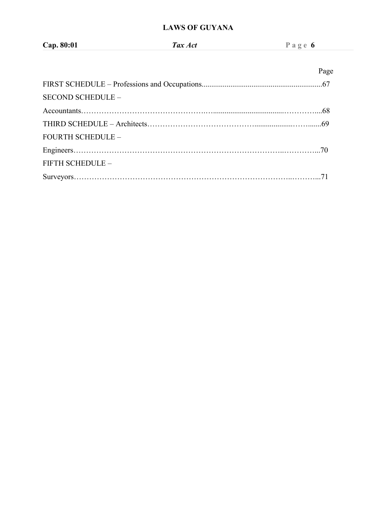| Cap. 80:01 | $\mathbf{a}$<br>A ct |  |
|------------|----------------------|--|
|            |                      |  |

|                          | Page |
|--------------------------|------|
|                          |      |
| <b>SECOND SCHEDULE -</b> |      |
|                          |      |
|                          |      |
| <b>FOURTH SCHEDULE -</b> |      |
|                          |      |
| FIFTH SCHEDULE -         |      |
|                          |      |
|                          |      |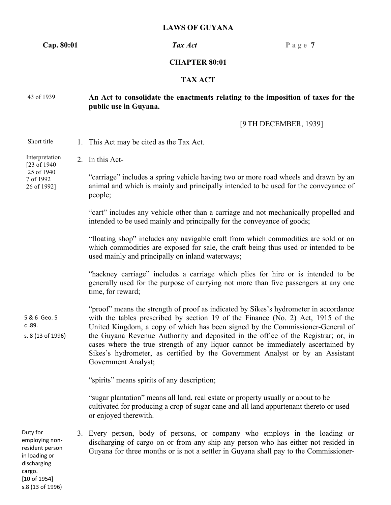**Cap. 80:01** *Tax Act* **P a g e 7**

#### **CHAPTER 80:01**

#### **TAX ACT**

#### **An Act to consolidate the enactments relating to the imposition of taxes for the** 43 of 1939 **public use in Guyana.**

#### [9TH DECEMBER, 1939]

#### Short title 1. This Act may be cited as the Tax Act.

Interpretation 2. In this Act-[23 of 1940

25 of 1940 7 of 1992 26 of 1992]

"carriage" includes a spring vehicle having two or more road wheels and drawn by an animal and which is mainly and principally intended to be used for the conveyance of people;

"cart" includes any vehicle other than a carriage and not mechanically propelled and intended to be used mainly and principally for the conveyance of goods;

"floating shop" includes any navigable craft from which commodities are sold or on which commodities are exposed for sale, the craft being thus used or intended to be used mainly and principally on inland waterways;

"hackney carriage" includes a carriage which plies for hire or is intended to be generally used for the purpose of carrying not more than five passengers at any one time, for reward;

"proof" means the strength of proof as indicated by Sikes's hydrometer in accordance with the tables prescribed by section 19 of the Finance (No. 2) Act, 1915 of the 5 & 6 Geo. 5 United Kingdom, a copy of which has been signed by the Commissioner-General of the Guyana Revenue Authority and deposited in the office of the Registrar; or, in cases where the true strength of any liquor cannot be immediately ascertained by Sikes's hydrometer, as certified by the Government Analyst or by an Assistant Government Analyst; c .89. s. 8 (13 of 1996)

"spirits" means spirits of any description;

"sugar plantation" means all land, real estate or property usually or about to be cultivated for producing a crop of sugar cane and all land appurtenant thereto or used or enjoyed therewith.

Duty for employing non resident person in loading or discharging cargo. [10 of 1954] s.8 (13 of 1996)

3. Every person, body of persons, or company who employs in the loading or discharging of cargo on or from any ship any person who has either not resided in Guyana for three months or is not a settler in Guyana shall pay to the Commissioner-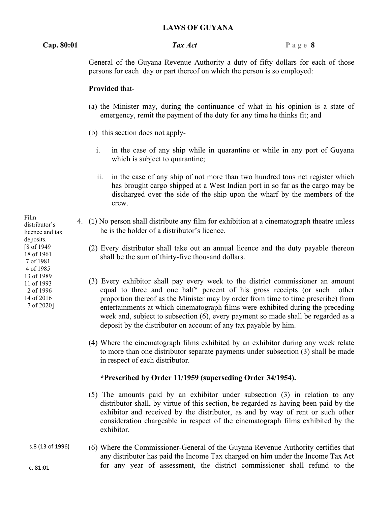| Cap. 80:01                                                                                                   | Tax Act                                                                                                                                                                                                                                                                                                                                                                                                                                                                                       | Page $8$ |
|--------------------------------------------------------------------------------------------------------------|-----------------------------------------------------------------------------------------------------------------------------------------------------------------------------------------------------------------------------------------------------------------------------------------------------------------------------------------------------------------------------------------------------------------------------------------------------------------------------------------------|----------|
|                                                                                                              | General of the Guyana Revenue Authority a duty of fifty dollars for each of those<br>persons for each day or part thereof on which the person is so employed:                                                                                                                                                                                                                                                                                                                                 |          |
|                                                                                                              | <b>Provided that-</b>                                                                                                                                                                                                                                                                                                                                                                                                                                                                         |          |
|                                                                                                              | (a) the Minister may, during the continuance of what in his opinion is a state of<br>emergency, remit the payment of the duty for any time he thinks fit; and                                                                                                                                                                                                                                                                                                                                 |          |
|                                                                                                              | (b) this section does not apply-                                                                                                                                                                                                                                                                                                                                                                                                                                                              |          |
|                                                                                                              | $\mathbf{i}$ .<br>in the case of any ship while in quarantine or while in any port of Guyana<br>which is subject to quarantine;                                                                                                                                                                                                                                                                                                                                                               |          |
|                                                                                                              | ii.<br>in the case of any ship of not more than two hundred tons net register which<br>has brought cargo shipped at a West Indian port in so far as the cargo may be<br>discharged over the side of the ship upon the wharf by the members of the<br>crew.                                                                                                                                                                                                                                    |          |
| Film<br>distributor's<br>licence and tax<br>deposits.<br>[8 of 1949]<br>18 of 1961<br>7 of 1981<br>4 of 1985 | 4. (1) No person shall distribute any film for exhibition at a cinematograph theatre unless<br>he is the holder of a distributor's licence.                                                                                                                                                                                                                                                                                                                                                   |          |
|                                                                                                              | (2) Every distributor shall take out an annual licence and the duty payable thereon<br>shall be the sum of thirty-five thousand dollars.                                                                                                                                                                                                                                                                                                                                                      |          |
| 13 of 1989<br>11 of 1993<br>2 of 1996<br>14 of 2016<br>7 of 2020]                                            | (3) Every exhibitor shall pay every week to the district commissioner an amount<br>equal to three and one half* percent of his gross receipts (or such other<br>proportion thereof as the Minister may by order from time to time prescribe) from<br>entertainments at which cinematograph films were exhibited during the preceding<br>week and, subject to subsection (6), every payment so made shall be regarded as a<br>deposit by the distributor on account of any tax payable by him. |          |
|                                                                                                              | (4) Where the cinematograph films exhibited by an exhibitor during any week relate<br>to more than one distributor separate payments under subsection (3) shall be made<br>in respect of each distributor.                                                                                                                                                                                                                                                                                    |          |
|                                                                                                              | *Prescribed by Order 11/1959 (superseding Order 34/1954).                                                                                                                                                                                                                                                                                                                                                                                                                                     |          |
|                                                                                                              | (5) The amounts paid by an exhibitor under subsection (3) in relation to any<br>distributor shall, by virtue of this section, be regarded as having been paid by the<br>exhibitor and received by the distributor, as and by way of rent or such other<br>consideration chargeable in respect of the cinematograph films exhibited by the<br>exhibitor.                                                                                                                                       |          |
|                                                                                                              |                                                                                                                                                                                                                                                                                                                                                                                                                                                                                               |          |

(6) Where the Commissioner-General of the Guyana Revenue Authority certifies that any distributor has paid the Income Tax charged on him under the Income Tax Act for any year of assessment, the district commissioner shall refund to the c. 81:01 s.8 (13 of 1996)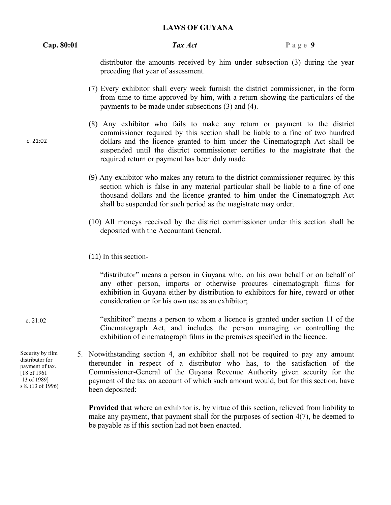| Cap. 80:01                                                                                                 | Tax Act                                                                                                                                                                                                                                                                                                                                                                        | Page 9 |
|------------------------------------------------------------------------------------------------------------|--------------------------------------------------------------------------------------------------------------------------------------------------------------------------------------------------------------------------------------------------------------------------------------------------------------------------------------------------------------------------------|--------|
|                                                                                                            | distributor the amounts received by him under subsection (3) during the year<br>preceding that year of assessment.                                                                                                                                                                                                                                                             |        |
|                                                                                                            | (7) Every exhibitor shall every week furnish the district commissioner, in the form<br>from time to time approved by him, with a return showing the particulars of the<br>payments to be made under subsections (3) and (4).                                                                                                                                                   |        |
| c. 21:02                                                                                                   | (8) Any exhibitor who fails to make any return or payment to the district<br>commissioner required by this section shall be liable to a fine of two hundred<br>dollars and the licence granted to him under the Cinematograph Act shall be<br>suspended until the district commissioner certifies to the magistrate that the<br>required return or payment has been duly made. |        |
|                                                                                                            | (9) Any exhibitor who makes any return to the district commissioner required by this<br>section which is false in any material particular shall be liable to a fine of one<br>thousand dollars and the licence granted to him under the Cinematograph Act<br>shall be suspended for such period as the magistrate may order.                                                   |        |
|                                                                                                            | (10) All moneys received by the district commissioner under this section shall be<br>deposited with the Accountant General.                                                                                                                                                                                                                                                    |        |
|                                                                                                            | $(11)$ In this section-                                                                                                                                                                                                                                                                                                                                                        |        |
|                                                                                                            | "distributor" means a person in Guyana who, on his own behalf or on behalf of<br>any other person, imports or otherwise procures cinematograph films for<br>exhibition in Guyana either by distribution to exhibitors for hire, reward or other<br>consideration or for his own use as an exhibitor;                                                                           |        |
| c. 21:02                                                                                                   | "exhibitor" means a person to whom a licence is granted under section 11 of the<br>Cinematograph Act, and includes the person managing or controlling the<br>exhibition of cinematograph films in the premises specified in the licence.                                                                                                                                       |        |
| Security by film<br>distributor for<br>payment of tax.<br>[18 of 1961]<br>13 of 1989]<br>s 8. (13 of 1996) | 5. Notwithstanding section 4, an exhibitor shall not be required to pay any amount<br>thereunder in respect of a distributor who has, to the satisfaction of the<br>Commissioner-General of the Guyana Revenue Authority given security for the<br>payment of the tax on account of which such amount would, but for this section, have<br>been deposited:                     |        |
|                                                                                                            | <b>Provided</b> that where an exhibitor is, by virtue of this section, relieved from liability to<br>make any payment, that payment shall for the purposes of section $4(7)$ , be deemed to<br>be payable as if this section had not been enacted.                                                                                                                             |        |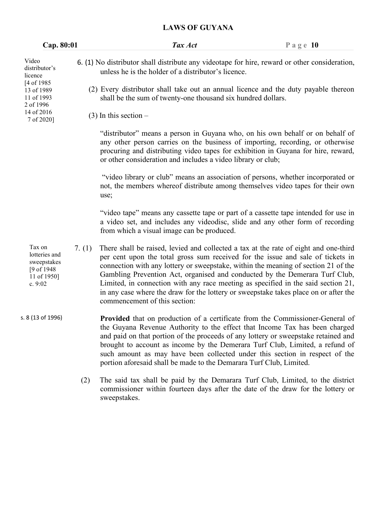| Cap. 80:01                                                                     |          | Tax Act                                                                                                                                                                                                                                                                                                                                                                                                                                                                                                                                                    | Page $10$ |
|--------------------------------------------------------------------------------|----------|------------------------------------------------------------------------------------------------------------------------------------------------------------------------------------------------------------------------------------------------------------------------------------------------------------------------------------------------------------------------------------------------------------------------------------------------------------------------------------------------------------------------------------------------------------|-----------|
| Video<br>distributor's<br>licence                                              |          | 6. (1) No distributor shall distribute any videotape for hire, reward or other consideration,<br>unless he is the holder of a distributor's licence.                                                                                                                                                                                                                                                                                                                                                                                                       |           |
| [4 of 1985]<br>13 of 1989<br>11 of 1993<br>2 of 1996                           |          | (2) Every distributor shall take out an annual licence and the duty payable thereon<br>shall be the sum of twenty-one thousand six hundred dollars.                                                                                                                                                                                                                                                                                                                                                                                                        |           |
| 14 of 2016<br>7 of 2020]                                                       |          | $(3)$ In this section –                                                                                                                                                                                                                                                                                                                                                                                                                                                                                                                                    |           |
|                                                                                |          | "distributor" means a person in Guyana who, on his own behalf or on behalf of<br>any other person carries on the business of importing, recording, or otherwise<br>procuring and distributing video tapes for exhibition in Guyana for hire, reward,<br>or other consideration and includes a video library or club;                                                                                                                                                                                                                                       |           |
|                                                                                |          | "video library or club" means an association of persons, whether incorporated or<br>not, the members whereof distribute among themselves video tapes for their own<br>use;                                                                                                                                                                                                                                                                                                                                                                                 |           |
|                                                                                |          | "video tape" means any cassette tape or part of a cassette tape intended for use in<br>a video set, and includes any videodisc, slide and any other form of recording<br>from which a visual image can be produced.                                                                                                                                                                                                                                                                                                                                        |           |
| Tax on<br>lotteries and<br>sweepstakes<br>[9 of 1948]<br>11 of 1950]<br>c.9:02 | 7. $(1)$ | There shall be raised, levied and collected a tax at the rate of eight and one-third<br>per cent upon the total gross sum received for the issue and sale of tickets in<br>connection with any lottery or sweepstake, within the meaning of section 21 of the<br>Gambling Prevention Act, organised and conducted by the Demerara Turf Club,<br>Limited, in connection with any race meeting as specified in the said section 21,<br>in any case where the draw for the lottery or sweepstake takes place on or after the<br>commencement of this section: |           |
| s. 8 (13 of 1996)                                                              |          | <b>Provided</b> that on production of a certificate from the Commissioner-General of<br>the Guyana Revenue Authority to the effect that Income Tax has been charged<br>and paid on that portion of the proceeds of any lottery or sweepstake retained and<br>brought to account as income by the Demerara Turf Club, Limited, a refund of<br>such amount as may have been collected under this section in respect of the<br>portion aforesaid shall be made to the Demarara Turf Club, Limited.                                                            |           |
|                                                                                | (2)      | The said tax shall be paid by the Demarara Turf Club, Limited, to the district<br>commissioner within fourteen days after the date of the draw for the lottery or<br>sweepstakes.                                                                                                                                                                                                                                                                                                                                                                          |           |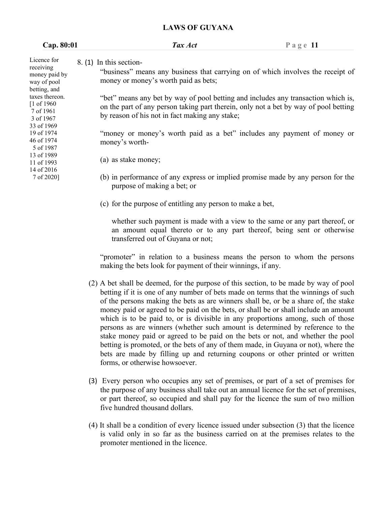| Cap. 80:01                                                               | Tax Act                                                                                                                                                                                                                     | $P$ age 11 |
|--------------------------------------------------------------------------|-----------------------------------------------------------------------------------------------------------------------------------------------------------------------------------------------------------------------------|------------|
| Licence for<br>receiving<br>money paid by<br>way of pool<br>betting, and | 8. (1) In this section-<br>"business" means any business that carrying on of which involves the receipt of<br>money or money's worth paid as bets;                                                                          |            |
| taxes thereon.<br>$[1 \text{ of } 1960]$<br>7 of 1961<br>3 of 1967       | "bet" means any bet by way of pool betting and includes any transaction which is,<br>on the part of any person taking part therein, only not a bet by way of pool betting<br>by reason of his not in fact making any stake; |            |
| 33 of 1969<br>19 of 1974<br>46 of 1974<br>5 of 1987                      | "money or money's worth paid as a bet" includes any payment of money or<br>money's worth-                                                                                                                                   |            |
| 13 of 1989<br>11 of 1993<br>14 of 2016                                   | (a) as stake money;                                                                                                                                                                                                         |            |
| 7 of 2020]                                                               | (b) in performance of any express or implied promise made by any person for the<br>purpose of making a bet; or                                                                                                              |            |
|                                                                          | (c) for the purpose of entitling any person to make a bet,                                                                                                                                                                  |            |
|                                                                          | whether such payment is made with a view to the same or any part thereof, or                                                                                                                                                |            |

an amount equal thereto or to any part thereof, being sent or otherwise transferred out of Guyana or not;

"promoter" in relation to a business means the person to whom the persons making the bets look for payment of their winnings, if any.

- $(2)$  A bet shall be deemed, for the purpose of this section, to be made by way of pool betting if it is one of any number of bets made on terms that the winnings of such of the persons making the bets as are winners shall be, or be a share of, the stake money paid or agreed to be paid on the bets, or shall be or shall include an amount which is to be paid to, or is divisible in any proportions among, such of those persons as are winners (whether such amount is determined by reference to the stake money paid or agreed to be paid on the bets or not, and whether the pool betting is promoted, or the bets of any of them made, in Guyana or not), where the bets are made by filling up and returning coupons or other printed or written forms, or otherwise howsoever.
- (3) Every person who occupies any set of premises, or part of a set of premises for the purpose of any business shall take out an annual licence for the set of premises, or part thereof, so occupied and shall pay for the licence the sum of two million five hundred thousand dollars.
- (4) It shall be a condition of every licence issued under subsection (3) that the licence is valid only in so far as the business carried on at the premises relates to the promoter mentioned in the licence.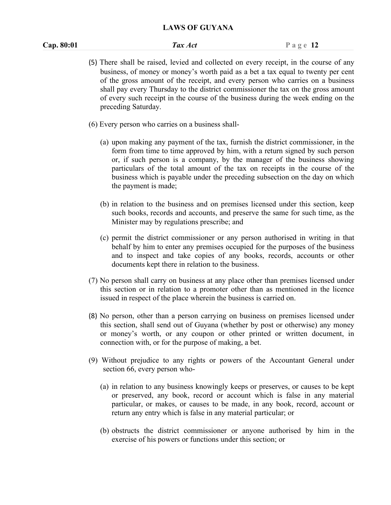- (5) There shall be raised, levied and collected on every receipt, in the course of any business, of money or money's worth paid as a bet a tax equal to twenty per cent of the gross amount of the receipt, and every person who carries on a business shall pay every Thursday to the district commissioner the tax on the gross amount of every such receipt in the course of the business during the week ending on the preceding Saturday.
- (6) Every person who carries on a business shall-
	- (a) upon making any payment of the tax, furnish the district commissioner, in the form from time to time approved by him, with a return signed by such person or, if such person is a company, by the manager of the business showing particulars of the total amount of the tax on receipts in the course of the business which is payable under the preceding subsection on the day on which the payment is made;
	- (b) in relation to the business and on premises licensed under this section, keep such books, records and accounts, and preserve the same for such time, as the Minister may by regulations prescribe; and
	- (c) permit the district commissioner or any person authorised in writing in that behalf by him to enter any premises occupied for the purposes of the business and to inspect and take copies of any books, records, accounts or other documents kept there in relation to the business.
- (7) No person shall carry on business at any place other than premises licensed under this section or in relation to a promoter other than as mentioned in the licence issued in respect of the place wherein the business is carried on.
- (8) No person, other than a person carrying on business on premises licensed under this section, shall send out of Guyana (whether by post or otherwise) any money or money's worth, or any coupon or other printed or written document,in connection with, or for the purpose of making, a bet.
- (9) Without prejudice to any rights or powers of the Accountant General under section 66, every person who-
	- (a) in relation to any business knowingly keeps or preserves, or causes to be kept or preserved, any book, record or account which is false in any material particular, or makes, or causes to be made, in any book, record, account or return any entry which is false in any material particular; or
	- (b) obstructs the district commissioner or anyone authorised by him in the exercise of his powers or functions under this section; or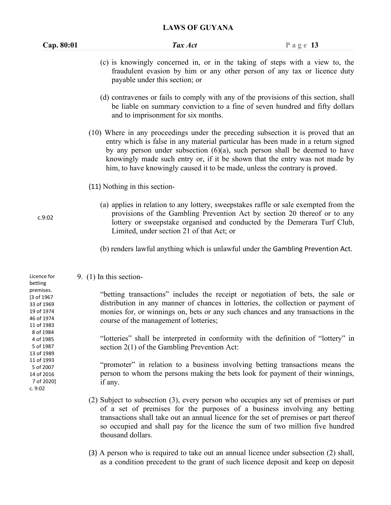| Cap. 80:01                                                                      | Tax Act                                                                                                                                                                                                                                                                                                                                                                                                              | Page $13$ |
|---------------------------------------------------------------------------------|----------------------------------------------------------------------------------------------------------------------------------------------------------------------------------------------------------------------------------------------------------------------------------------------------------------------------------------------------------------------------------------------------------------------|-----------|
|                                                                                 | (c) is knowingly concerned in, or in the taking of steps with a view to, the<br>fraudulent evasion by him or any other person of any tax or licence duty<br>payable under this section; or                                                                                                                                                                                                                           |           |
|                                                                                 | (d) contravenes or fails to comply with any of the provisions of this section, shall<br>be liable on summary conviction to a fine of seven hundred and fifty dollars<br>and to imprisonment for six months.                                                                                                                                                                                                          |           |
|                                                                                 | (10) Where in any proceedings under the preceding subsection it is proved that an<br>entry which is false in any material particular has been made in a return signed<br>by any person under subsection $(6)(a)$ , such person shall be deemed to have<br>knowingly made such entry or, if it be shown that the entry was not made by<br>him, to have knowingly caused it to be made, unless the contrary is proved. |           |
|                                                                                 | (11) Nothing in this section-                                                                                                                                                                                                                                                                                                                                                                                        |           |
| c.9:02                                                                          | (a) applies in relation to any lottery, sweepstakes raffle or sale exempted from the<br>provisions of the Gambling Prevention Act by section 20 thereof or to any<br>lottery or sweepstake organised and conducted by the Demerara Turf Club,<br>Limited, under section 21 of that Act; or                                                                                                                           |           |
|                                                                                 | (b) renders lawful anything which is unlawful under the Gambling Prevention Act.                                                                                                                                                                                                                                                                                                                                     |           |
| Licence for<br>betting                                                          | 9. $(1)$ In this section-                                                                                                                                                                                                                                                                                                                                                                                            |           |
| premises.<br>[3 of 1967<br>33 of 1969<br>19 of 1974<br>46 of 1974<br>11 of 1983 | "betting transactions" includes the receipt or negotiation of bets, the sale or<br>distribution in any manner of chances in lotteries, the collection or payment of<br>monies for, or winnings on, bets or any such chances and any transactions in the<br>course of the management of lotteries;                                                                                                                    |           |
| 8 of 1984<br>4 of 1985<br>5 of 1987<br>13 of 1989                               | "lotteries" shall be interpreted in conformity with the definition of "lottery" in<br>section $2(1)$ of the Gambling Prevention Act:                                                                                                                                                                                                                                                                                 |           |
| 11 of 1993<br>5 of 2007<br>14 of 2016<br>7 of 2020]<br>c. 9:02                  | "promoter" in relation to a business involving betting transactions means the<br>person to whom the persons making the bets look for payment of their winnings,<br>if any.                                                                                                                                                                                                                                           |           |
|                                                                                 | (2) Subject to subsection (3), every person who occupies any set of premises or part<br>of a set of premises for the purposes of a business involving any betting<br>transactions shall take out an annual licence for the set of premises or part thereof<br>so occupied and shall pay for the licence the sum of two million five hundred<br>thousand dollars.                                                     |           |

(3) A person who is required to take out an annual licence under subsection (2) shall, as a condition precedent to the grant of such licence deposit and keep on deposit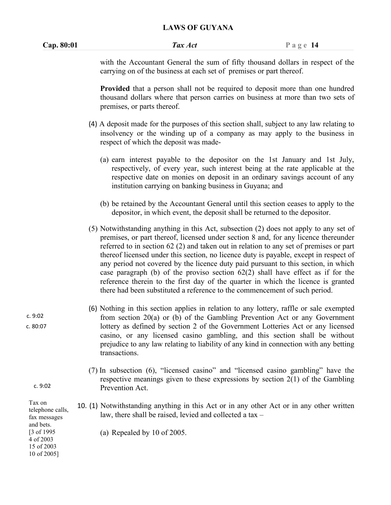#### **Cap. 80:01** *Tax Act* **P a g e 14**

with the Accountant General the sum of fifty thousand dollars in respect of the carrying on of the business at each set of premises or part thereof.

**Provided** that a person shall not be required to deposit more than one hundred thousand dollars where that person carries on business at more than two sets of premises, or parts thereof.

- (4) A deposit made for the purposes of this section shall, subject to any law relating to insolvency or the winding up of a company as may apply to the business in respect of which the deposit was made-
	- (a) earn interest payable to the depositor on the 1st January and 1st July, respectively, of every year, such interest being at the rate applicable at the respective date on monies on deposit in an ordinary savings account of any institution carrying on banking business in Guyana; and
	- (b) be retained by the Accountant General until this section ceases to apply to the depositor, in which event, the depositshall be returned to the depositor.
- (5) Notwithstanding anything in this Act, subsection (2) does not apply to any set of premises, or part thereof, licensed under section 8 and, for any licence thereunder referred to in section  $62(2)$  and taken out in relation to any set of premises or part thereof licensed under this section, no licence duty is payable, except in respect of any period not covered by the licence duty paid pursuant to this section, in which case paragraph (b) of the proviso section  $62(2)$  shall have effect as if for the reference therein to the first day of the quarter in which the licence is granted there had been substituted a reference to the commencement of such period.
- (6) Nothing in this section applies in relation to any lottery, raffle or sale exempted from section 20(a) or (b) of the Gambling Prevention Act or any Government lottery as defined by section 2 of the Government Lotteries Act or any licensed casino, or any licensed casino gambling, and this section shall be without prejudice to any law relating to liability of any kind in connection with any betting transactions.
	- (7) In subsection (6), "licensed casino" and "licensed casino gambling" have the respective meanings given to these expressions by section  $2(1)$  of the Gambling Prevention Act.
- 10. (1) Notwithstanding anything in this Act or in any other Act or in any other written Tax on law, there shall be raised, levied and collected a tax –

(a) Repealed by 10 of 2005.

telephone calls, fax messages and bets. [3 of 1995 4 of 2003 15 of 2003 10 of 2005]

c. 9:02

c. 9:02 c. 80:07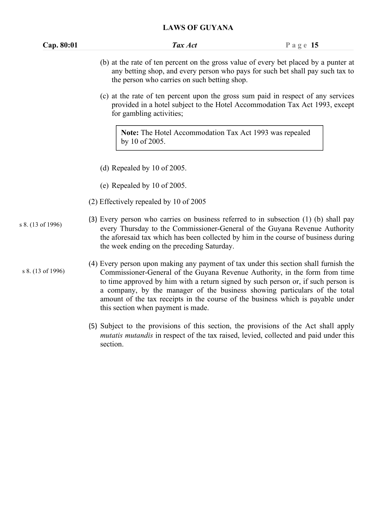| Cap. 80:01        | Tax Act                                                                                                                                                                                                                                                                                                                                                                                                                                                         | Page 15 |
|-------------------|-----------------------------------------------------------------------------------------------------------------------------------------------------------------------------------------------------------------------------------------------------------------------------------------------------------------------------------------------------------------------------------------------------------------------------------------------------------------|---------|
|                   | (b) at the rate of ten percent on the gross value of every bet placed by a punter at<br>any betting shop, and every person who pays for such bet shall pay such tax to<br>the person who carries on such betting shop.                                                                                                                                                                                                                                          |         |
|                   | (c) at the rate of ten percent upon the gross sum paid in respect of any services<br>provided in a hotel subject to the Hotel Accommodation Tax Act 1993, except<br>for gambling activities;                                                                                                                                                                                                                                                                    |         |
|                   | Note: The Hotel Accommodation Tax Act 1993 was repealed<br>by 10 of 2005.                                                                                                                                                                                                                                                                                                                                                                                       |         |
|                   | (d) Repealed by $10$ of $2005$ .                                                                                                                                                                                                                                                                                                                                                                                                                                |         |
|                   | (e) Repealed by $10$ of $2005$ .                                                                                                                                                                                                                                                                                                                                                                                                                                |         |
|                   | (2) Effectively repealed by 10 of 2005                                                                                                                                                                                                                                                                                                                                                                                                                          |         |
| s 8. (13 of 1996) | (3) Every person who carries on business referred to in subsection (1) (b) shall pay<br>every Thursday to the Commissioner-General of the Guyana Revenue Authority<br>the aforesaid tax which has been collected by him in the course of business during<br>the week ending on the preceding Saturday.                                                                                                                                                          |         |
| s 8. (13 of 1996) | (4) Every person upon making any payment of tax under this section shall furnish the<br>Commissioner-General of the Guyana Revenue Authority, in the form from time<br>to time approved by him with a return signed by such person or, if such person is<br>a company, by the manager of the business showing particulars of the total<br>amount of the tax receipts in the course of the business which is payable under<br>this section when payment is made. |         |
|                   |                                                                                                                                                                                                                                                                                                                                                                                                                                                                 |         |

(5) Subject to the provisions of this section, the provisions of the Act shall apply *mutatis mutandis* in respect of the tax raised, levied, collected and paid under this section.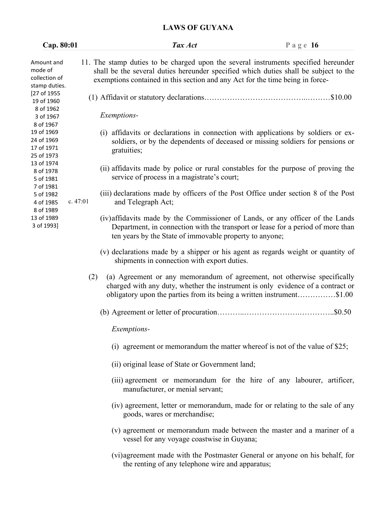| Cap. 80:01                                              |                    | Tax Act                                                                                                                                                                                                                                                      | Page $16$ |
|---------------------------------------------------------|--------------------|--------------------------------------------------------------------------------------------------------------------------------------------------------------------------------------------------------------------------------------------------------------|-----------|
| Amount and<br>mode of<br>collection of<br>stamp duties. |                    | 11. The stamp duties to be charged upon the several instruments specified hereunder<br>shall be the several duties hereunder specified which duties shall be subject to the<br>exemptions contained in this section and any Act for the time being in force- |           |
| [27 of 1955<br>19 of 1960<br>8 of 1962                  |                    |                                                                                                                                                                                                                                                              |           |
| 3 of 1967<br>8 of 1967                                  | Exemptions-        |                                                                                                                                                                                                                                                              |           |
| 19 of 1969<br>24 of 1969<br>17 of 1971<br>25 of 1973    | gratuities;        | (i) affidavits or declarations in connection with applications by soldiers or ex-<br>soldiers, or by the dependents of deceased or missing soldiers for pensions or                                                                                          |           |
| 13 of 1974<br>8 of 1978<br>5 of 1981                    |                    | (ii) affidavits made by police or rural constables for the purpose of proving the<br>service of process in a magistrate's court;                                                                                                                             |           |
| 7 of 1981<br>5 of 1982<br>4 of 1985                     | c. 47:01           | (iii) declarations made by officers of the Post Office under section 8 of the Post<br>and Telegraph Act;                                                                                                                                                     |           |
| 8 of 1989<br>13 of 1989<br>3 of 1993]                   |                    | (iv) affidavits made by the Commissioner of Lands, or any officer of the Lands<br>Department, in connection with the transport or lease for a period of more than<br>ten years by the State of immovable property to anyone;                                 |           |
|                                                         |                    | (v) declarations made by a shipper or his agent as regards weight or quantity of<br>shipments in connection with export duties.                                                                                                                              |           |
|                                                         | (2)                | (a) Agreement or any memorandum of agreement, not otherwise specifically<br>charged with any duty, whether the instrument is only evidence of a contract or<br>obligatory upon the parties from its being a written instrument\$1.00                         |           |
|                                                         |                    |                                                                                                                                                                                                                                                              |           |
|                                                         | <i>Exemptions-</i> |                                                                                                                                                                                                                                                              |           |
|                                                         |                    | (i) agreement or memorandum the matter whereof is not of the value of \$25;                                                                                                                                                                                  |           |
|                                                         |                    | (ii) original lease of State or Government land;                                                                                                                                                                                                             |           |
|                                                         |                    | (iii) agreement or memorandum for the hire of any labourer, artificer,<br>manufacturer, or menial servant;                                                                                                                                                   |           |
|                                                         |                    | (iv) agreement, letter or memorandum, made for or relating to the sale of any<br>goods, wares or merchandise;                                                                                                                                                |           |
|                                                         |                    | (v) agreement or memorandum made between the master and a mariner of a<br>vessel for any voyage coastwise in Guyana;                                                                                                                                         |           |
|                                                         |                    | (vi)agreement made with the Postmaster General or anyone on his behalf, for<br>the renting of any telephone wire and apparatus;                                                                                                                              |           |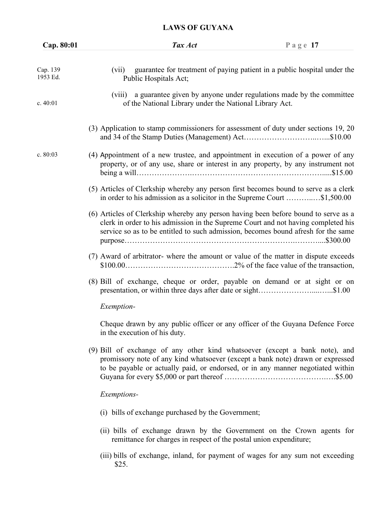| Cap. 80:01           | Tax Act                                                                                                                                                                                                                                                       | Page $17$ |
|----------------------|---------------------------------------------------------------------------------------------------------------------------------------------------------------------------------------------------------------------------------------------------------------|-----------|
| Cap. 139<br>1953 Ed. | guarantee for treatment of paying patient in a public hospital under the<br>(vii)<br>Public Hospitals Act;                                                                                                                                                    |           |
| c.40:01              | (viii) a guarantee given by anyone under regulations made by the committee<br>of the National Library under the National Library Act.                                                                                                                         |           |
|                      | (3) Application to stamp commissioners for assessment of duty under sections 19, 20                                                                                                                                                                           |           |
| c. $80:03$           | (4) Appointment of a new trustee, and appointment in execution of a power of any<br>property, or of any use, share or interest in any property, by any instrument not                                                                                         |           |
|                      | (5) Articles of Clerkship whereby any person first becomes bound to serve as a clerk<br>in order to his admission as a solicitor in the Supreme Court \$1,500.00                                                                                              |           |
|                      | (6) Articles of Clerkship whereby any person having been before bound to serve as a<br>clerk in order to his admission in the Supreme Court and not having completed his<br>service so as to be entitled to such admission, becomes bound afresh for the same |           |
|                      | (7) Award of arbitrator- where the amount or value of the matter in dispute exceeds                                                                                                                                                                           |           |
|                      | (8) Bill of exchange, cheque or order, payable on demand or at sight or on<br>presentation, or within three days after date or sight\$1.00                                                                                                                    |           |
|                      | Exemption-                                                                                                                                                                                                                                                    |           |
|                      | Cheque drawn by any public officer or any officer of the Guyana Defence Force<br>in the execution of his duty.                                                                                                                                                |           |
|                      | (9) Bill of exchange of any other kind whatsoever (except a bank note), and<br>promissory note of any kind whatsoever (except a bank note) drawn or expressed<br>to be payable or actually paid, or endorsed, or in any manner negotiated within              |           |
|                      | Exemptions-                                                                                                                                                                                                                                                   |           |
|                      | (i) bills of exchange purchased by the Government;                                                                                                                                                                                                            |           |
|                      | (ii) bills of exchange drawn by the Government on the Crown agents for<br>remittance for charges in respect of the postal union expenditure;                                                                                                                  |           |
|                      | (iii) bills of exchange, inland, for payment of wages for any sum not exceeding<br>\$25.                                                                                                                                                                      |           |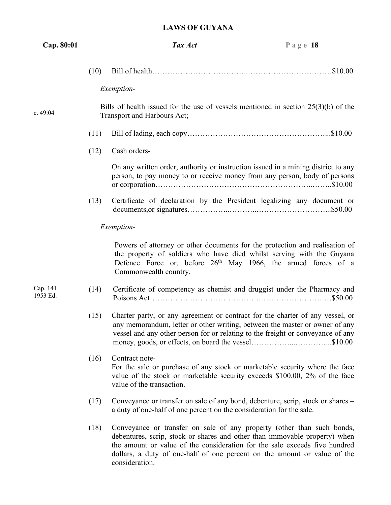| Cap. 80:01           |      | Tax Act                                                                                                                                                                                                                                                                                                                          | Page $18$ |
|----------------------|------|----------------------------------------------------------------------------------------------------------------------------------------------------------------------------------------------------------------------------------------------------------------------------------------------------------------------------------|-----------|
|                      | (10) |                                                                                                                                                                                                                                                                                                                                  |           |
|                      |      | Exemption-                                                                                                                                                                                                                                                                                                                       |           |
| c. 49:04             |      | Bills of health issued for the use of vessels mentioned in section $25(3)(b)$ of the<br>Transport and Harbours Act;                                                                                                                                                                                                              |           |
|                      | (11) |                                                                                                                                                                                                                                                                                                                                  |           |
|                      | (12) | Cash orders-                                                                                                                                                                                                                                                                                                                     |           |
|                      |      | On any written order, authority or instruction issued in a mining district to any<br>person, to pay money to or receive money from any person, body of persons                                                                                                                                                                   |           |
|                      | (13) | Certificate of declaration by the President legalizing any document or                                                                                                                                                                                                                                                           |           |
|                      |      | Exemption-                                                                                                                                                                                                                                                                                                                       |           |
|                      |      | Powers of attorney or other documents for the protection and realisation of<br>the property of soldiers who have died whilst serving with the Guyana<br>Defence Force or, before 26 <sup>th</sup> May 1966, the armed forces of a<br>Commonwealth country.                                                                       |           |
| Cap. 141<br>1953 Ed. | (14) | Certificate of competency as chemist and druggist under the Pharmacy and                                                                                                                                                                                                                                                         |           |
|                      | (15) | Charter party, or any agreement or contract for the charter of any vessel, or<br>any memorandum, letter or other writing, between the master or owner of any<br>vessel and any other person for or relating to the freight or conveyance of any<br>money, goods, or effects, on board the vessel\$10.00                          |           |
|                      | (16) | Contract note-<br>For the sale or purchase of any stock or marketable security where the face<br>value of the stock or marketable security exceeds \$100.00, 2% of the face<br>value of the transaction.                                                                                                                         |           |
|                      | (17) | Conveyance or transfer on sale of any bond, debenture, scrip, stock or shares -<br>a duty of one-half of one percent on the consideration for the sale.                                                                                                                                                                          |           |
|                      | (18) | Conveyance or transfer on sale of any property (other than such bonds,<br>debentures, scrip, stock or shares and other than immovable property) when<br>the amount or value of the consideration for the sale exceeds five hundred<br>dollars, a duty of one-half of one percent on the amount or value of the<br>consideration. |           |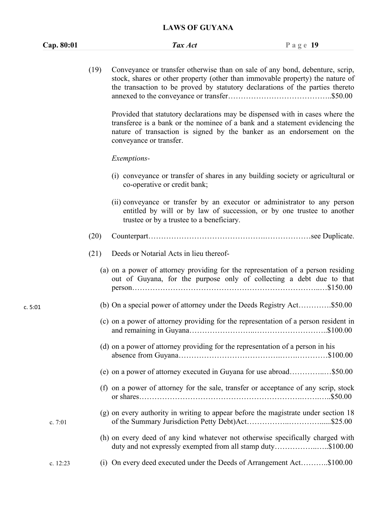|         | Cap. 80:01 | Tax Act                                                                                                                                                                                                                                                            | $P$ age 19 |
|---------|------------|--------------------------------------------------------------------------------------------------------------------------------------------------------------------------------------------------------------------------------------------------------------------|------------|
|         | (19)       | Conveyance or transfer otherwise than on sale of any bond, debenture, scrip,<br>stock, shares or other property (other than immovable property) the nature of<br>the transaction to be proved by statutory declarations of the parties thereto                     |            |
|         |            | Provided that statutory declarations may be dispensed with in cases where the<br>transferee is a bank or the nominee of a bank and a statement evidencing the<br>nature of transaction is signed by the banker as an endorsement on the<br>conveyance or transfer. |            |
|         |            | Exemptions-                                                                                                                                                                                                                                                        |            |
|         |            | (i) conveyance or transfer of shares in any building society or agricultural or<br>co-operative or credit bank;                                                                                                                                                    |            |
|         |            | (ii) conveyance or transfer by an executor or administrator to any person<br>entitled by will or by law of succession, or by one trustee to another<br>trustee or by a trustee to a beneficiary.                                                                   |            |
|         | (20)       |                                                                                                                                                                                                                                                                    |            |
|         | (21)       | Deeds or Notarial Acts in lieu thereof-                                                                                                                                                                                                                            |            |
|         |            | (a) on a power of attorney providing for the representation of a person residing<br>out of Guyana, for the purpose only of collecting a debt due to that                                                                                                           |            |
| c. 5:01 |            | (b) On a special power of attorney under the Deeds Registry Act\$50.00                                                                                                                                                                                             |            |
|         |            | (c) on a power of attorney providing for the representation of a person resident in                                                                                                                                                                                |            |
|         |            | (d) on a power of attorney providing for the representation of a person in his                                                                                                                                                                                     |            |
|         |            | (e) on a power of attorney executed in Guyana for use abroad\$50.00                                                                                                                                                                                                |            |
|         |            | (f) on a power of attorney for the sale, transfer or acceptance of any scrip, stock                                                                                                                                                                                |            |
|         | c. 7:01    | (g) on every authority in writing to appear before the magistrate under section 18                                                                                                                                                                                 |            |
|         |            | (h) on every deed of any kind whatever not otherwise specifically charged with<br>duty and not expressly exempted from all stamp duty\$100.00                                                                                                                      |            |
|         | c. 12:23   | (i) On every deed executed under the Deeds of Arrangement Act\$100.00                                                                                                                                                                                              |            |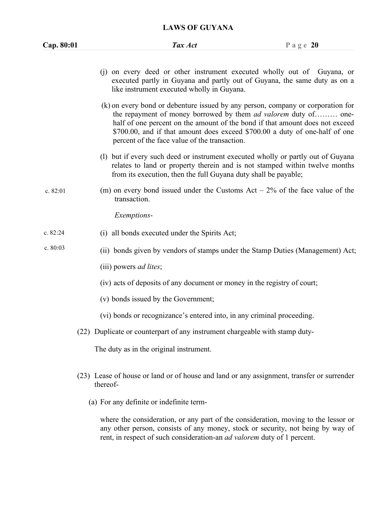| Cap. 80:01 | Tax Act                                                                                                                                                                                                                                                                                                                                                                   | Page $20$ |
|------------|---------------------------------------------------------------------------------------------------------------------------------------------------------------------------------------------------------------------------------------------------------------------------------------------------------------------------------------------------------------------------|-----------|
|            | (i) on every deed or other instrument executed wholly out of Guyana, or<br>executed partly in Guyana and partly out of Guyana, the same duty as on a<br>like instrument executed wholly in Guyana.                                                                                                                                                                        |           |
|            | (k) on every bond or debenture issued by any person, company or corporation for<br>the repayment of money borrowed by them <i>ad valorem</i> duty of one-<br>half of one percent on the amount of the bond if that amount does not exceed<br>\$700.00, and if that amount does exceed \$700.00 a duty of one-half of one<br>percent of the face value of the transaction. |           |
|            | (l) but if every such deed or instrument executed wholly or partly out of Guyana<br>relates to land or property therein and is not stamped within twelve months<br>from its execution, then the full Guyana duty shall be payable;                                                                                                                                        |           |
| c. 82:01   | (m) on every bond issued under the Customs Act $-2\%$ of the face value of the<br>transaction.                                                                                                                                                                                                                                                                            |           |
|            | Exemptions-                                                                                                                                                                                                                                                                                                                                                               |           |
| c. 82:24   | (i) all bonds executed under the Spirits Act;                                                                                                                                                                                                                                                                                                                             |           |
| c. $80:03$ | (ii) bonds given by vendors of stamps under the Stamp Duties (Management) Act;                                                                                                                                                                                                                                                                                            |           |
|            | (iii) powers <i>ad lites</i> ;                                                                                                                                                                                                                                                                                                                                            |           |
|            | (iv) acts of deposits of any document or money in the registry of court;                                                                                                                                                                                                                                                                                                  |           |
|            | (v) bonds issued by the Government;                                                                                                                                                                                                                                                                                                                                       |           |
|            | (vi) bonds or recognizance's entered into, in any criminal proceeding.                                                                                                                                                                                                                                                                                                    |           |
|            | (22) Duplicate or counterpart of any instrument chargeable with stamp duty-                                                                                                                                                                                                                                                                                               |           |
|            | The duty as in the original instrument.                                                                                                                                                                                                                                                                                                                                   |           |
|            | (23) Lease of house or land or of house and land or any assignment, transfer or surrender<br>thereof-                                                                                                                                                                                                                                                                     |           |
|            | (a) For any definite or indefinite term-                                                                                                                                                                                                                                                                                                                                  |           |
|            | where the consideration, or any part of the consideration, moving to the lessor or<br>any other person, consists of any money, stock or security, not being by way of<br>rent, in respect of such consideration-an ad valorem duty of 1 percent.                                                                                                                          |           |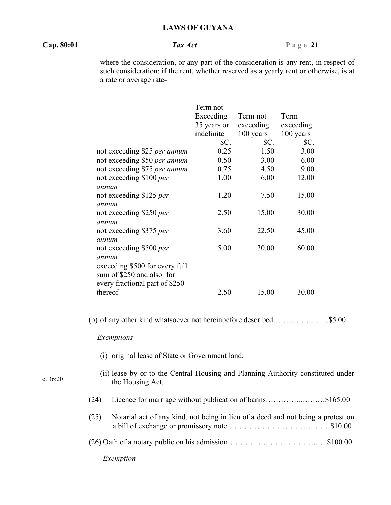**Cap. 80:01** *Tax Act* **P a g e 21**

where the consideration, or any part of the consideration is any rent, in respect of such consideration: if the rent, whether reserved as a yearly rent or otherwise, is at

| a rate or average rate-             |             |             |                  |
|-------------------------------------|-------------|-------------|------------------|
|                                     | Term not    |             |                  |
|                                     | Exceeding   | Term not    | Term             |
|                                     | 35 years or | exceeding   | exceeding        |
|                                     | indefinite  | 100 years   | 100 years        |
|                                     | <b>\$C.</b> | <b>\$C.</b> | $\mathcal{S}C$ . |
| not exceeding \$25 <i>per annum</i> | 0.25        | 1.50        | 3.00             |
| not exceeding \$50 per annum        | 0.50        | 3.00        | 6.00             |
| not exceeding \$75 per annum        | 0.75        | 4.50        | 9.00             |
| not exceeding \$100 per             | 1.00        | 6.00        | 12.00            |
| annum                               |             |             |                  |
| not exceeding \$125 <i>per</i>      | 1.20        | 7.50        | 15.00            |
| annum                               |             |             |                  |
| not exceeding \$250 per             | 2.50        | 15.00       | 30.00            |
| annum                               |             |             |                  |
| not exceeding \$375 per             | 3.60        | 22.50       | 45.00            |
| annum                               |             |             |                  |
| not exceeding \$500 per             | 5.00        | 30.00       | 60.00            |
| annum                               |             |             |                  |
| exceeding \$500 for every full      |             |             |                  |
| sum of \$250 and also for           |             |             |                  |
| every fractional part of \$250      |             |             |                  |
| thereof                             | 2.50        | 15.00       | 30.00            |

(b) of any other kind whatsoever not hereinbefore described…………….........\$5.00

*Exemptions-*

c. 36:20

- (i) original lease of State or Government land;
- (ii) lease by or to the Central Housing and Planning Authority constituted under the Housing Act.
- (24) Licence for marriage without publication of banns…………..…….…\$165.00
- (25) Notarial act of any kind, not being in lieu of a deed and not being a protest on a bill of exchange or promissory note …………………………….……\$10.00
- (26) Oath of a notary public on his admission…………….………………..….\$100.00
	- *Exemption-*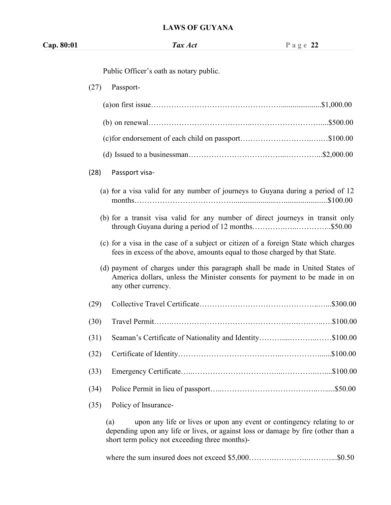| Cap. 80:01 |      | Tax Act                                                                                                                                                                            | Page $22$ |
|------------|------|------------------------------------------------------------------------------------------------------------------------------------------------------------------------------------|-----------|
|            |      | Public Officer's oath as notary public.                                                                                                                                            |           |
|            | (27) | Passport-                                                                                                                                                                          |           |
|            |      |                                                                                                                                                                                    |           |
|            |      |                                                                                                                                                                                    |           |
|            |      | (c) for endorsement of each child on passport\$100.00                                                                                                                              |           |
|            |      |                                                                                                                                                                                    |           |
|            | (28) | Passport visa-                                                                                                                                                                     |           |
|            |      | (a) for a visa valid for any number of journeys to Guyana during a period of 12                                                                                                    |           |
|            |      | (b) for a transit visa valid for any number of direct journeys in transit only<br>through Guyana during a period of 12 months\$50.00                                               |           |
|            |      | (c) for a visa in the case of a subject or citizen of a foreign State which charges<br>fees in excess of the above, amounts equal to those charged by that State.                  |           |
|            |      | (d) payment of charges under this paragraph shall be made in United States of<br>America dollars, unless the Minister consents for payment to be made in on<br>any other currency. |           |
|            | (29) |                                                                                                                                                                                    |           |
|            | (30) |                                                                                                                                                                                    |           |
|            | (31) | Seaman's Certificate of Nationality and Identity\$100.00                                                                                                                           |           |
|            | (32) |                                                                                                                                                                                    |           |
|            | (33) |                                                                                                                                                                                    |           |
|            | (34) |                                                                                                                                                                                    |           |
|            |      | Policy of Insurance-                                                                                                                                                               |           |

where the sum insured does not exceed \$5,000…………………………………………\$0.50

short term policy not exceeding three months)-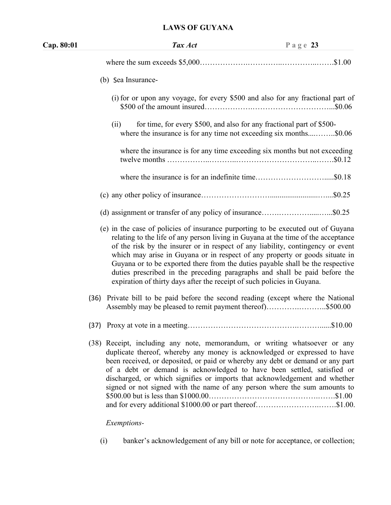| Cap. 80:01 | Tax Act                                                                                                                                                                                                                                                                                                                                                                                                                                                                                                                                     | Page 23                                                                                                                                                                                                                                                                                                                                                                                                             |
|------------|---------------------------------------------------------------------------------------------------------------------------------------------------------------------------------------------------------------------------------------------------------------------------------------------------------------------------------------------------------------------------------------------------------------------------------------------------------------------------------------------------------------------------------------------|---------------------------------------------------------------------------------------------------------------------------------------------------------------------------------------------------------------------------------------------------------------------------------------------------------------------------------------------------------------------------------------------------------------------|
|            |                                                                                                                                                                                                                                                                                                                                                                                                                                                                                                                                             |                                                                                                                                                                                                                                                                                                                                                                                                                     |
|            | (b) Sea Insurance-                                                                                                                                                                                                                                                                                                                                                                                                                                                                                                                          |                                                                                                                                                                                                                                                                                                                                                                                                                     |
|            |                                                                                                                                                                                                                                                                                                                                                                                                                                                                                                                                             | (i) for or upon any voyage, for every \$500 and also for any fractional part of                                                                                                                                                                                                                                                                                                                                     |
|            | (ii)                                                                                                                                                                                                                                                                                                                                                                                                                                                                                                                                        | for time, for every \$500, and also for any fractional part of \$500-<br>where the insurance is for any time not exceeding six months\$0.06                                                                                                                                                                                                                                                                         |
|            |                                                                                                                                                                                                                                                                                                                                                                                                                                                                                                                                             | where the insurance is for any time exceeding six months but not exceeding                                                                                                                                                                                                                                                                                                                                          |
|            |                                                                                                                                                                                                                                                                                                                                                                                                                                                                                                                                             |                                                                                                                                                                                                                                                                                                                                                                                                                     |
|            |                                                                                                                                                                                                                                                                                                                                                                                                                                                                                                                                             |                                                                                                                                                                                                                                                                                                                                                                                                                     |
|            |                                                                                                                                                                                                                                                                                                                                                                                                                                                                                                                                             |                                                                                                                                                                                                                                                                                                                                                                                                                     |
|            | (e) in the case of policies of insurance purporting to be executed out of Guyana<br>expiration of thirty days after the receipt of such policies in Guyana.                                                                                                                                                                                                                                                                                                                                                                                 | relating to the life of any person living in Guyana at the time of the acceptance<br>of the risk by the insurer or in respect of any liability, contingency or event<br>which may arise in Guyana or in respect of any property or goods situate in<br>Guyana or to be exported there from the duties payable shall be the respective<br>duties prescribed in the preceding paragraphs and shall be paid before the |
|            | (36) Private bill to be paid before the second reading (except where the National<br>Assembly may be pleased to remit payment thereof)\$500.00                                                                                                                                                                                                                                                                                                                                                                                              |                                                                                                                                                                                                                                                                                                                                                                                                                     |
|            |                                                                                                                                                                                                                                                                                                                                                                                                                                                                                                                                             |                                                                                                                                                                                                                                                                                                                                                                                                                     |
|            | (38) Receipt, including any note, memorandum, or writing whatsoever or any<br>duplicate thereof, whereby any money is acknowledged or expressed to have<br>been received, or deposited, or paid or whereby any debt or demand or any part<br>of a debt or demand is acknowledged to have been settled, satisfied or<br>discharged, or which signifies or imports that acknowledgement and whether<br>signed or not signed with the name of any person where the sum amounts to<br>and for every additional \$1000.00 or part thereof\$1.00. |                                                                                                                                                                                                                                                                                                                                                                                                                     |
|            | Exemptions-                                                                                                                                                                                                                                                                                                                                                                                                                                                                                                                                 |                                                                                                                                                                                                                                                                                                                                                                                                                     |
|            | (i)                                                                                                                                                                                                                                                                                                                                                                                                                                                                                                                                         | banker's acknowledgement of any bill or note for acceptance, or collection;                                                                                                                                                                                                                                                                                                                                         |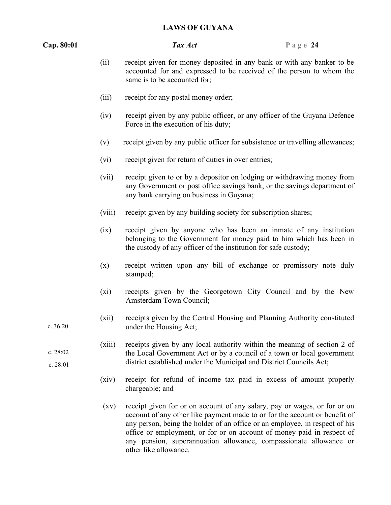| Cap. 80:01           |                    | Tax Act                                                                                                                                                                                                                                                                                                                                                                                                        | Page $24$ |
|----------------------|--------------------|----------------------------------------------------------------------------------------------------------------------------------------------------------------------------------------------------------------------------------------------------------------------------------------------------------------------------------------------------------------------------------------------------------------|-----------|
|                      | (ii)               | receipt given for money deposited in any bank or with any banker to be<br>accounted for and expressed to be received of the person to whom the<br>same is to be accounted for;                                                                                                                                                                                                                                 |           |
|                      | (iii)              | receipt for any postal money order;                                                                                                                                                                                                                                                                                                                                                                            |           |
|                      | (iv)               | receipt given by any public officer, or any officer of the Guyana Defence<br>Force in the execution of his duty;                                                                                                                                                                                                                                                                                               |           |
|                      | (v)                | receipt given by any public officer for subsistence or travelling allowances;                                                                                                                                                                                                                                                                                                                                  |           |
|                      | (vi)               | receipt given for return of duties in over entries;                                                                                                                                                                                                                                                                                                                                                            |           |
|                      | (vii)              | receipt given to or by a depositor on lodging or withdrawing money from<br>any Government or post office savings bank, or the savings department of<br>any bank carrying on business in Guyana;                                                                                                                                                                                                                |           |
|                      | (viii)             | receipt given by any building society for subscription shares;                                                                                                                                                                                                                                                                                                                                                 |           |
|                      | (ix)               | receipt given by anyone who has been an inmate of any institution<br>belonging to the Government for money paid to him which has been in<br>the custody of any officer of the institution for safe custody;                                                                                                                                                                                                    |           |
|                      | (x)                | receipt written upon any bill of exchange or promissory note duly<br>stamped;                                                                                                                                                                                                                                                                                                                                  |           |
|                      | $(x_i)$            | receipts given by the Georgetown City Council and by the New<br>Amsterdam Town Council;                                                                                                                                                                                                                                                                                                                        |           |
| c. 36:20             | (xii)              | receipts given by the Central Housing and Planning Authority constituted<br>under the Housing Act;                                                                                                                                                                                                                                                                                                             |           |
| c. 28:02<br>c. 28:01 | (xiii)             | receipts given by any local authority within the meaning of section 2 of<br>the Local Government Act or by a council of a town or local government<br>district established under the Municipal and District Councils Act;                                                                                                                                                                                      |           |
|                      | (xiv)              | receipt for refund of income tax paid in excess of amount properly<br>chargeable; and                                                                                                                                                                                                                                                                                                                          |           |
|                      | $\left( xy\right)$ | receipt given for or on account of any salary, pay or wages, or for or on<br>account of any other like payment made to or for the account or benefit of<br>any person, being the holder of an office or an employee, in respect of his<br>office or employment, or for or on account of money paid in respect of<br>any pension, superannuation allowance, compassionate allowance or<br>other like allowance. |           |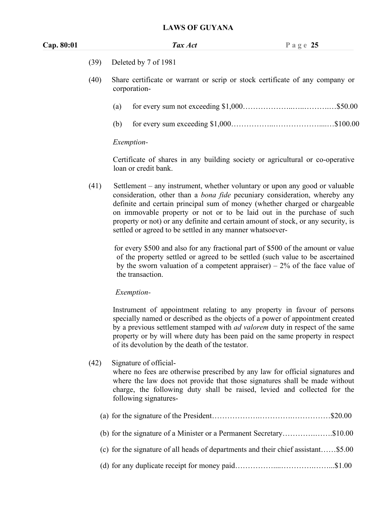| Cap. 80:01 |      | Tax Act                                                                                      | Page $25$ |
|------------|------|----------------------------------------------------------------------------------------------|-----------|
|            | (39) | Deleted by 7 of 1981                                                                         |           |
|            | (40) | Share certificate or warrant or scrip or stock certificate of any company or<br>corporation- |           |

- (a) for every sum not exceeding \$1,000………………..…..……….…\$50.00
- (b) for every sum exceeding \$1,000……………..………………....…\$100.00

#### *Exemption-*

Certificate of shares in any building society or agricultural or co-operative loan or credit bank.

(41) Settlement – any instrument, whether voluntary or upon any good or valuable consideration, other than a *bona fide* pecuniary consideration, whereby any definite and certain principal sum of money (whether charged or chargeable on immovable property or not or to be laid out in the purchase of such property or not) or any definite and certain amount of stock, or any security, is settled or agreed to be settled in any manner whatsoever-

for every \$500 and also for any fractional part of \$500 of the amount or value of the property settled or agreed to be settled (such value to be ascertained by the sworn valuation of a competent appraiser)  $-2\%$  of the face value of the transaction.

*Exemption-*

Instrument of appointment relating to any property in favour of persons specially named or described as the objects of a power of appointment created by a previous settlement stamped with *ad valorem* duty in respect ofthe same property or by will where duty has been paid on the same property in respect of its devolution by the death of the testator.

(42) Signature of official-

where no fees are otherwise prescribed by any law for official signatures and where the law does not provide that those signatures shall be made without charge, the following duty shall be raised, levied and collected for the following signatures-

| (b) for the signature of a Minister or a Permanent Secretary\$10.00               |  |
|-----------------------------------------------------------------------------------|--|
| (c) for the signature of all heads of departments and their chief assistant\$5.00 |  |
|                                                                                   |  |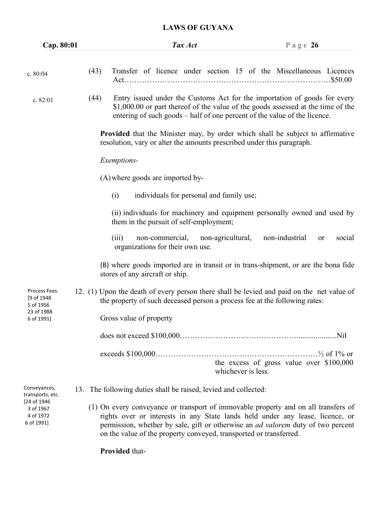| Cap. 80:01                                          |      | Tax Act                                                                                                                                                                                                                                                                                                                              | Page $26$                                                      |        |
|-----------------------------------------------------|------|--------------------------------------------------------------------------------------------------------------------------------------------------------------------------------------------------------------------------------------------------------------------------------------------------------------------------------------|----------------------------------------------------------------|--------|
| c. 80:04                                            | (43) | Transfer of licence under section 15 of the Miscellaneous Licences                                                                                                                                                                                                                                                                   |                                                                |        |
| c. 82:01                                            | (44) | Entry issued under the Customs Act for the importation of goods for every<br>\$1,000.00 or part thereof of the value of the goods assessed at the time of the<br>entering of such goods – half of one percent of the value of the licence.                                                                                           |                                                                |        |
|                                                     |      | <b>Provided</b> that the Minister may, by order which shall be subject to affirmative<br>resolution, vary or alter the amounts prescribed under this paragraph.                                                                                                                                                                      |                                                                |        |
|                                                     |      | Exemptions-                                                                                                                                                                                                                                                                                                                          |                                                                |        |
|                                                     |      | (A) where goods are imported by-                                                                                                                                                                                                                                                                                                     |                                                                |        |
|                                                     |      | individuals for personal and family use;<br>(i)                                                                                                                                                                                                                                                                                      |                                                                |        |
|                                                     |      | (ii) individuals for machinery and equipment personally owned and used by<br>them in the pursuit of self-employment;                                                                                                                                                                                                                 |                                                                |        |
|                                                     |      | (iii)<br>non-commercial,<br>non-agricultural,<br>organizations for their own use.                                                                                                                                                                                                                                                    | non-industrial<br><b>or</b>                                    | social |
|                                                     |      | (B) where goods imported are in transit or in trans-shipment, or are the bona fide<br>stores of any aircraft or ship.                                                                                                                                                                                                                |                                                                |        |
| Process Fees.<br>[9 of 1948<br>5 of 1956            |      | 12. (1) Upon the death of every person there shall be levied and paid on the net value of<br>the property of such deceased person a process fee at the following rates:                                                                                                                                                              |                                                                |        |
| 23 of 1988<br>6 of 1991]                            |      | Gross value of property                                                                                                                                                                                                                                                                                                              |                                                                |        |
|                                                     |      |                                                                                                                                                                                                                                                                                                                                      |                                                                |        |
|                                                     |      |                                                                                                                                                                                                                                                                                                                                      | the excess of gross value over \$100,000<br>whichever is less. |        |
| Conveyances,<br>transports, etc.                    |      | 13. The following duties shall be raised, levied and collected:                                                                                                                                                                                                                                                                      |                                                                |        |
| [24 of 1946<br>3 of 1967<br>4 of 1972<br>6 of 1991] |      | (1) On every conveyance or transport of immovable property and on all transfers of<br>rights over or interests in any State lands held under any lease, licence, or<br>permission, whether by sale, gift or otherwise an <i>ad valorem</i> duty of two percent<br>on the value of the property conveyed, transported or transferred. |                                                                |        |

**Provided** that-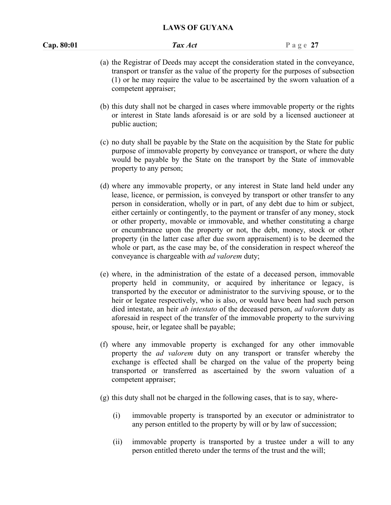# **Cap. 80:01** *Tax Act* **P a g e 27** (a) the Registrar of Deeds may accept the consideration stated in the conveyance,

- transport or transfer as the value of the property for the purposes of subsection (1) or he may require the value to be ascertained by the sworn valuation of a competent appraiser;
- (b) this duty shall not be charged in cases where immovable property or the rights or interest in State lands aforesaid is or are sold by a licensed auctioneer at public auction;
- (c) no duty shall be payable by the State on the acquisition by the State for public purpose of immovable property by conveyance or transport, or where the duty would be payable by the State on the transport by the State of immovable property to any person;
- (d) where any immovable property, or any interest in State land held under any lease, licence, or permission, is conveyed by transport or other transfer to any person in consideration, wholly or in part, of any debt due to him or subject, either certainly or contingently, to the payment or transfer of any money, stock or other property, movable or immovable, and whether constituting a charge or encumbrance upon the property or not, the debt, money, stock or other property (in the latter case after due sworn appraisement) is to be deemed the whole or part, as the case may be, of the consideration in respect whereof the conveyance is chargeable with *ad valorem* duty;
- (e) where, in the administration of the estate of a deceased person, immovable property held in community, or acquired by inheritance or legacy, is transported by the executor or administrator to the surviving spouse, or to the heir or legatee respectively, who is also, or would have been had such person died intestate, an heir *ab intestato* of the deceased person, *ad valorem* duty as aforesaid in respect of the transfer of the immovable property to the surviving spouse, heir, or legatee shall be payable;
- (f) where any immovable property is exchanged for any other immovable property the *ad valorem* duty on any transport or transfer whereby the exchange is effected shall be charged on the value of the property being transported or transferred as ascertained by the sworn valuation of a competent appraiser;
- (g) this duty shall not be charged in the following cases, that is to say, where-
	- (i) immovable property is transported by an executor or administrator to any person entitled to the property by will or by law of succession;
	- (ii) immovable property is transported by a trustee under a will to any person entitled thereto under the terms of the trust and the will;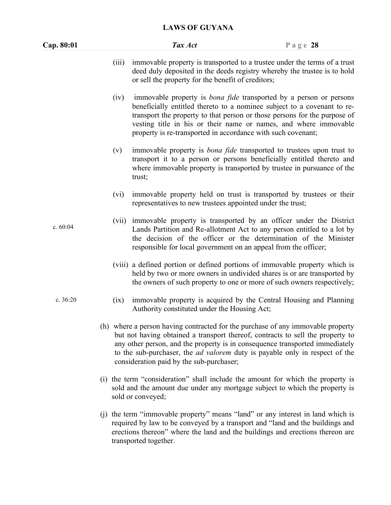| Cap. 80:01 |       | Tax Act                                                                                                                                                                                                                                                                                                                                                                             | Page $28$ |
|------------|-------|-------------------------------------------------------------------------------------------------------------------------------------------------------------------------------------------------------------------------------------------------------------------------------------------------------------------------------------------------------------------------------------|-----------|
|            | (iii) | immovable property is transported to a trustee under the terms of a trust<br>deed duly deposited in the deeds registry whereby the trustee is to hold<br>or sell the property for the benefit of creditors;                                                                                                                                                                         |           |
|            | (iv)  | immovable property is <i>bona fide</i> transported by a person or persons<br>beneficially entitled thereto to a nominee subject to a covenant to re-<br>transport the property to that person or those persons for the purpose of<br>vesting title in his or their name or names, and where immovable<br>property is re-transported in accordance with such covenant;               |           |
|            | (v)   | immovable property is bona fide transported to trustees upon trust to<br>transport it to a person or persons beneficially entitled thereto and<br>where immovable property is transported by trustee in pursuance of the<br>trust;                                                                                                                                                  |           |
|            | (vi)  | immovable property held on trust is transported by trustees or their<br>representatives to new trustees appointed under the trust;                                                                                                                                                                                                                                                  |           |
| c. $60:04$ |       | (vii) immovable property is transported by an officer under the District<br>Lands Partition and Re-allotment Act to any person entitled to a lot by<br>the decision of the officer or the determination of the Minister<br>responsible for local government on an appeal from the officer;                                                                                          |           |
|            |       | (viii) a defined portion or defined portions of immovable property which is<br>held by two or more owners in undivided shares is or are transported by<br>the owners of such property to one or more of such owners respectively;                                                                                                                                                   |           |
| c. 36:20   | (ix)  | immovable property is acquired by the Central Housing and Planning<br>Authority constituted under the Housing Act;                                                                                                                                                                                                                                                                  |           |
|            |       | (h) where a person having contracted for the purchase of any immovable property<br>but not having obtained a transport thereof, contracts to sell the property to<br>any other person, and the property is in consequence transported immediately<br>to the sub-purchaser, the <i>ad valorem</i> duty is payable only in respect of the<br>consideration paid by the sub-purchaser; |           |
|            |       | (i) the term "consideration" shall include the amount for which the property is<br>sold and the amount due under any mortgage subject to which the property is<br>sold or conveyed;                                                                                                                                                                                                 |           |
|            |       | (j) the term "immovable property" means "land" or any interest in land which is<br>required by law to be conveyed by a transport and "land and the buildings and                                                                                                                                                                                                                    |           |

required by law to be conveyed by a transport and "land and the buildings and erections thereon" where the land and the buildings and erections thereon are transported together.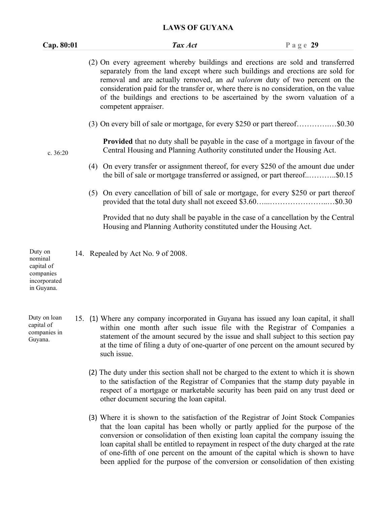| Cap. 80:01                                                                  |  | Tax Act                                                                                                                                                                                                                                                                                                                                                                                                                                                  | Page $29$ |
|-----------------------------------------------------------------------------|--|----------------------------------------------------------------------------------------------------------------------------------------------------------------------------------------------------------------------------------------------------------------------------------------------------------------------------------------------------------------------------------------------------------------------------------------------------------|-----------|
|                                                                             |  | (2) On every agreement whereby buildings and erections are sold and transferred<br>separately from the land except where such buildings and erections are sold for<br>removal and are actually removed, an <i>ad valorem</i> duty of two percent on the<br>consideration paid for the transfer or, where there is no consideration, on the value<br>of the buildings and erections to be ascertained by the sworn valuation of a<br>competent appraiser. |           |
|                                                                             |  | (3) On every bill of sale or mortgage, for every \$250 or part thereof\$0.30                                                                                                                                                                                                                                                                                                                                                                             |           |
| c. 36:20                                                                    |  | <b>Provided</b> that no duty shall be payable in the case of a mortgage in favour of the<br>Central Housing and Planning Authority constituted under the Housing Act.                                                                                                                                                                                                                                                                                    |           |
|                                                                             |  | (4) On every transfer or assignment thereof, for every \$250 of the amount due under<br>the bill of sale or mortgage transferred or assigned, or part thereof\$0.15                                                                                                                                                                                                                                                                                      |           |
|                                                                             |  | (5) On every cancellation of bill of sale or mortgage, for every \$250 or part thereof                                                                                                                                                                                                                                                                                                                                                                   |           |
|                                                                             |  | Provided that no duty shall be payable in the case of a cancellation by the Central<br>Housing and Planning Authority constituted under the Housing Act.                                                                                                                                                                                                                                                                                                 |           |
| Duty on<br>nominal<br>capital of<br>companies<br>incorporated<br>in Guyana. |  | 14. Repealed by Act No. 9 of 2008.                                                                                                                                                                                                                                                                                                                                                                                                                       |           |
| Duty on loan<br>capital of<br>companies in<br>Guyana.                       |  | 15. (1) Where any company incorporated in Guyana has issued any loan capital, it shall<br>within one month after such issue file with the Registrar of Companies a<br>statement of the amount secured by the issue and shall subject to this section pay<br>at the time of filing a duty of one-quarter of one percent on the amount secured by<br>such issue.                                                                                           |           |

- (2) The duty under this section shall not be charged to the extent to which it is shown to the satisfaction of the Registrar of Companies that the stamp duty payable in respect of a mortgage or marketable security has been paid on any trust deed or other document securing the loan capital.
- (3) Where it is shown to the satisfaction of the Registrar of Joint Stock Companies that the loan capital has been wholly or partly applied for the purpose of the conversion or consolidation of then existing loan capital the company issuing the loan capital shall be entitled to repayment in respect of the duty charged at the rate of one-fifth of one percent on the amount of the capital which is shown to have been applied for the purpose of the conversion or consolidation of then existing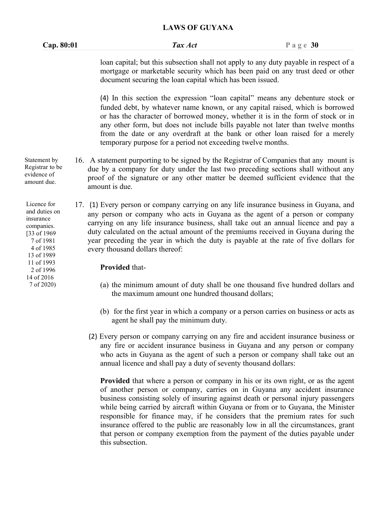| Cap. 80:01 | Tax Act                                                                               | Page $30$ |  |
|------------|---------------------------------------------------------------------------------------|-----------|--|
|            | loan capital; but this subsection shall not apply to any duty payable in respect of a |           |  |
|            | mortgage or marketable security which has been paid on any trust deed or other        |           |  |
|            | document securing the loan capital which has been issued.                             |           |  |

(4) In this section the expression "loan capital" means any debenture stock or funded debt, by whatever name known, or any capital raised, which is borrowed or has the character of borrowed money, whether it is in the form of stock or in any other form, but does not include bills payable not later than twelve months from the date or any overdraft at the bank or other loan raised for a merely temporary purpose for a period not exceeding twelve months.

- Statement by 16. A statement purporting to be signed by the Registrar of Companies that any mount is due by a company for duty under the last two preceding sections shall without any proof of the signature or any other matter be deemed sufficient evidence that the amount is due.
	- 17. (1) Every person or company carrying on any life insurance business in Guyana, and any person or company who acts in Guyana as the agent of a person or company carrying on any life insurance business, shall take out an annual licence and pay a duty calculated on the actual amount of the premiums received in Guyana during the 7 of 1981 year preceding the year in which the duty is payable at the rate of five dollars for every thousand dollars thereof: 4 of 1985

#### **Provided** that-

- (a) the minimum amount of duty shall be one thousand five hundred dollars and the maximum amount one hundred thousand dollars;
- (b) for the first year in which a company or a person carries on business oracts as agent he shall pay the minimum duty.
- (2) Every person or company carrying on any fire and accident insurance business or any fire or accident insurance business in Guyana and any person or company who acts in Guyana as the agent of such a person or company shall take out an annual licence and shall pay a duty of seventy thousand dollars:

**Provided** that where a person or company in his or its own right, or as the agent of another person or company, carries on in Guyana any accident insurance business consisting solely of insuring against death or personal injury passengers while being carried by aircraft within Guyana or from or to Guyana, the Minister responsible for finance may, if he considers that the premium rates for such insurance offered to the public are reasonably low in all the circumstances, grant that person or company exemption from the payment of the duties payable under this subsection.

Registrar to be evidence of amount due.

Licence for and duties on insurance companies. [33 of 1969 13 of 1989 11 of 1993 2 of 1996 14 of 2016 7 of 2020)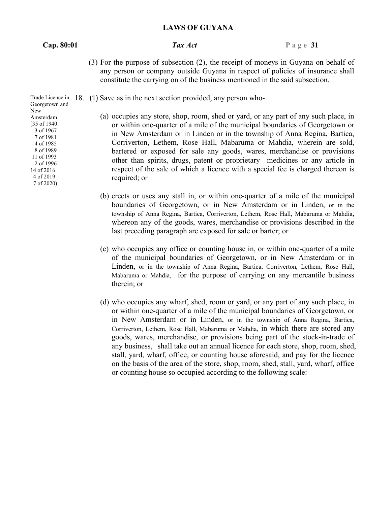| Cap. 80:01 | Tax Act                                                                             | Page $31$ |
|------------|-------------------------------------------------------------------------------------|-----------|
|            | (3) For the purpose of subsection (2), the receipt of moneys in Guyana on behalf of |           |
|            | any person or company outside Guyana in respect of policies of insurance shall      |           |

Trade Licence in 18. (1) Save as in the next section provided, any person who-

Georgetown and

New Amsterdam. [35 of 1940 3 of 1967 7 of 1981 4 of 1985 8 of 1989 11 of 1993 2 of 1996 14 of 2016 4 of 2019 7 of 2020)

(a) occupies any store, shop, room, shed or yard, or any part of any such place,in or within one-quarter of a mile of the municipal boundaries of Georgetown or in New Amsterdam or in Linden or in the township of Anna Regina, Bartica, Corriverton, Lethem, Rose Hall, Mabaruma or Mahdia, wherein are sold, bartered or exposed for sale any goods, wares, merchandise or provisions other than spirits, drugs, patent or proprietary medicines or any article in respect of the sale of which a licence with a special fee is charged thereon is required; or

constitute the carrying on of the business mentioned in the said subsection.

- (b) erects or uses any stall in, or within one-quarter of a mile of the municipal boundaries of Georgetown, or in New Amsterdam or in Linden, or in the township of Anna Regina, Bartica, Corriverton, Lethem, Rose Hall, Mabaruma or Mahdia, whereon any of the goods, wares, merchandise or provisions described in the last preceding paragraph are exposed for sale or barter; or
- (c) who occupies any office or counting house in, or within one-quarter of a mile of the municipal boundaries of Georgetown, or in New Amsterdam or in Linden, or in the township of Anna Regina, Bartica, Corriverton, Lethem, Rose Hall, Mabaruma or Mahdia, for the purpose of carrying on any mercantile business therein; or
- (d) who occupies any wharf, shed, room or yard, or any part of any such place,in or within one-quarter of a mile of the municipal boundaries of Georgetown, or in New Amsterdam or in Linden, or in the township of Anna Regina, Bartica, Corriverton, Lethem, Rose Hall, Mabaruma or Mahdia, in which there are stored any goods, wares, merchandise, or provisions being part of the stock-in-trade of any business, shall take out an annual licence for each store, shop, room, shed, stall, yard, wharf, office, or counting house aforesaid, and pay for the licence on the basis of the area of the store, shop, room, shed, stall, yard, wharf, office or counting house so occupied according to the following scale: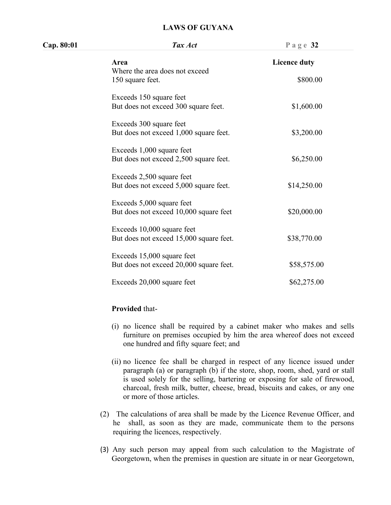| Cap. 80:01 | Tax Act                                 | Page $32$           |
|------------|-----------------------------------------|---------------------|
|            | Area                                    | <b>Licence duty</b> |
|            | Where the area does not exceed          |                     |
|            | 150 square feet.                        | \$800.00            |
|            | Exceeds 150 square feet                 |                     |
|            | But does not exceed 300 square feet.    | \$1,600.00          |
|            | Exceeds 300 square feet                 |                     |
|            | But does not exceed 1,000 square feet.  | \$3,200.00          |
|            | Exceeds 1,000 square feet               |                     |
|            | But does not exceed 2,500 square feet.  | \$6,250.00          |
|            | Exceeds 2,500 square feet               |                     |
|            | But does not exceed 5,000 square feet.  | \$14,250.00         |
|            | Exceeds 5,000 square feet               |                     |
|            | But does not exceed 10,000 square feet  | \$20,000.00         |
|            | Exceeds 10,000 square feet              |                     |
|            | But does not exceed 15,000 square feet. | \$38,770.00         |
|            | Exceeds 15,000 square feet              |                     |
|            | But does not exceed 20,000 square feet. | \$58,575.00         |
|            | Exceeds 20,000 square feet              | \$62,275.00         |
|            |                                         |                     |

#### **Provided** that-

- (i) no licence shall be required by a cabinet maker who makes and sells furniture on premises occupied by him the area whereof does not exceed one hundred and fifty square feet; and
- (ii) no licence fee shall be charged in respect of any licence issued under paragraph (a) or paragraph (b) if the store, shop, room, shed, yard or stall is used solely for the selling, bartering or exposing for sale of firewood, charcoal, fresh milk, butter, cheese, bread, biscuits and cakes, or any one or more of those articles.
- (2) The calculations of area shall be made by the Licence Revenue Officer, and he shall, as soon as they are made, communicate them to the persons requiring the licences, respectively.
- (3) Any such person may appeal from such calculation to the Magistrate of Georgetown, when the premises in question are situate in or near Georgetown,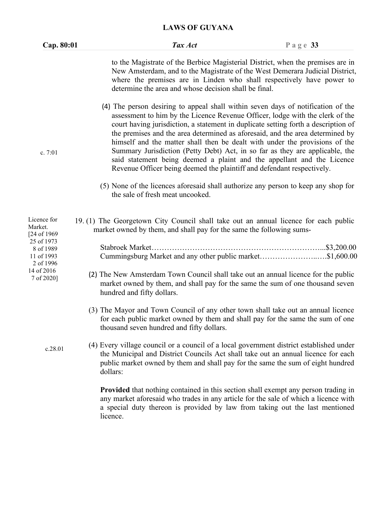| Cap. 80:01                                         | Tax Act                                                                                                                                                                                                                                                                                                                                                                                                                                                                                                                                                                                                                                                     | Page $33$ |  |
|----------------------------------------------------|-------------------------------------------------------------------------------------------------------------------------------------------------------------------------------------------------------------------------------------------------------------------------------------------------------------------------------------------------------------------------------------------------------------------------------------------------------------------------------------------------------------------------------------------------------------------------------------------------------------------------------------------------------------|-----------|--|
|                                                    | to the Magistrate of the Berbice Magisterial District, when the premises are in<br>New Amsterdam, and to the Magistrate of the West Demerara Judicial District,<br>where the premises are in Linden who shall respectively have power to<br>determine the area and whose decision shall be final.                                                                                                                                                                                                                                                                                                                                                           |           |  |
| c. 7:01                                            | (4) The person desiring to appeal shall within seven days of notification of the<br>assessment to him by the Licence Revenue Officer, lodge with the clerk of the<br>court having jurisdiction, a statement in duplicate setting forth a description of<br>the premises and the area determined as aforesaid, and the area determined by<br>himself and the matter shall then be dealt with under the provisions of the<br>Summary Jurisdiction (Petty Debt) Act, in so far as they are applicable, the<br>said statement being deemed a plaint and the appellant and the Licence<br>Revenue Officer being deemed the plaintiff and defendant respectively. |           |  |
|                                                    | (5) None of the licences aforesaid shall authorize any person to keep any shop for<br>the sale of fresh meat uncooked.                                                                                                                                                                                                                                                                                                                                                                                                                                                                                                                                      |           |  |
| Licence for<br>Market.<br>[24 of 1969]             | 19. (1) The Georgetown City Council shall take out an annual licence for each public<br>market owned by them, and shall pay for the same the following sums-                                                                                                                                                                                                                                                                                                                                                                                                                                                                                                |           |  |
| 25 of 1973<br>8 of 1989<br>11 of 1993<br>2 of 1996 | Cummingsburg Market and any other public market\$1,600.00                                                                                                                                                                                                                                                                                                                                                                                                                                                                                                                                                                                                   |           |  |
| 14 of 2016<br>7 of 2020]                           | (2) The New Amsterdam Town Council shall take out an annual licence for the public<br>market owned by them, and shall pay for the same the sum of one thousand seven<br>hundred and fifty dollars.                                                                                                                                                                                                                                                                                                                                                                                                                                                          |           |  |
|                                                    | (3) The Mayor and Town Council of any other town shall take out an annual licence<br>for each public market owned by them and shall pay for the same the sum of one<br>thousand seven hundred and fifty dollars.                                                                                                                                                                                                                                                                                                                                                                                                                                            |           |  |
| c.28.01                                            | (4) Every village council or a council of a local government district established under<br>the Municipal and District Councils Act shall take out an annual licence for each<br>public market owned by them and shall pay for the same the sum of eight hundred<br>dollars:                                                                                                                                                                                                                                                                                                                                                                                 |           |  |
|                                                    | <b>Provided</b> that nothing contained in this section shall exempt any person trading in<br>any market aforesaid who trades in any article for the sale of which a licence with<br>a special duty thereon is provided by law from taking out the last mentioned<br>licence.                                                                                                                                                                                                                                                                                                                                                                                |           |  |
|                                                    |                                                                                                                                                                                                                                                                                                                                                                                                                                                                                                                                                                                                                                                             |           |  |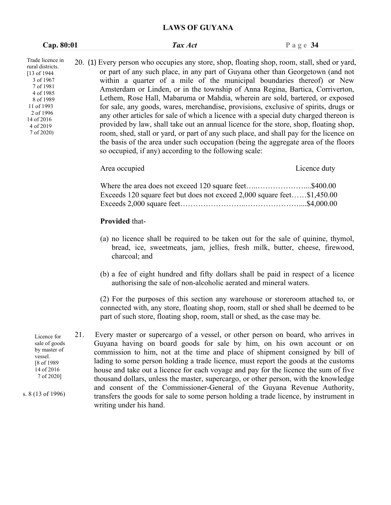| Cap. 80:01                                                                                                                                                                   |     | Tax Act                                                                                                                                                                                                                                                                                                                                                                                                                                                                                                                                                                                                                                                                                                                                                                                                                                                                                                                                         | Page $34$    |  |  |
|------------------------------------------------------------------------------------------------------------------------------------------------------------------------------|-----|-------------------------------------------------------------------------------------------------------------------------------------------------------------------------------------------------------------------------------------------------------------------------------------------------------------------------------------------------------------------------------------------------------------------------------------------------------------------------------------------------------------------------------------------------------------------------------------------------------------------------------------------------------------------------------------------------------------------------------------------------------------------------------------------------------------------------------------------------------------------------------------------------------------------------------------------------|--------------|--|--|
| Trade licence in<br>rural districts.<br>[13 of 1944]<br>3 of 1967<br>7 of 1981<br>4 of 1985<br>8 of 1989<br>11 of 1993<br>2 of 1996<br>14 of 2016<br>4 of 2019<br>7 of 2020) |     | 20. (1) Every person who occupies any store, shop, floating shop, room, stall, shed or yard,<br>or part of any such place, in any part of Guyana other than Georgetown (and not<br>within a quarter of a mile of the municipal boundaries thereof) or New<br>Amsterdam or Linden, or in the township of Anna Regina, Bartica, Corriverton,<br>Lethem, Rose Hall, Mabaruma or Mahdia, wherein are sold, bartered, or exposed<br>for sale, any goods, wares, merchandise, provisions, exclusive of spirits, drugs or<br>any other articles for sale of which a licence with a special duty charged thereon is<br>provided by law, shall take out an annual licence for the store, shop, floating shop,<br>room, shed, stall or yard, or part of any such place, and shall pay for the licence on<br>the basis of the area under such occupation (being the aggregate area of the floors<br>so occupied, if any) according to the following scale: |              |  |  |
|                                                                                                                                                                              |     | Area occupied                                                                                                                                                                                                                                                                                                                                                                                                                                                                                                                                                                                                                                                                                                                                                                                                                                                                                                                                   | Licence duty |  |  |
|                                                                                                                                                                              |     | Where the area does not exceed 120 square feet\$400.00<br>Exceeds 120 square feet but does not exceed 2,000 square feet\$1,450.00                                                                                                                                                                                                                                                                                                                                                                                                                                                                                                                                                                                                                                                                                                                                                                                                               |              |  |  |
|                                                                                                                                                                              |     | <b>Provided that-</b>                                                                                                                                                                                                                                                                                                                                                                                                                                                                                                                                                                                                                                                                                                                                                                                                                                                                                                                           |              |  |  |
|                                                                                                                                                                              |     | (a) no licence shall be required to be taken out for the sale of quinine, thymol,<br>bread, ice, sweetmeats, jam, jellies, fresh milk, butter, cheese, firewood,<br>charcoal; and                                                                                                                                                                                                                                                                                                                                                                                                                                                                                                                                                                                                                                                                                                                                                               |              |  |  |
|                                                                                                                                                                              |     | (b) a fee of eight hundred and fifty dollars shall be paid in respect of a licence<br>authorising the sale of non-alcoholic aerated and mineral waters.                                                                                                                                                                                                                                                                                                                                                                                                                                                                                                                                                                                                                                                                                                                                                                                         |              |  |  |
|                                                                                                                                                                              |     | (2) For the purposes of this section any warehouse or storeroom attached to, or<br>connected with, any store, floating shop, room, stall or shed shall be deemed to be<br>part of such store, floating shop, room, stall or shed, as the case may be.                                                                                                                                                                                                                                                                                                                                                                                                                                                                                                                                                                                                                                                                                           |              |  |  |
| Licence for<br>sale of goods<br>by master of<br>vessel.<br>[8 of 1989]<br>14 of 2016<br>7 of 2020]<br>s. 8 (13 of 1996)                                                      | 21. | Every master or supercargo of a vessel, or other person on board, who arrives in<br>Guyana having on board goods for sale by him, on his own account or on<br>commission to him, not at the time and place of shipment consigned by bill of<br>lading to some person holding a trade licence, must report the goods at the customs<br>house and take out a licence for each voyage and pay for the licence the sum of five<br>thousand dollars, unless the master, supercargo, or other person, with the knowledge<br>and consent of the Commissioner-General of the Guyana Revenue Authority,<br>transfers the goods for sale to some person holding a trade licence, by instrument in<br>writing under his hand.                                                                                                                                                                                                                              |              |  |  |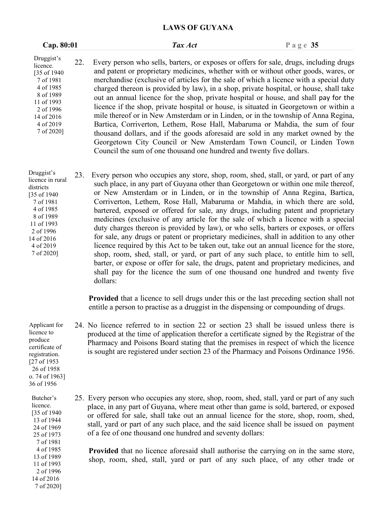| Cap. 80:01                                                                                                                                                             |     | Tax Act                                                                                                                                                                                                                                                                                                                                                                                                                                                                                                                                                                                                                                                                                                                                                                                                                                                                                                                                                                               | Page $35$ |
|------------------------------------------------------------------------------------------------------------------------------------------------------------------------|-----|---------------------------------------------------------------------------------------------------------------------------------------------------------------------------------------------------------------------------------------------------------------------------------------------------------------------------------------------------------------------------------------------------------------------------------------------------------------------------------------------------------------------------------------------------------------------------------------------------------------------------------------------------------------------------------------------------------------------------------------------------------------------------------------------------------------------------------------------------------------------------------------------------------------------------------------------------------------------------------------|-----------|
| Druggist's<br>licence.<br>[35 of 1940]<br>7 of 1981<br>4 of 1985<br>8 of 1989<br>11 of 1993<br>2 of 1996<br>14 of 2016<br>4 of 2019<br>7 of 2020]                      | 22. | Every person who sells, barters, or exposes or offers for sale, drugs, including drugs<br>and patent or proprietary medicines, whether with or without other goods, wares, or<br>merchandise (exclusive of articles for the sale of which a licence with a special duty<br>charged thereon is provided by law), in a shop, private hospital, or house, shall take<br>out an annual licence for the shop, private hospital or house, and shall pay for the<br>licence if the shop, private hospital or house, is situated in Georgetown or within a<br>mile thereof or in New Amsterdam or in Linden, or in the township of Anna Regina,<br>Bartica, Corriverton, Lethem, Rose Hall, Mabaruma or Mahdia, the sum of four<br>thousand dollars, and if the goods aforesaid are sold in any market owned by the<br>Georgetown City Council or New Amsterdam Town Council, or Linden Town<br>Council the sum of one thousand one hundred and twenty five dollars.                          |           |
| Druggist's<br>licence in rural<br>districts<br>[35 of 1940]<br>7 of 1981<br>4 of 1985<br>8 of 1989<br>11 of 1993<br>2 of 1996<br>14 of 2016<br>4 of 2019<br>7 of 2020] | 23. | Every person who occupies any store, shop, room, shed, stall, or yard, or part of any<br>such place, in any part of Guyana other than Georgetown or within one mile thereof,<br>or New Amsterdam or in Linden, or in the township of Anna Regina, Bartica,<br>Corriverton, Lethem, Rose Hall, Mabaruma or Mahdia, in which there are sold,<br>bartered, exposed or offered for sale, any drugs, including patent and proprietary<br>medicines (exclusive of any article for the sale of which a licence with a special<br>duty charges thereon is provided by law), or who sells, barters or exposes, or offers<br>for sale, any drugs or patent or proprietary medicines, shall in addition to any other<br>licence required by this Act to be taken out, take out an annual licence for the store,<br>shop, room, shed, stall, or yard, or part of any such place, to entitle him to sell,<br>barter, or expose or offer for sale, the drugs, patent and proprietary medicines, and |           |

shall pay for the licence the sum of one thousand one hundred and twenty five dollars:

**Provided** that a licence to sell drugs under this or the last preceding section shall not entitle a person to practise as a druggist in the dispensing or compounding of drugs.

24. No licence referred to in section 22 or section 23 shall be issued unless there is licence to produced at the time of application therefor a certificate signed by the Registrar of the Pharmacy and Poisons Board stating that the premises in respect of which the licence is sought are registered under section 23 of the Pharmacy and Poisons Ordinance 1956. Applicant for

produce certificate of registration. [27 of 1953 26 of 1958 o. 74 of 1963] 36 of 1956

licence. 13 of 1944 24 of 1969 25 of 1973 7 of 1981 11 of 1993 2 of 1996 14 of 2016 7 of 2020]

25. Every person who occupies any store, shop, room, shed, stall, yard or part of any such Butcher's place, in any part of Guyana, where meat other than game is sold, bartered, or exposed  $\begin{bmatrix} 35 & 6 & 1940 \\ 12 & 5 & 1944 \end{bmatrix}$  or offered for sale, shall take out an annual licence for the store, shop, room, shed, stall, yard or part of any such place, and the said licence shall be issued on payment of a fee of one thousand one hundred and seventy dollars:

<sup>4</sup> of 1985 **Provided** that no licence aforesaid shall authorise the carrying on in the same store, 13 of 1989 shop, room, shed, stall, yard or part of any such place, of any other trade or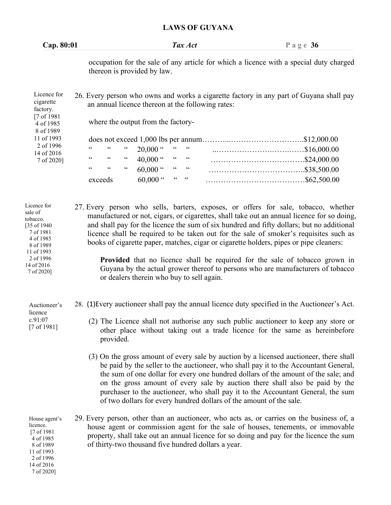| Cap. 80:01 | Tax Act                                                                                | Page 36 |
|------------|----------------------------------------------------------------------------------------|---------|
|            |                                                                                        |         |
|            | occupation for the sale of any article for which a licence with a special duty charged |         |

occupation for the sale of any article for which a licence with a special duty charged thereon is provided by law.

| Licence for<br>cigarette<br>factory.             |                          |                        |               |                                    |             |            | 26. Every person who owns and works a cigarette factory in any part of Guyana shall pay<br>an annual licence thereon at the following rates: |
|--------------------------------------------------|--------------------------|------------------------|---------------|------------------------------------|-------------|------------|----------------------------------------------------------------------------------------------------------------------------------------------|
| $[7 \text{ of } 1981]$<br>4 of 1985<br>8 of 1989 |                          |                        |               | where the output from the factory- |             |            |                                                                                                                                              |
| 11 of 1993                                       |                          |                        |               |                                    |             |            |                                                                                                                                              |
| 2 of 1996<br>14 of 2016                          | $\textsf{G}\,\textsf{G}$ | 66                     | 66            | $20,000$ "                         |             | $66 \t 66$ |                                                                                                                                              |
| 7 of 2020]                                       | 66                       | $\mathsf{G}\mathsf{G}$ | $\,$ 6 6 $\,$ | 40,000 $\cdot$                     | $\,$ 6 $\,$ | 66         |                                                                                                                                              |
|                                                  | $\textsf{G}\,\textsf{G}$ | 66                     | 66            | $60,000$ "                         |             | $66 - 66$  |                                                                                                                                              |
|                                                  |                          | exceeds                |               | $60,000$ "                         |             | $66666$    |                                                                                                                                              |

27. Every person who sells, barters, exposes, or offers for sale, tobacco, whether manufactured or not, cigars, or cigarettes, shall take out an annual licence for so doing, and shall pay for the licence the sum of six hundred and fifty dollars; but no additional licence shall be required to be taken out for the sale of smoker's requisites such as 7 of 1981 books of cigarette paper, matches, cigar or cigarette holders, pipes or pipe cleaners: Licence for sale of tobacco. [35 of 1940 4 of 1985 8 of 1989

> **Provided** that no licence shall be required for the sale of tobacco grown in Guyana by the actual grower thereof to persons who are manufacturers of tobacco or dealers therein who buy to sell again.

Auctioneer's 28. (1)Every auctioneer shall pay the annual licence duty specified in the Auctioneer's Act.

- c.91:07 (2) The Licence shall not authorise any such public auctioneer to keep any store or other place without taking out a trade licence for the same as hereinbefore provided.
	- (3) On the gross amount of every sale by auction by a licensed auctioneer, there shall be paid by the seller to the auctioneer, who shall pay it to the Accountant General, the sum of one dollar for every one hundred dollars of the amount of the sale; and on the gross amount of every sale by auction there shall also be paid by the purchaser to the auctioneer, who shall pay it to the Accountant General, the sum of two dollars for every hundred dollars of the amount of the sale.

29. Every person, other than an auctioneer, who acts as, or carries on the business of, a house agent or commission agent for the sale of houses, tenements, or immovable property, shall take out an annual licence for so doing and pay forthe licence the sum of thirty-two thousand five hundred dollars a year. 8 of 1989 House agent's licence. [7 of 1981 4 of 1985<br>8 of 1989

11 of 1993 2 of 1996 14 of 2016 7 of 2020]

11 of 1993 2 of 1996 14 of 2016 7 of 2020]

licence

[7 of 1981]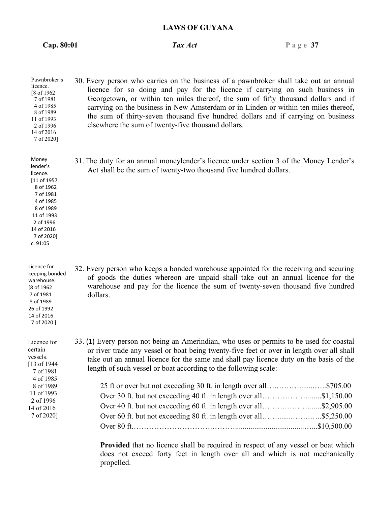**Cap. 80:01** *Tax Act* **P a g e 37**

| Pawnbroker's                                   | 30. Every person who carries on the business of a pawnbroker shall take out an annual |
|------------------------------------------------|---------------------------------------------------------------------------------------|
| licence.<br>$\lceil 8 \text{ of } 1962 \rceil$ | licence for so doing and pay for the licence if carrying on such business in          |
| 7 of 1981                                      | Georgetown, or within ten miles thereof, the sum of fifty thousand dollars and if     |
| 4 of 1985                                      | carrying on the business in New Amsterdam or in Linden or within ten miles thereof,   |
| 8 of 1989<br>11 of 1993                        | the sum of thirty-seven thousand five hundred dollars and if carrying on business     |
| 2 of 1996                                      | elsewhere the sum of twenty-five thousand dollars.                                    |
| 14 of 2016                                     |                                                                                       |

Money 31. The duty for an annual moneylender's licence under section 3 of the Money Lender's Act shall be the sum of twenty-two thousand five hundred dollars.

lender's licence. [11 of 1957 8 of 1962 7 of 1981 4 of 1985 8 of 1989 11 of 1993 2 of 1996 14 of 2016 7 of 2020] c. 91:05

14 of 2016 7 of 2020 ]

11 of 1993 2 of 1996 14 of 2016 7 of 2020]

7 of 2020]

Licence for 32. Every person who keeps a bonded warehouse appointed for the receiving and securing of goods the duties whereon are unpaid shall take out an annual licence for the warehouse and pay for the licence the sum of twenty-seven thousand five hundred dollars. keeping bonded warehouse. [8 of 1962 7 of 1981 8 of 1989 26 of 1992

Licence for 33. (1) Every person not being an Amerindian, who uses or permits to be used for coastal or river trade any vessel or boat being twenty-five feet or over in length over all shall certain take out an annual licence for the same and shall pay licence duty on the basis of the length of such vessel or boat according to the following scale: 25 ft or over but not exceeding 30 ft. in length over all….………........…..\$705.00 vessels. [13 of 1944 7 of 1981 4 of 1985 8 of 1989

| Over 30 ft. but not exceeding 40 ft. in length over all\$1,150.00 |  |
|-------------------------------------------------------------------|--|
| Over 40 ft. but not exceeding 60 ft. in length over all\$2,905.00 |  |
| Over 60 ft. but not exceeding 80 ft. in length over all\$5,250.00 |  |
|                                                                   |  |
|                                                                   |  |

**Provided** that no licence shall be required in respect of any vessel or boat which does not exceed forty feet in length over all and which is not mechanically propelled.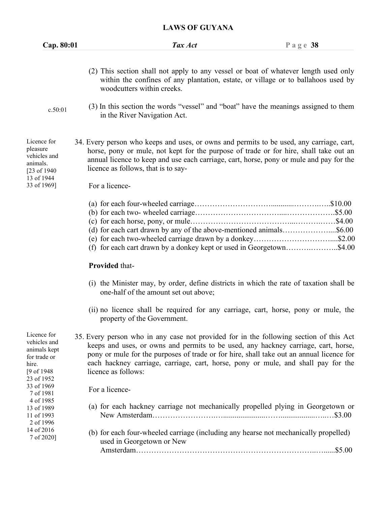| Cap. 80:01                                                                                        | Tax Act                                                                                                                                                                                                                                                                                                                                                                              | Page $38$ |
|---------------------------------------------------------------------------------------------------|--------------------------------------------------------------------------------------------------------------------------------------------------------------------------------------------------------------------------------------------------------------------------------------------------------------------------------------------------------------------------------------|-----------|
|                                                                                                   | (2) This section shall not apply to any vessel or boat of whatever length used only<br>within the confines of any plantation, estate, or village or to ballahoos used by<br>woodcutters within creeks.                                                                                                                                                                               |           |
| c.50:01                                                                                           | (3) In this section the words "vessel" and "boat" have the meanings assigned to them<br>in the River Navigation Act.                                                                                                                                                                                                                                                                 |           |
| Licence for<br>pleasure<br>vehicles and<br>animals.<br>[23 of 1940]<br>13 of 1944<br>33 of 1969]  | 34. Every person who keeps and uses, or owns and permits to be used, any carriage, cart,<br>horse, pony or mule, not kept for the purpose of trade or for hire, shall take out an<br>annual licence to keep and use each carriage, cart, horse, pony or mule and pay for the<br>licence as follows, that is to say-<br>For a licence-                                                |           |
|                                                                                                   | (d) for each cart drawn by any of the above-mentioned animals\$6.00<br>(e) for each two-wheeled carriage drawn by a donkey\$2.00<br>(f) for each cart drawn by a donkey kept or used in Georgetown\$4.00                                                                                                                                                                             |           |
|                                                                                                   | <b>Provided that-</b>                                                                                                                                                                                                                                                                                                                                                                |           |
|                                                                                                   | (i) the Minister may, by order, define districts in which the rate of taxation shall be<br>one-half of the amount set out above;                                                                                                                                                                                                                                                     |           |
|                                                                                                   | (ii) no licence shall be required for any carriage, cart, horse, pony or mule, the<br>property of the Government.                                                                                                                                                                                                                                                                    |           |
| Licence for<br>vehicles and<br>animals kept<br>for trade or<br>hire.<br>[9 of 1948]<br>23 of 1952 | 35. Every person who in any case not provided for in the following section of this Act<br>keeps and uses, or owns and permits to be used, any hackney carriage, cart, horse,<br>pony or mule for the purposes of trade or for hire, shall take out an annual licence for<br>each hackney carriage, carriage, cart, horse, pony or mule, and shall pay for the<br>licence as follows: |           |
| 33 of 1969<br>7 of 1981                                                                           | For a licence-                                                                                                                                                                                                                                                                                                                                                                       |           |
| 4 of 1985<br>13 of 1989<br>11 of 1993<br>2 of 1996                                                | (a) for each hackney carriage not mechanically propelled plying in Georgetown or                                                                                                                                                                                                                                                                                                     |           |
| 14 of 2016<br>7 of 2020]                                                                          | (b) for each four-wheeled carriage (including any hearse not mechanically propelled)<br>used in Georgetown or New                                                                                                                                                                                                                                                                    |           |
|                                                                                                   |                                                                                                                                                                                                                                                                                                                                                                                      |           |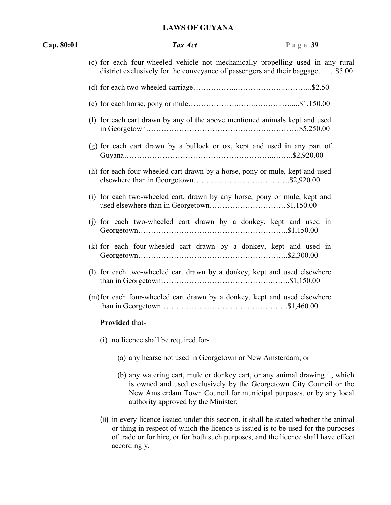| Cap. 80:01 | Tax Act                                                                                                                                                          | Page $39$ |
|------------|------------------------------------------------------------------------------------------------------------------------------------------------------------------|-----------|
|            | (c) for each four-wheeled vehicle not mechanically propelling used in any rural<br>district exclusively for the conveyance of passengers and their baggage\$5.00 |           |
|            |                                                                                                                                                                  |           |
|            |                                                                                                                                                                  |           |
|            | (f) for each cart drawn by any of the above mentioned animals kept and used                                                                                      |           |
|            | (g) for each cart drawn by a bullock or ox, kept and used in any part of                                                                                         |           |
|            | (h) for each four-wheeled cart drawn by a horse, pony or mule, kept and used                                                                                     |           |
|            | (i) for each two-wheeled cart, drawn by any horse, pony or mule, kept and<br>used elsewhere than in Georgetown\$1,150.00                                         |           |
|            | (j) for each two-wheeled cart drawn by a donkey, kept and used in                                                                                                |           |
|            | (k) for each four-wheeled cart drawn by a donkey, kept and used in                                                                                               |           |
|            | (1) for each two-wheeled cart drawn by a donkey, kept and used elsewhere                                                                                         |           |
|            | (m) for each four-wheeled cart drawn by a donkey, kept and used elsewhere                                                                                        |           |
|            | <b>Provided that-</b>                                                                                                                                            |           |
|            | (i) no licence shall be required for-                                                                                                                            |           |

- (a) any hearse not used in Georgetown or New Amsterdam; or
- (b) any watering cart, mule or donkey cart, orany animal drawing it, which is owned and used exclusively by the Georgetown City Council or the New Amsterdam Town Council for municipal purposes, or by any local authority approved by the Minister;
- (ii) in every licence issued under this section, it shall be stated whether the animal or thing in respect of which the licence is issued is to be used for the purposes of trade or for hire, or for both such purposes, and the licence shall have effect accordingly.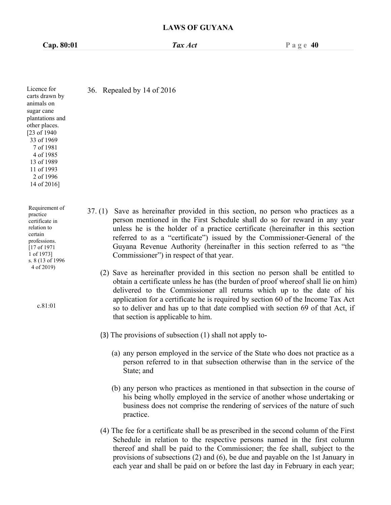36. Repealed by 14 of 2016

carts drawn by animals on sugar cane plantations and other places. [23 of 1940 33 of 1969 7 of 1981 4 of 1985 13 of 1989 11 of 1993 2 of 1996 14 of 2016]

Licence for

Requirement of practice certificate in relation to certain professions. [17 of 1971 1 of 1973] s. 8 (13 of 1996 4 of 2019)

c.81:01

- 37. (1) Save as hereinafter provided in this section, no person who practices as a person mentioned in the First Schedule shall do so for reward in any year unless he is the holder of a practice certificate (hereinafter in this section referred to as a "certificate") issued by the Commissioner-General of the Guyana Revenue Authority (hereinafter in this section referred to as "the Commissioner") in respect of that year.
	- (2) Save as hereinafter provided in this section no person shall be entitled to obtain a certificate unless he has (the burden of proof whereof shall lie on him) delivered to the Commissioner all returns which up to the date of his application for a certificate he is required by section 60 of the Income Tax Act so to deliver and has up to that date complied with section 69 of that Act, if that section is applicable to him.
	- (3) The provisions of subsection (1) shall not apply to-
		- (a) any person employed in the service of the State who doesnot practice as a person referred to in that subsection otherwise than in the service of the State; and
		- (b) any person who practices as mentioned in that subsection in the course of his being wholly employed in the service of another whose undertaking or business does not comprise the rendering of services of the nature of such practice.
	- (4) The fee for a certificate shall be as prescribed in the second column of the First Schedule in relation to the respective persons named in the first column thereof and shall be paid to the Commissioner; the fee shall, subject to the provisions of subsections  $(2)$  and  $(6)$ , be due and payable on the 1st January in each year and shall be paid on or before the last day in February in each year;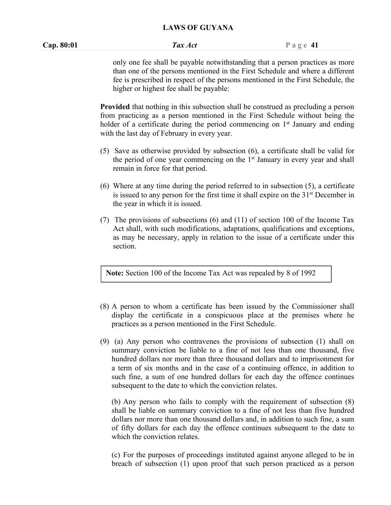|                                                                               | Cap. 80:01 | Tax Act | Page 41 |
|-------------------------------------------------------------------------------|------------|---------|---------|
| only one fee shall be payable notwithstanding that a person practices as more |            |         |         |

than one of the persons mentioned in the First Schedule and where a different fee is prescribed in respect of the persons mentioned in the First Schedule, the higher or highest fee shall be payable:

**Provided** that nothing in this subsection shall be construed as precluding a person from practicing as a person mentioned in the First Schedule without being the holder of a certificate during the period commencing on 1<sup>st</sup> January and ending with the last day of February in every year.

- (5) Save as otherwise provided by subsection (6), a certificate shall be valid for the period of one year commencing on the 1<sup>st</sup> January in every year and shall remain in force for that period.
- (6) Where at any time during the period referred to in subsection (5), a certificate is issued to any person for the first time it shall expire on the 31<sup>st</sup> December in the year in which it is issued.
- (7) The provisions of subsections (6) and (11) of section 100 of the Income Tax Act shall, with such modifications, adaptations, qualifications and exceptions, as may be necessary, apply in relation to the issue of a certificate under this section.

**Note:** Section 100 of the Income Tax Act was repealed by 8 of 1992

- (8) A person to whom a certificate has been issued by the Commissioner shall display the certificate in a conspicuous place at the premises where he practices as a person mentioned in the First Schedule.
- (9) (a) Any person who contravenes the provisions of subsection (1) shall on summary conviction be liable to a fine of not less than one thousand, five hundred dollars nor more than three thousand dollars and to imprisonment for a term of six months and in the case of a continuing offence, in addition to such fine, a sum of one hundred dollars for each day the offence continues subsequent to the date to which the conviction relates.

(b) Any person who fails to comply with the requirement of subsection  $(8)$ shall be liable on summary conviction to a fine of not less than five hundred dollars nor more than one thousand dollars and, in addition to such fine, a sum of fifty dollars for each day the offence continues subsequent to the date to which the conviction relates.

(c) For the purposes of proceedings instituted against anyone alleged to be in breach of subsection (1) upon proof that such person practiced as a person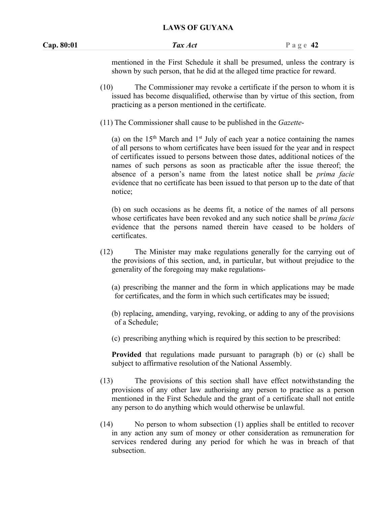| Cap. 80:01 | Tax Act | Page $42$ |
|------------|---------|-----------|
|            |         |           |

mentioned in the First Schedule it shall be presumed, unless the contrary is shown by such person, that he did at the alleged time practice for reward.

- (10) The Commissioner may revoke a certificate if the person to whom it is issued has become disqualified, otherwise than by virtue of this section, from practicing as a person mentioned in the certificate.
- (11) The Commissioner shall cause to be published in the *Gazette*-

(a) on the  $15<sup>th</sup>$  March and  $1<sup>st</sup>$  July of each year a notice containing the names of all persons to whom certificates have been issued for the year and in respect of certificates issued to persons between those dates, additional notices of the names of such persons as soon as practicable after the issue thereof; the absence of a person's name from the latest notice shall be *prima facie* evidence that no certificate has been issued to that person up to the date of that notice;

(b) on such occasions as he deems fit, a notice of the names of all persons whose certificates have been revoked and any such notice shall be *prima facie* evidence that the persons named therein have ceased to be holders of certificates.

(12) The Minister may make regulations generally for the carrying out of the provisions of this section, and, in particular, but without prejudice to the generality of the foregoing may make regulations-

(a) prescribing the manner and the form in which applications may be made for certificates, and the form in which such certificates may be issued;

(b) replacing, amending, varying, revoking, or adding to any of the provisions of a Schedule;

(c) prescribing anything which is required by this section to be prescribed:

**Provided** that regulations made pursuant to paragraph (b) or (c) shall be subject to affirmative resolution of the National Assembly.

- (13) The provisions of this section shall have effect notwithstanding the provisions of any other law authorising any person to practice as a person mentioned in the First Schedule and the grant of a certificate shall not entitle any person to do anything which would otherwise be unlawful.
- (14) No person to whom subsection (1) applies shall be entitled to recover in any action any sum of money or other consideration as remuneration for services rendered during any period for which he was in breach of that subsection.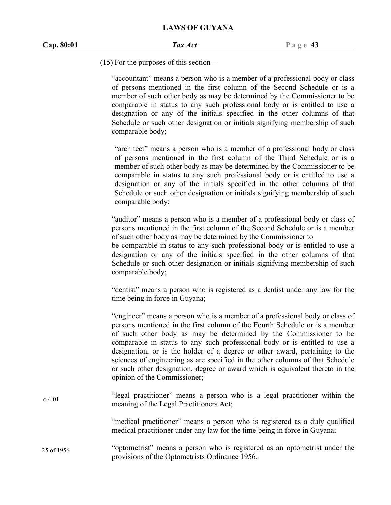$(15)$  For the purposes of this section –

"accountant" means a person who is a member of a professional body or class of persons mentioned in the first column of the Second Schedule or is a member of such other body as may be determined by the Commissioner to be comparable in status to any such professional body or is entitled to use a designation or any of the initials specified in the other columns of that Schedule or such other designation or initials signifying membership of such comparable body;

"architect" means a person who is a member of a professional body or class of persons mentioned in the first column of the Third Schedule or is a member of such other body as may be determined by the Commissioner to be comparable in status to any such professional body or is entitled to use a designation or any of the initials specified in the other columns of that Schedule or such other designation or initials signifying membership of such comparable body;

"auditor" means a person who is a member of a professional body or class of persons mentioned in the first column of the Second Schedule or is a member of such other body as may be determined by the Commissioner to

be comparable in status to any such professional body or is entitled to use a designation or any of the initials specified in the other columns of that Schedule or such other designation or initials signifying membership of such comparable body;

"dentist" means a person who is registered as a dentist under any law for the time being in force in Guyana;

|        | "engineer" means a person who is a member of a professional body or class of<br>persons mentioned in the first column of the Fourth Schedule or is a member<br>of such other body as may be determined by the Commissioner to be<br>comparable in status to any such professional body or is entitled to use a<br>designation, or is the holder of a degree or other award, pertaining to the<br>sciences of engineering as are specified in the other columns of that Schedule<br>or such other designation, degree or award which is equivalent thereto in the<br>opinion of the Commissioner; |
|--------|--------------------------------------------------------------------------------------------------------------------------------------------------------------------------------------------------------------------------------------------------------------------------------------------------------------------------------------------------------------------------------------------------------------------------------------------------------------------------------------------------------------------------------------------------------------------------------------------------|
| c.4:01 | "legal practitioner" means a person who is a legal practitioner within the<br>meaning of the Legal Practitioners Act;                                                                                                                                                                                                                                                                                                                                                                                                                                                                            |
|        | "medical practitioner" means a person who is registered as a duly qualified<br>medical practitioner under any law for the time being in force in Guyana;                                                                                                                                                                                                                                                                                                                                                                                                                                         |

"optometrist" means a person who is registered as an optometrist under the provisions of the Optometrists Ordinance 1956; 25 of 1956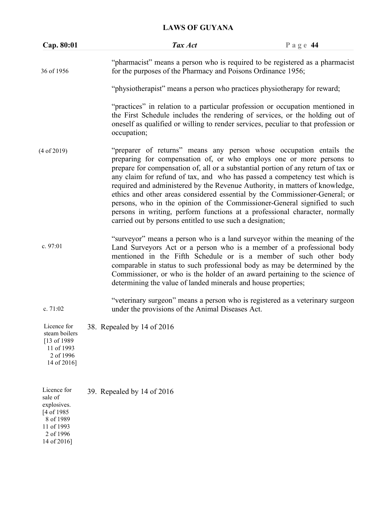| "pharmacist" means a person who is required to be registered as a pharmacist<br>for the purposes of the Pharmacy and Poisons Ordinance 1956;<br>36 of 1956                                                                                                                                                                                                                                                                                                                                                                                                                                                                                                                                                             |  |
|------------------------------------------------------------------------------------------------------------------------------------------------------------------------------------------------------------------------------------------------------------------------------------------------------------------------------------------------------------------------------------------------------------------------------------------------------------------------------------------------------------------------------------------------------------------------------------------------------------------------------------------------------------------------------------------------------------------------|--|
| "physiotherapist" means a person who practices physiotherapy for reward;                                                                                                                                                                                                                                                                                                                                                                                                                                                                                                                                                                                                                                               |  |
| "practices" in relation to a particular profession or occupation mentioned in<br>the First Schedule includes the rendering of services, or the holding out of<br>oneself as qualified or willing to render services, peculiar to that profession or<br>occupation;                                                                                                                                                                                                                                                                                                                                                                                                                                                     |  |
| "preparer of returns" means any person whose occupation entails the<br>(4 of 2019)<br>preparing for compensation of, or who employs one or more persons to<br>prepare for compensation of, all or a substantial portion of any return of tax or<br>any claim for refund of tax, and who has passed a competency test which is<br>required and administered by the Revenue Authority, in matters of knowledge,<br>ethics and other areas considered essential by the Commissioner-General; or<br>persons, who in the opinion of the Commissioner-General signified to such<br>persons in writing, perform functions at a professional character, normally<br>carried out by persons entitled to use such a designation; |  |
| "surveyor" means a person who is a land surveyor within the meaning of the<br>c. 97:01<br>Land Surveyors Act or a person who is a member of a professional body<br>mentioned in the Fifth Schedule or is a member of such other body<br>comparable in status to such professional body as may be determined by the<br>Commissioner, or who is the holder of an award pertaining to the science of<br>determining the value of landed minerals and house properties;                                                                                                                                                                                                                                                    |  |
| "veterinary surgeon" means a person who is registered as a veterinary surgeon<br>under the provisions of the Animal Diseases Act.<br>c. 71:02                                                                                                                                                                                                                                                                                                                                                                                                                                                                                                                                                                          |  |
| Licence for<br>38. Repealed by 14 of 2016<br>steam boilers<br>[13 of 1989]<br>11 of 1993<br>2 of 1996<br>14 of 2016]                                                                                                                                                                                                                                                                                                                                                                                                                                                                                                                                                                                                   |  |
| Licence for<br>39. Repealed by 14 of 2016<br>sale of<br>explosives.<br>[4 of 1985]<br>8 of 1989<br>11 of 1993<br>2 of 1996<br>14 of 2016]                                                                                                                                                                                                                                                                                                                                                                                                                                                                                                                                                                              |  |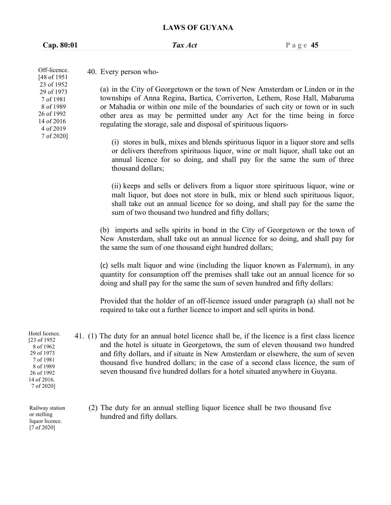| Cap. 80:01 | Tax Act | Page $45$ |
|------------|---------|-----------|
|            |         |           |

Off-licence. [48 of 1951 23 of 1952 29 of 1973

14 of 2016 4 of 2019 7 of 2020] 40. Every person who-

(a) in the City of Georgetown or the town of New Amsterdam or Linden or in the townships of Anna Regina, Bartica, Corriverton, Lethem, Rose Hall, Mabaruma 7 of 1981 or Mahadia or within one mile of the boundaries of such city or town or in such 8 of 1989 other area as may be permitted under any Act for the time being in force 26 of 1992 regulating the storage, sale and disposal of spirituous liquors-

> (i) stores in bulk, mixes and blends spirituous liquor in a liquor store and sells or delivers therefrom spirituous liquor, wine or malt liquor, shall take out an annual licence for so doing, and shall pay for the same the sum of three thousand dollars;

> (ii) keeps and sells or delivers from a liquor store spirituous liquor, wine or malt liquor, but does not store in bulk, mix or blend such spirituous liquor, shall take out an annual licence for so doing, and shall pay for the same the sum of two thousand two hundred and fifty dollars;

(b) imports and sells spirits in bond in the City of Georgetown or the town of New Amsterdam, shall take out an annual licence for so doing, and shall pay for the same the sum of one thousand eight hundred dollars;

(c) sells malt liquor and wine (including the liquor known as Falernum), in any quantity for consumption off the premises shall take out an annual licence for so doing and shall pay for the same the sum of seven hundred and fifty dollars:

Provided that the holder of an off-licence issued under paragraph (a) shall not be required to take out a further licence to import and sell spirits in bond.

41. (1) The duty for an annual hotel licence shall be, if the licence isa first class licence and the hotel is situate in Georgetown, the sum of eleven thousand two hundred and fifty dollars, and if situate in New Amsterdam or elsewhere, the sum of seven thousand five hundred dollars; in the case of a second class licence, the sum of seven thousand five hundred dollars for a hotel situated anywhere in Guyana. Hotel licence.

> (2) The duty for an annual stelling liquor licence shall be two thousand five hundred and fifty dollars.

[23 of 1952 8 of 1962 29 of 1973 7 of 1981 8 of 1989 26 of 1992 14 of 2016. 7 of 2020]

Railway station or stelling liquor licence. [7 of 2020]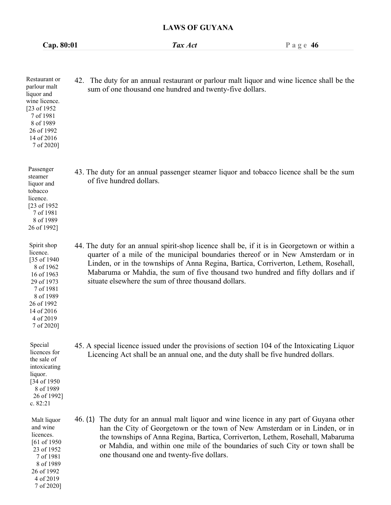**Cap. 80:01** *Tax Act* **P a g e 46**

| Restaurant or<br>parlour malt<br>liquor and<br>wine licence.<br>[23 of 1952]<br>7 of 1981<br>8 of 1989<br>26 of 1992<br>14 of 2016<br>7 of 2020]                  | 42. The duty for an annual restaurant or parlour malt liquor and wine licence shall be the<br>sum of one thousand one hundred and twenty-five dollars.                                                                                                                                                                                                                                                             |
|-------------------------------------------------------------------------------------------------------------------------------------------------------------------|--------------------------------------------------------------------------------------------------------------------------------------------------------------------------------------------------------------------------------------------------------------------------------------------------------------------------------------------------------------------------------------------------------------------|
| Passenger<br>steamer<br>liquor and<br>tobacco<br>licence.<br>[23 of 1952]<br>7 of 1981<br>8 of 1989<br>26 of 1992]                                                | 43. The duty for an annual passenger steamer liquor and tobacco licence shall be the sum<br>of five hundred dollars.                                                                                                                                                                                                                                                                                               |
| Spirit shop<br>licence.<br>[35 of 1940]<br>8 of 1962<br>16 of 1963<br>29 of 1973<br>7 of 1981<br>8 of 1989<br>26 of 1992<br>14 of 2016<br>4 of 2019<br>7 of 2020] | 44. The duty for an annual spirit-shop licence shall be, if it is in Georgetown or within a<br>quarter of a mile of the municipal boundaries thereof or in New Amsterdam or in<br>Linden, or in the townships of Anna Regina, Bartica, Corriverton, Lethem, Rosehall,<br>Mabaruma or Mahdia, the sum of five thousand two hundred and fifty dollars and if<br>situate elsewhere the sum of three thousand dollars. |
| Special<br>licences for<br>the sale of<br>intoxicating<br>liquor.<br>[34 of 1950]<br>8 of 1989<br>26 of 1992]<br>c. 82:21                                         | 45. A special licence issued under the provisions of section 104 of the Intoxicating Liquor<br>Licencing Act shall be an annual one, and the duty shall be five hundred dollars.                                                                                                                                                                                                                                   |
| Malt liquor<br>and wine<br>licences.<br>[61 of 1950]<br>23 of 1952<br>7 of 1981<br>8 of 1989<br>26 of 1992<br>4 of 2019<br>7 of 2020]                             | 46. (1) The duty for an annual malt liquor and wine licence in any part of Guyana other<br>han the City of Georgetown or the town of New Amsterdam or in Linden, or in<br>the townships of Anna Regina, Bartica, Corriverton, Lethem, Rosehall, Mabaruma<br>or Mahdia, and within one mile of the boundaries of such City or town shall be<br>one thousand one and twenty-five dollars.                            |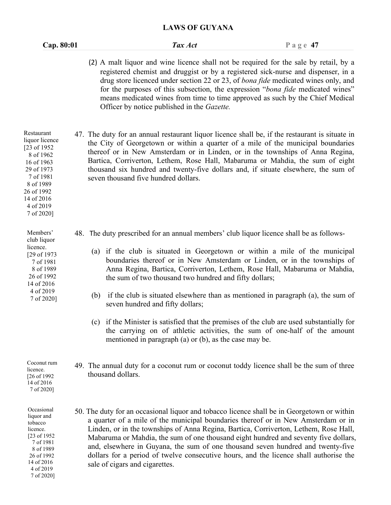| Cap. 80:01                                                                                                                                                             |  | Tax Act                                                                                                                                                                                                                                                                                                                                                                                                                                                                                                                                                                                                                                                                                                                                                      | Page $47$ |
|------------------------------------------------------------------------------------------------------------------------------------------------------------------------|--|--------------------------------------------------------------------------------------------------------------------------------------------------------------------------------------------------------------------------------------------------------------------------------------------------------------------------------------------------------------------------------------------------------------------------------------------------------------------------------------------------------------------------------------------------------------------------------------------------------------------------------------------------------------------------------------------------------------------------------------------------------------|-----------|
|                                                                                                                                                                        |  | (2) A malt liquor and wine licence shall not be required for the sale by retail, by a<br>registered chemist and druggist or by a registered sick-nurse and dispenser, in a<br>drug store licenced under section 22 or 23, of <i>bona fide</i> medicated wines only, and<br>for the purposes of this subsection, the expression "bona fide medicated wines"<br>means medicated wines from time to time approved as such by the Chief Medical<br>Officer by notice published in the Gazette.                                                                                                                                                                                                                                                                   |           |
| Restaurant<br>liquor licence<br>[23 of 1952]<br>8 of 1962<br>16 of 1963<br>29 of 1973<br>7 of 1981<br>8 of 1989<br>26 of 1992<br>14 of 2016<br>4 of 2019<br>7 of 2020] |  | 47. The duty for an annual restaurant liquor licence shall be, if the restaurant is situate in<br>the City of Georgetown or within a quarter of a mile of the municipal boundaries<br>thereof or in New Amsterdam or in Linden, or in the townships of Anna Regina,<br>Bartica, Corriverton, Lethem, Rose Hall, Mabaruma or Mahdia, the sum of eight<br>thousand six hundred and twenty-five dollars and, if situate elsewhere, the sum of<br>seven thousand five hundred dollars.                                                                                                                                                                                                                                                                           |           |
| Members'<br>club liquor<br>licence.<br>[29 of 1973]<br>7 of 1981<br>8 of 1989<br>26 of 1992<br>14 of 2016<br>4 of 2019<br>7 of 2020]                                   |  | 48. The duty prescribed for an annual members' club liquor licence shall be as follows-<br>(a) if the club is situated in Georgetown or within a mile of the municipal<br>boundaries thereof or in New Amsterdam or Linden, or in the townships of<br>Anna Regina, Bartica, Corriverton, Lethem, Rose Hall, Mabaruma or Mahdia,<br>the sum of two thousand two hundred and fifty dollars;<br>if the club is situated elsewhere than as mentioned in paragraph (a), the sum of<br>(b)<br>seven hundred and fifty dollars;<br>(c) if the Minister is satisfied that the premises of the club are used substantially for<br>the carrying on of athletic activities, the sum of one-half of the amount<br>mentioned in paragraph (a) or (b), as the case may be. |           |
| Coconut rum<br>licence.<br>[26 of 1992]<br>14 of 2016<br>7 of 2020]                                                                                                    |  | 49. The annual duty for a coconut rum or coconut toddy licence shall be the sum of three<br>thousand dollars.                                                                                                                                                                                                                                                                                                                                                                                                                                                                                                                                                                                                                                                |           |
| Occasional<br>liquor and<br>tobacco<br>licence.<br>[23 of $1952$ ]<br>7 of 1981<br>8 of 1989<br>26 of 1992                                                             |  | 50. The duty for an occasional liquor and tobacco licence shall be in Georgetown or within<br>a quarter of a mile of the municipal boundaries thereof or in New Amsterdam or in<br>Linden, or in the townships of Anna Regina, Bartica, Corriverton, Lethem, Rose Hall,<br>Mabaruma or Mahdia, the sum of one thousand eight hundred and seventy five dollars,<br>and, elsewhere in Guyana, the sum of one thousand seven hundred and twenty-five<br>dollars for a period of twelve consecutive hours, and the licence shall authorise the                                                                                                                                                                                                                   |           |

sale of cigars and cigarettes.

7 of 2020]

 $14$  of 2016 sale of 4 of 2019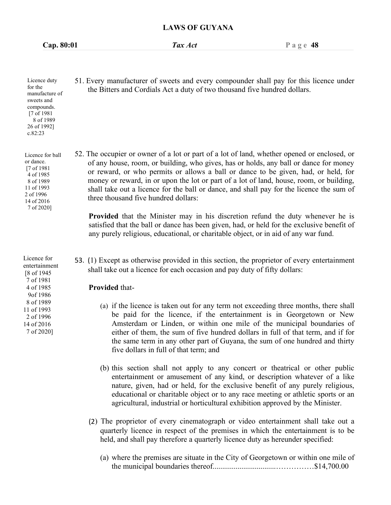**Cap. 80:01** *Tax Act* **P a g e 48**

51. Every manufacturer of sweets and every compounder shall pay for this licence under Licence duty the Bitters and Cordials Act a duty of two thousand five hundred dollars. 52. The occupier or owner of a lot or part of a lot of land, whether opened or enclosed, or of any house, room, or building, who gives, has orholds, any ball or dance for money or reward, or who permits or allows a ball or dance to be given, had, or held, for money or reward, in or upon the lot or part of a lot of land, house, room, or building, shall take out a licence for the ball or dance, and shall pay for the licence the sum of three thousand five hundred dollars: **Provided** that the Minister may in his discretion refund the duty whenever he is satisfied that the ball or dance has been given, had, or held for the exclusive benefit of any purely religious, educational, or charitable object, or in aid of any war fund. 53. (1) Except as otherwise provided in this section, the proprietor of every entertainment shall take out a licence for each occasion and pay duty of fifty dollars: **Provided** that- (a) if the licence is taken out for any term not exceeding three months, there shall be paid for the licence, if the entertainment is in Georgetown or New Amsterdam or Linden, or within one mile of the municipal boundaries of either of them, the sum of five hundred dollars in full of that term, and if for the same term in any other part of Guyana, the sum of one hundred and thirty five dollars in full of that term; and (b) this section shall not apply to any concert or theatrical or other public entertainment or amusement of any kind, or description whatever of a like nature, given, had or held, for the exclusive benefit of any purely religious, for the manufacture of sweets and compounds. [7 of 1981 8 of 1989 26 of 1992] c.82:23 Licence for ball<br>or dance. [7 of 1981 4 of 1985 8 of 1989 2 of 1996 14 of 2016 7 of 2020] 7 of 1981 4 of 1985 9of 1986 8 of 1989 2 of 1996 7 of 2020]

> (2) The proprietor of every cinematograph or video entertainment shall take out a quarterly licence in respect of the premises in which the entertainment is to be held, and shall pay therefore a quarterly licence duty as hereunder specified:

educational or charitable object or to any race meeting or athletic sports or an agricultural, industrial or horticultural exhibition approved by the Minister.

(a) where the premises are situate in the City of Georgetown or within one mile of the municipal boundaries thereof.................................……………\$14,700.00

11 of 1993

Licence for entertainment [8 of 1945 11 of 1993 14 of 2016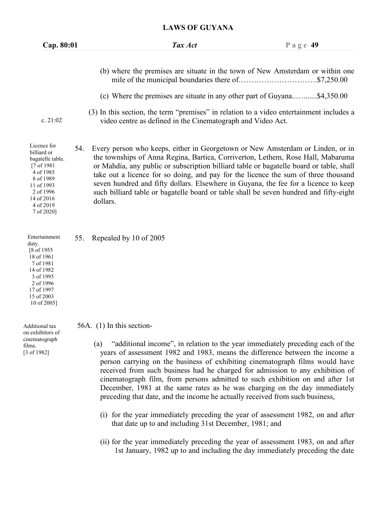| Cap. 80:01                                                                                                                                                  |     | Tax Act                                                                                                                                                                                                                                                                                                                                                                                                                                                                                                                                         | $P$ a g e 49 |
|-------------------------------------------------------------------------------------------------------------------------------------------------------------|-----|-------------------------------------------------------------------------------------------------------------------------------------------------------------------------------------------------------------------------------------------------------------------------------------------------------------------------------------------------------------------------------------------------------------------------------------------------------------------------------------------------------------------------------------------------|--------------|
| c. 21:02                                                                                                                                                    |     | (b) where the premises are situate in the town of New Amsterdam or within one<br>mile of the municipal boundaries there of\$7,250.00<br>(c) Where the premises are situate in any other part of Guyana\$4,350.00<br>(3) In this section, the term "premises" in relation to a video entertainment includes a<br>video centre as defined in the Cinematograph and Video Act.                                                                                                                                                                     |              |
| Licence for<br>billiard or<br>bagatelle table.<br>[7 of 1981]<br>4 of 1985<br>8 of 1989<br>11 of 1993<br>2 of 1996<br>14 of 2016<br>4 of 2019<br>7 of 2020] | 54. | Every person who keeps, either in Georgetown or New Amsterdam or Linden, or in<br>the townships of Anna Regina, Bartica, Corriverton, Lethem, Rose Hall, Mabaruma<br>or Mahdia, any public or subscription billiard table or bagatelle board or table, shall<br>take out a licence for so doing, and pay for the licence the sum of three thousand<br>seven hundred and fifty dollars. Elsewhere in Guyana, the fee for a licence to keep<br>such billiard table or bagatelle board or table shall be seven hundred and fifty-eight<br>dollars. |              |
| Entertainment<br>duty.<br>[8 of 1955]<br>18 of 1961<br>7 of 1981<br>14 of 1982<br>3 of 1995<br>2 of 1996<br>17 of 1997<br>15 of 2003<br>10 of 2005]         | 55. | Repealed by 10 of 2005                                                                                                                                                                                                                                                                                                                                                                                                                                                                                                                          |              |
| Additional tax<br>on exhibitors of<br>cinematograph<br>films.                                                                                               |     | 56A. (1) In this section-<br>"additional income", in relation to the year immediately preceding each of the<br>(a)                                                                                                                                                                                                                                                                                                                                                                                                                              |              |
| $[3 \text{ of } 1982]$                                                                                                                                      |     | vears of assessment 1982 and 1983, means the difference between the income a                                                                                                                                                                                                                                                                                                                                                                                                                                                                    |              |

- years of assessment 1982 and 1983, means the difference between the income a person carrying on the business of exhibiting cinematograph films would have received from such business had he charged for admission to any exhibition of cinematograph film, from persons admitted to such exhibition on and after 1st December, 1981 at the same rates as he was charging on the day immediately preceding that date, and the income he actually received from such business,
	- (i) for the year immediately preceding the year of assessment 1982, on and after that date up to and including 31st December, 1981; and
	- (ii) for the year immediately preceding the year of assessment 1983, on and after 1st January, 1982 up to and including the day immediately preceding the date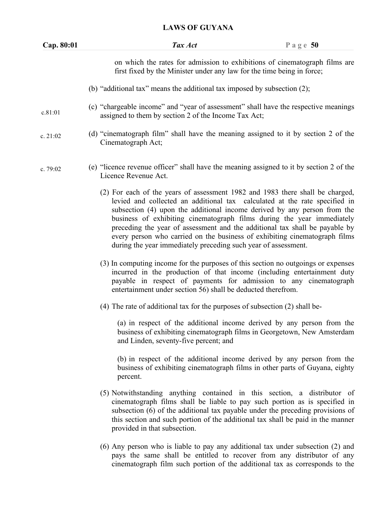| Cap. 80:01 | Tax Act                                                                                                                                                                                                                                                                                                                                                                                                                                                                                                                                          | Page $50$ |
|------------|--------------------------------------------------------------------------------------------------------------------------------------------------------------------------------------------------------------------------------------------------------------------------------------------------------------------------------------------------------------------------------------------------------------------------------------------------------------------------------------------------------------------------------------------------|-----------|
|            | on which the rates for admission to exhibitions of cinematograph films are<br>first fixed by the Minister under any law for the time being in force;                                                                                                                                                                                                                                                                                                                                                                                             |           |
|            | (b) "additional tax" means the additional tax imposed by subsection (2);                                                                                                                                                                                                                                                                                                                                                                                                                                                                         |           |
| c.81:01    | (c) "chargeable income" and "year of assessment" shall have the respective meanings<br>assigned to them by section 2 of the Income Tax Act;                                                                                                                                                                                                                                                                                                                                                                                                      |           |
| c. $21:02$ | (d) "cinematograph film" shall have the meaning assigned to it by section 2 of the<br>Cinematograph Act;                                                                                                                                                                                                                                                                                                                                                                                                                                         |           |
| c. 79:02   | (e) "licence revenue officer" shall have the meaning assigned to it by section 2 of the<br>Licence Revenue Act.                                                                                                                                                                                                                                                                                                                                                                                                                                  |           |
|            | (2) For each of the years of assessment 1982 and 1983 there shall be charged,<br>levied and collected an additional tax calculated at the rate specified in<br>subsection (4) upon the additional income derived by any person from the<br>business of exhibiting cinematograph films during the year immediately<br>preceding the year of assessment and the additional tax shall be payable by<br>every person who carried on the business of exhibiting cinematograph films<br>during the year immediately preceding such year of assessment. |           |
|            | (3) In computing income for the purposes of this section no outgoings or expenses<br>incurred in the production of that income (including entertainment duty<br>payable in respect of payments for admission to any cinematograph<br>entertainment under section 56) shall be deducted therefrom.                                                                                                                                                                                                                                                |           |
|            | (4) The rate of additional tax for the purposes of subsection (2) shall be-                                                                                                                                                                                                                                                                                                                                                                                                                                                                      |           |
|            | (a) in respect of the additional income derived by any person from the<br>business of exhibiting cinematograph films in Georgetown, New Amsterdam<br>and Linden, seventy-five percent; and                                                                                                                                                                                                                                                                                                                                                       |           |
|            | (b) in respect of the additional income derived by any person from the<br>business of exhibiting cinematograph films in other parts of Guyana, eighty<br>percent.                                                                                                                                                                                                                                                                                                                                                                                |           |
|            | (5) Notwithstanding anything contained in this section, a distributor of<br>cinematograph films shall be liable to pay such portion as is specified in<br>subsection (6) of the additional tax payable under the preceding provisions of<br>this section and such portion of the additional tax shall be paid in the manner<br>provided in that subsection.                                                                                                                                                                                      |           |
|            | (6) Any person who is liable to pay any additional tax under subsection (2) and                                                                                                                                                                                                                                                                                                                                                                                                                                                                  |           |

pays the same shall be entitled to recover from any distributor of any cinematograph film such portion of the additional tax as corresponds to the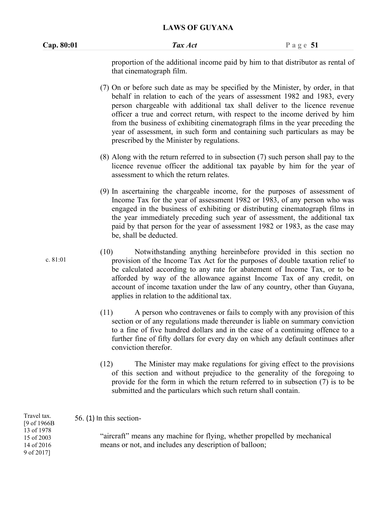#### **Cap. 80:01** *Tax Act* **P a g e 51**

proportion of the additional income paid by him to that distributor as rental of that cinematograph film.

- (7) On or before such date as may be specified by the Minister, by order, in that behalf in relation to each of the years of assessment 1982 and 1983, every person chargeable with additional tax shall deliver to the licence revenue officer a true and correct return, with respect to the income derived by him from the business of exhibiting cinematograph films in the year preceding the year of assessment, in such form and containing such particulars as may be prescribed by the Minister by regulations.
- (8) Along with the return referred to in subsection (7) such person shall pay to the licence revenue officer the additional tax payable by him for the year of assessment to which the return relates.
- (9) In ascertaining the chargeable income, for the purposes of assessment of Income Tax for the year of assessment 1982 or 1983, of any person who was engaged in the business of exhibiting or distributing cinematograph films in the year immediately preceding such year of assessment, the additional tax paid by that person for the yearof assessment 1982 or 1983, as the case may be, shall be deducted.
- (10) Notwithstanding anything hereinbefore provided in this section no provision of the Income Tax Act for the purposes of double taxation relief to c. 81:01 be calculated according to any rate for abatement of Income Tax, or to be afforded by way of the allowance against Income Tax of any credit, on account of income taxation under the law of any country, other than Guyana, applies in relation to the additional tax.
	- $(11)$  A person who contravenes or fails to comply with any provision of this section or of any regulations made thereunder is liable on summary conviction to a fine of five hundred dollars and in the case of a continuing offence to a further fine of fifty dollars for every day on which any default continues after conviction therefor.
	- (12) The Minister may make regulations for giving effect to the provisions of this section and without prejudice to the generality of the foregoing to provide for the form in which the return referred to in subsection (7) is to be submitted and the particulars which such return shall contain.

56. (1) In this section- Travel tax.

[9 of 1966B 13 of 1978 15 of 2003 14 of 2016 9 of 2017]

"aircraft" means any machine for flying, whether propelled by mechanical means or not, and includes any description of balloon;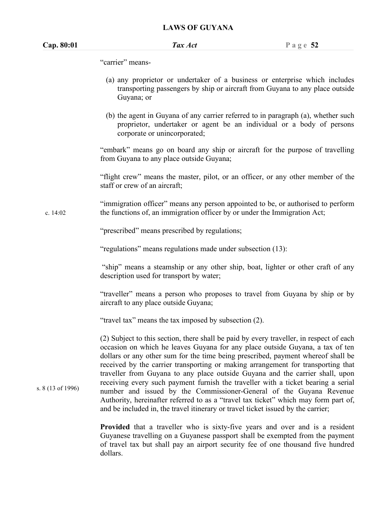| <b>LAWS OF GUYANA</b> |  |
|-----------------------|--|
|-----------------------|--|

| Cap. 80:01        | Tax Act<br>Page $52$                                                                                                                                                                                                                                                                                                                                                                                                                                                                                                                                                                                                                                                                                                                                                     |
|-------------------|--------------------------------------------------------------------------------------------------------------------------------------------------------------------------------------------------------------------------------------------------------------------------------------------------------------------------------------------------------------------------------------------------------------------------------------------------------------------------------------------------------------------------------------------------------------------------------------------------------------------------------------------------------------------------------------------------------------------------------------------------------------------------|
|                   | "carrier" means-                                                                                                                                                                                                                                                                                                                                                                                                                                                                                                                                                                                                                                                                                                                                                         |
|                   | (a) any proprietor or undertaker of a business or enterprise which includes<br>transporting passengers by ship or aircraft from Guyana to any place outside<br>Guyana; or                                                                                                                                                                                                                                                                                                                                                                                                                                                                                                                                                                                                |
|                   | (b) the agent in Guyana of any carrier referred to in paragraph (a), whether such<br>proprietor, undertaker or agent be an individual or a body of persons<br>corporate or unincorporated;                                                                                                                                                                                                                                                                                                                                                                                                                                                                                                                                                                               |
|                   | "embark" means go on board any ship or aircraft for the purpose of travelling<br>from Guyana to any place outside Guyana;                                                                                                                                                                                                                                                                                                                                                                                                                                                                                                                                                                                                                                                |
|                   | "flight crew" means the master, pilot, or an officer, or any other member of the<br>staff or crew of an aircraft;                                                                                                                                                                                                                                                                                                                                                                                                                                                                                                                                                                                                                                                        |
| c. 14:02          | "immigration officer" means any person appointed to be, or authorised to perform<br>the functions of, an immigration officer by or under the Immigration Act;                                                                                                                                                                                                                                                                                                                                                                                                                                                                                                                                                                                                            |
|                   | "prescribed" means prescribed by regulations;                                                                                                                                                                                                                                                                                                                                                                                                                                                                                                                                                                                                                                                                                                                            |
|                   | "regulations" means regulations made under subsection (13):                                                                                                                                                                                                                                                                                                                                                                                                                                                                                                                                                                                                                                                                                                              |
|                   | "ship" means a steamship or any other ship, boat, lighter or other craft of any<br>description used for transport by water;                                                                                                                                                                                                                                                                                                                                                                                                                                                                                                                                                                                                                                              |
|                   | "traveller" means a person who proposes to travel from Guyana by ship or by<br>aircraft to any place outside Guyana;                                                                                                                                                                                                                                                                                                                                                                                                                                                                                                                                                                                                                                                     |
|                   | "travel tax" means the tax imposed by subsection (2).                                                                                                                                                                                                                                                                                                                                                                                                                                                                                                                                                                                                                                                                                                                    |
| s. 8 (13 of 1996) | (2) Subject to this section, there shall be paid by every traveller, in respect of each<br>occasion on which he leaves Guyana for any place outside Guyana, a tax of ten<br>dollars or any other sum for the time being prescribed, payment whereof shall be<br>received by the carrier transporting or making arrangement for transporting that<br>traveller from Guyana to any place outside Guyana and the carrier shall, upon<br>receiving every such payment furnish the traveller with a ticket bearing a serial<br>number and issued by the Commissioner-General of the Guyana Revenue<br>Authority, hereinafter referred to as a "travel tax ticket" which may form part of,<br>and be included in, the travel itinerary or travel ticket issued by the carrier; |
|                   | <b>Provided</b> that a traveller who is sixty-five years and over and is a resident<br>Guyanese travelling on a Guyanese passport shall be exempted from the payment<br>of travel tax but shall pay an airport security fee of one thousand five hundred                                                                                                                                                                                                                                                                                                                                                                                                                                                                                                                 |

dollars.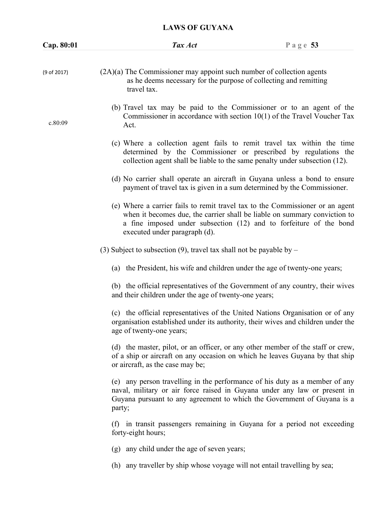| Cap. 80:01  | Tax Act                                                                                                                                                                                                                                                           | Page $53$ |
|-------------|-------------------------------------------------------------------------------------------------------------------------------------------------------------------------------------------------------------------------------------------------------------------|-----------|
| (9 of 2017) | $(2A)(a)$ The Commissioner may appoint such number of collection agents<br>as he deems necessary for the purpose of collecting and remitting<br>travel tax.                                                                                                       |           |
| c.80:09     | (b) Travel tax may be paid to the Commissioner or to an agent of the<br>Commissioner in accordance with section $10(1)$ of the Travel Voucher Tax<br>Act.                                                                                                         |           |
|             | (c) Where a collection agent fails to remit travel tax within the time<br>determined by the Commissioner or prescribed by regulations the<br>collection agent shall be liable to the same penalty under subsection (12).                                          |           |
|             | (d) No carrier shall operate an aircraft in Guyana unless a bond to ensure<br>payment of travel tax is given in a sum determined by the Commissioner.                                                                                                             |           |
|             | (e) Where a carrier fails to remit travel tax to the Commissioner or an agent<br>when it becomes due, the carrier shall be liable on summary conviction to<br>a fine imposed under subsection (12) and to forfeiture of the bond<br>executed under paragraph (d). |           |
|             | (3) Subject to subsection (9), travel tax shall not be payable by $-$                                                                                                                                                                                             |           |
|             | (a) the President, his wife and children under the age of twenty-one years;                                                                                                                                                                                       |           |
|             | (b) the official representatives of the Government of any country, their wives<br>and their children under the age of twenty-one years;                                                                                                                           |           |
|             | (c) the official representatives of the United Nations Organisation or of any<br>organisation established under its authority, their wives and children under the<br>age of twenty-one years;                                                                     |           |
|             | (d) the master, pilot, or an officer, or any other member of the staff or crew,<br>of a ship or aircraft on any occasion on which he leaves Guyana by that ship<br>or aircraft, as the case may be;                                                               |           |
|             | (e) any person travelling in the performance of his duty as a member of any<br>naval, military or air force raised in Guyana under any law or present in<br>Guyana pursuant to any agreement to which the Government of Guyana is a<br>party;                     |           |
|             | (f) in transit passengers remaining in Guyana for a period not exceeding<br>forty-eight hours;                                                                                                                                                                    |           |
|             | any child under the age of seven years;<br>(g)                                                                                                                                                                                                                    |           |
|             | (h) any traveller by ship whose voyage will not entail travelling by sea;                                                                                                                                                                                         |           |
|             |                                                                                                                                                                                                                                                                   |           |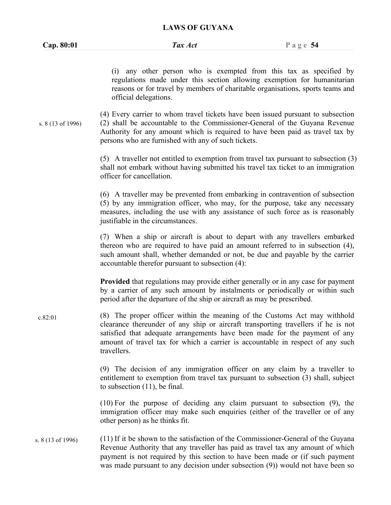| Cap. 80:01        | Tax Act                                                                                                                                                                                                                                                                                                                                       | Page $54$ |
|-------------------|-----------------------------------------------------------------------------------------------------------------------------------------------------------------------------------------------------------------------------------------------------------------------------------------------------------------------------------------------|-----------|
|                   | (i) any other person who is exempted from this tax as specified by<br>regulations made under this section allowing exemption for humanitarian<br>reasons or for travel by members of charitable organisations, sports teams and<br>official delegations.                                                                                      |           |
| s. 8 (13 of 1996) | (4) Every carrier to whom travel tickets have been issued pursuant to subsection<br>(2) shall be accountable to the Commissioner-General of the Guyana Revenue<br>Authority for any amount which is required to have been paid as travel tax by<br>persons who are furnished with any of such tickets.                                        |           |
|                   | (5) A traveller not entitled to exemption from travel tax pursuant to subsection (3)<br>shall not embark without having submitted his travel tax ticket to an immigration<br>officer for cancellation.                                                                                                                                        |           |
|                   | (6) A traveller may be prevented from embarking in contravention of subsection<br>(5) by any immigration officer, who may, for the purpose, take any necessary<br>measures, including the use with any assistance of such force as is reasonably<br>justifiable in the circumstances.                                                         |           |
|                   | (7) When a ship or aircraft is about to depart with any travellers embarked<br>thereon who are required to have paid an amount referred to in subsection (4),<br>such amount shall, whether demanded or not, be due and payable by the carrier<br>accountable therefor pursuant to subsection (4):                                            |           |
|                   | <b>Provided</b> that regulations may provide either generally or in any case for payment<br>by a carrier of any such amount by instalments or periodically or within such<br>period after the departure of the ship or aircraft as may be prescribed.                                                                                         |           |
| c.82:01           | (8) The proper officer within the meaning of the Customs Act may withhold<br>clearance thereunder of any ship or aircraft transporting travellers if he is not<br>satisfied that adequate arrangements have been made for the payment of any<br>amount of travel tax for which a carrier is accountable in respect of any such<br>travellers. |           |
|                   | (9) The decision of any immigration officer on any claim by a traveller to<br>entitlement to exemption from travel tax pursuant to subsection (3) shall, subject<br>to subsection $(11)$ , be final.                                                                                                                                          |           |
|                   | $(10)$ For the purpose of deciding any claim pursuant to subsection $(9)$ , the<br>immigration officer may make such enquiries (either of the traveller or of any<br>other person) as he thinks fit.                                                                                                                                          |           |
| s. 8 (13 of 1996) | (11) If it be shown to the satisfaction of the Commissioner-General of the Guyana<br>Revenue Authority that any traveller has paid as travel tax any amount of which<br>payment is not required by this section to have been made or (if such payment<br>was made pursuant to any decision under subsection $(9)$ ) would not have been so    |           |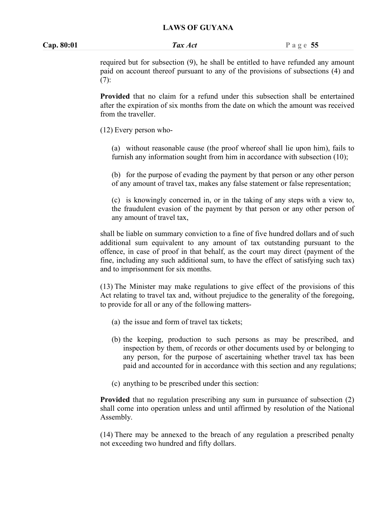#### **Cap. 80:01** *Tax Act* **P a g e 55**

required but for subsection (9), he shall be entitled to have refunded any amount paid on account thereof pursuant to any of the provisions of subsections (4) and (7):

**Provided** that no claim for a refund under this subsection shall be entertained after the expiration of six months from the date on which the amount was received from the traveller.

(12) Every person who-

(a) without reasonable cause (the proof whereof shall lie upon him), fails to furnish any information sought from him in accordance with subsection (10);

(b) for the purpose of evading the payment by that person or any other person of any amount of travel tax, makes any false statement or false representation;

(c) is knowingly concerned in, or in the taking of any steps with a view to, the fraudulent evasion of the payment by that person or any other person of any amount of travel tax,

shall be liable on summary conviction to a fine of five hundred dollars and of such additional sum equivalent to any amount of tax outstanding pursuant to the offence, in case of proof in that behalf, as the court may direct (payment of the fine, including any such additional sum, to have the effect of satisfying such tax) and to imprisonment for six months.

(13) The Minister may make regulations to give effect of the provisions of this Act relating to travel tax and, without prejudice to the generality of the foregoing, to provide for all or any of the following matters-

- (a) the issue and form of travel tax tickets;
- (b) the keeping, production to such persons as may be prescribed, and inspection by them, of records orother documents used by or belonging to any person, for the purpose of ascertaining whether travel tax has been paid and accounted for in accordance with this section and any regulations;
- (c) anything to be prescribed under this section:

**Provided** that no regulation prescribing any sum in pursuance of subsection (2) shall come into operation unless and until affirmed by resolution of the National Assembly.

(14) There may be annexed to the breach of any regulation a prescribed penalty not exceeding two hundred and fifty dollars.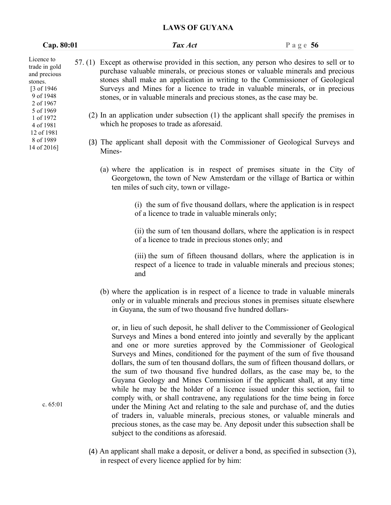| Cap. 80:01                                                                                                              | Tax Act                                                                                                                                                                                                                                                                                                                                                                                                                                                                                                                                                                                                                                                                                                                                                                                                                                                                                                                                                                                                                       | Page $56$ |  |
|-------------------------------------------------------------------------------------------------------------------------|-------------------------------------------------------------------------------------------------------------------------------------------------------------------------------------------------------------------------------------------------------------------------------------------------------------------------------------------------------------------------------------------------------------------------------------------------------------------------------------------------------------------------------------------------------------------------------------------------------------------------------------------------------------------------------------------------------------------------------------------------------------------------------------------------------------------------------------------------------------------------------------------------------------------------------------------------------------------------------------------------------------------------------|-----------|--|
| Licence to<br>trade in gold<br>and precious<br>stones.<br>$[3 \text{ of } 1946]$<br>9 of 1948<br>2 of 1967<br>5 of 1969 | 57. (1) Except as otherwise provided in this section, any person who desires to sell or to<br>purchase valuable minerals, or precious stones or valuable minerals and precious<br>stones shall make an application in writing to the Commissioner of Geological<br>Surveys and Mines for a licence to trade in valuable minerals, or in precious<br>stones, or in valuable minerals and precious stones, as the case may be.                                                                                                                                                                                                                                                                                                                                                                                                                                                                                                                                                                                                  |           |  |
| 1 of 1972<br>4 of 1981<br>12 of 1981                                                                                    | (2) In an application under subsection (1) the applicant shall specify the premises in<br>which he proposes to trade as aforesaid.                                                                                                                                                                                                                                                                                                                                                                                                                                                                                                                                                                                                                                                                                                                                                                                                                                                                                            |           |  |
| 8 of 1989<br>14 of 2016]                                                                                                | (3) The applicant shall deposit with the Commissioner of Geological Surveys and<br>Mines-                                                                                                                                                                                                                                                                                                                                                                                                                                                                                                                                                                                                                                                                                                                                                                                                                                                                                                                                     |           |  |
|                                                                                                                         | (a) where the application is in respect of premises situate in the City of<br>Georgetown, the town of New Amsterdam or the village of Bartica or within<br>ten miles of such city, town or village-                                                                                                                                                                                                                                                                                                                                                                                                                                                                                                                                                                                                                                                                                                                                                                                                                           |           |  |
|                                                                                                                         | (i) the sum of five thousand dollars, where the application is in respect<br>of a licence to trade in valuable minerals only;                                                                                                                                                                                                                                                                                                                                                                                                                                                                                                                                                                                                                                                                                                                                                                                                                                                                                                 |           |  |
|                                                                                                                         | (ii) the sum of ten thousand dollars, where the application is in respect<br>of a licence to trade in precious stones only; and                                                                                                                                                                                                                                                                                                                                                                                                                                                                                                                                                                                                                                                                                                                                                                                                                                                                                               |           |  |
|                                                                                                                         | (iii) the sum of fifteen thousand dollars, where the application is in<br>respect of a licence to trade in valuable minerals and precious stones;<br>and                                                                                                                                                                                                                                                                                                                                                                                                                                                                                                                                                                                                                                                                                                                                                                                                                                                                      |           |  |
|                                                                                                                         | (b) where the application is in respect of a licence to trade in valuable minerals<br>only or in valuable minerals and precious stones in premises situate elsewhere<br>in Guyana, the sum of two thousand five hundred dollars-                                                                                                                                                                                                                                                                                                                                                                                                                                                                                                                                                                                                                                                                                                                                                                                              |           |  |
| c. $65:01$                                                                                                              | or, in lieu of such deposit, he shall deliver to the Commissioner of Geological<br>Surveys and Mines a bond entered into jointly and severally by the applicant<br>and one or more sureties approved by the Commissioner of Geological<br>Surveys and Mines, conditioned for the payment of the sum of five thousand<br>dollars, the sum of ten thousand dollars, the sum of fifteen thousand dollars, or<br>the sum of two thousand five hundred dollars, as the case may be, to the<br>Guyana Geology and Mines Commission if the applicant shall, at any time<br>while he may be the holder of a licence issued under this section, fail to<br>comply with, or shall contravene, any regulations for the time being in force<br>under the Mining Act and relating to the sale and purchase of, and the duties<br>of traders in, valuable minerals, precious stones, or valuable minerals and<br>precious stones, as the case may be. Any deposit under this subsection shall be<br>subject to the conditions as aforesaid. |           |  |
|                                                                                                                         | (4) An applicant shall make a deposit, or deliver a bond, as specified in subsection (3),<br>in respect of every licence applied for by him:                                                                                                                                                                                                                                                                                                                                                                                                                                                                                                                                                                                                                                                                                                                                                                                                                                                                                  |           |  |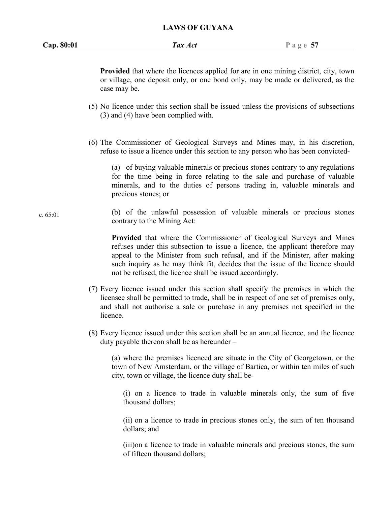| Cap. 80:01 | Tax Act                                                                                                                                                                                                                                                                                                                                                                            | Page $57$ |
|------------|------------------------------------------------------------------------------------------------------------------------------------------------------------------------------------------------------------------------------------------------------------------------------------------------------------------------------------------------------------------------------------|-----------|
|            | <b>Provided</b> that where the licences applied for are in one mining district, city, town<br>or village, one deposit only, or one bond only, may be made or delivered, as the<br>case may be.                                                                                                                                                                                     |           |
|            | (5) No licence under this section shall be issued unless the provisions of subsections<br>(3) and (4) have been complied with.                                                                                                                                                                                                                                                     |           |
|            | (6) The Commissioner of Geological Surveys and Mines may, in his discretion,<br>refuse to issue a licence under this section to any person who has been convicted-                                                                                                                                                                                                                 |           |
|            | (a) of buying valuable minerals or precious stones contrary to any regulations<br>for the time being in force relating to the sale and purchase of valuable<br>minerals, and to the duties of persons trading in, valuable minerals and<br>precious stones; or                                                                                                                     |           |
| c. 65:01   | (b) of the unlawful possession of valuable minerals or precious stones<br>contrary to the Mining Act:                                                                                                                                                                                                                                                                              |           |
|            | Provided that where the Commissioner of Geological Surveys and Mines<br>refuses under this subsection to issue a licence, the applicant therefore may<br>appeal to the Minister from such refusal, and if the Minister, after making<br>such inquiry as he may think fit, decides that the issue of the licence should<br>not be refused, the licence shall be issued accordingly. |           |
|            | (7) Every licence issued under this section shall specify the premises in which the<br>licensee shall be permitted to trade, shall be in respect of one set of premises only,<br>and shall not authorise a sale or purchase in any premises not specified in the<br>licence.                                                                                                       |           |
|            | (8) Every licence issued under this section shall be an annual licence, and the licence<br>duty payable thereon shall be as hereunder –                                                                                                                                                                                                                                            |           |

(a) where the premises licenced are situate in the City of Georgetown, or the town of New Amsterdam, or the village of Bartica, or within ten miles of such city, town or village, the licence duty shall be-

 $(i)$  on a licence to trade in valuable minerals only, the sum of five thousand dollars;

(ii) on a licence to trade in precious stones only, the sum of ten thousand dollars; and

(iii)on a licence to trade in valuable minerals and precious stones, the sum of fifteen thousand dollars;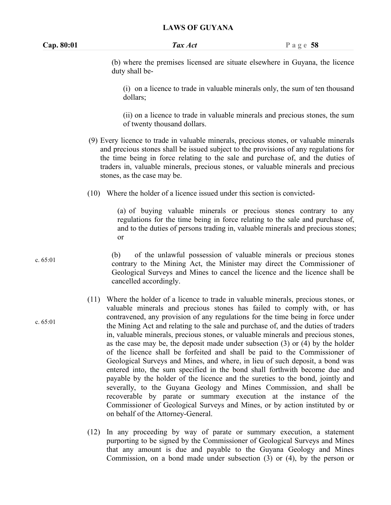(b) where the premises licensed are situate elsewhere in Guyana, the licence duty shall be-

(i) on a licence to trade in valuable minerals only, the sum of ten thousand dollars;

(ii) on a licence to trade in valuable minerals and precious stones, the sum of twenty thousand dollars.

- (9) Every licence to trade in valuable minerals, precious stones, or valuable minerals and precious stones shall be issued subject to the provisions of any regulations for the time being in force relating to the sale and purchase of, and the duties of traders in, valuable minerals, precious stones, or valuable minerals and precious stones, as the case may be.
- (10) Where the holder of a licence issued under this section is convicted-

(a) of buying valuable minerals or precious stones contrary to any regulations for the time being in force relating to the sale and purchase of, and to the duties of persons trading in, valuable minerals and precious stones; or

(b) of the unlawful possession of valuable minerals or precious stones contrary to the Mining Act, the Minister may direct the Commissioner of Geological Surveys and Mines to cancel the licence and the licence shall be cancelled accordingly.

- (11) Where the holder of a licence to trade in valuable minerals, precious stones, or valuable minerals and precious stones has failed to comply with, or has contravened, any provision of any regulations for the time being in force under the Mining Act and relating to the sale and purchase of, and the duties of traders in, valuable minerals, precious stones, or valuable minerals and precious stones, as the case may be, the deposit made under subsection  $(3)$  or  $(4)$  by the holder of the licence shall be forfeited and shall be paid to the Commissioner of Geological Surveys and Mines, and where, in lieu of such deposit, a bond was entered into, the sum specified in the bond shall forthwith become due and payable by the holder of the licence and the sureties to the bond, jointly and severally, to the Guyana Geology and Mines Commission, and shall be recoverable by parate or summary execution at the instance of the Commissioner of Geological Surveys and Mines, or by action instituted by or on behalf of the Attorney-General.
- (12) In any proceeding by way of parate or summary execution,a statement purporting to be signed by the Commissioner of Geological Surveys and Mines that any amount is due and payable to the Guyana Geology and Mines Commission, on a bond made under subsection  $(3)$  or  $(4)$ , by the person or

c. 65:01

c. 65:01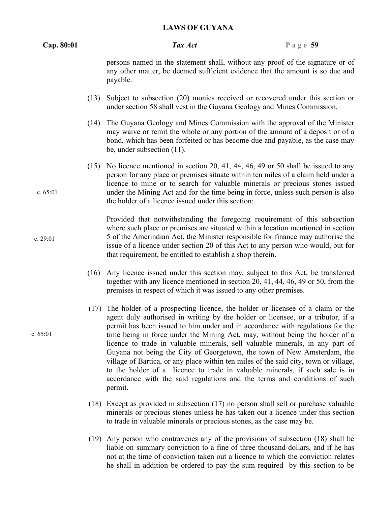| Cap. 80:01 |      | Tax Act                                                                                                                                                                                                                                                                                                                                                                                                                                                                                                                                                                                                                                                                                                                                                             | Page $59$ |
|------------|------|---------------------------------------------------------------------------------------------------------------------------------------------------------------------------------------------------------------------------------------------------------------------------------------------------------------------------------------------------------------------------------------------------------------------------------------------------------------------------------------------------------------------------------------------------------------------------------------------------------------------------------------------------------------------------------------------------------------------------------------------------------------------|-----------|
|            |      | persons named in the statement shall, without any proof of the signature or of<br>any other matter, be deemed sufficient evidence that the amount is so due and<br>payable.                                                                                                                                                                                                                                                                                                                                                                                                                                                                                                                                                                                         |           |
|            |      | (13) Subject to subsection (20) monies received or recovered under this section or<br>under section 58 shall vest in the Guyana Geology and Mines Commission.                                                                                                                                                                                                                                                                                                                                                                                                                                                                                                                                                                                                       |           |
|            | (14) | The Guyana Geology and Mines Commission with the approval of the Minister<br>may waive or remit the whole or any portion of the amount of a deposit or of a<br>bond, which has been forfeited or has become due and payable, as the case may<br>be, under subsection $(11)$ .                                                                                                                                                                                                                                                                                                                                                                                                                                                                                       |           |
| c. $65:01$ |      | $(15)$ No licence mentioned in section 20, 41, 44, 46, 49 or 50 shall be issued to any<br>person for any place or premises situate within ten miles of a claim held under a<br>licence to mine or to search for valuable minerals or precious stones issued<br>under the Mining Act and for the time being in force, unless such person is also<br>the holder of a licence issued under this section:                                                                                                                                                                                                                                                                                                                                                               |           |
| c. 29:01   |      | Provided that notwithstanding the foregoing requirement of this subsection<br>where such place or premises are situated within a location mentioned in section<br>5 of the Amerindian Act, the Minister responsible for finance may authorise the<br>issue of a licence under section 20 of this Act to any person who would, but for<br>that requirement, be entitled to establish a shop therein.                                                                                                                                                                                                                                                                                                                                                                 |           |
|            |      | (16) Any licence issued under this section may, subject to this Act, be transferred<br>together with any licence mentioned in section 20, 41, 44, 46, 49 or 50, from the<br>premises in respect of which it was issued to any other premises.                                                                                                                                                                                                                                                                                                                                                                                                                                                                                                                       |           |
| c. $65:01$ |      | (17) The holder of a prospecting licence, the holder or licensee of a claim or the<br>agent duly authorised in writing by the holder or licensee, or a tributor, if a<br>permit has been issued to him under and in accordance with regulations for the<br>time being in force under the Mining Act, may, without being the holder of a<br>licence to trade in valuable minerals, sell valuable minerals, in any part of<br>Guyana not being the City of Georgetown, the town of New Amsterdam, the<br>village of Bartica, or any place within ten miles of the said city, town or village,<br>to the holder of a licence to trade in valuable minerals, if such sale is in<br>accordance with the said regulations and the terms and conditions of such<br>permit. |           |
|            |      | (18) Except as provided in subsection (17) no person shall sell or purchase valuable<br>minerals or precious stones unless he has taken out a licence under this section<br>to trade in valuable minerals or precious stones, as the case may be.                                                                                                                                                                                                                                                                                                                                                                                                                                                                                                                   |           |
|            |      | (19) Any person who contravenes any of the provisions of subsection (18) shall be<br>liable on summary conviction to a fine of three thousand dollars, and if he has<br>not at the time of conviction taken out a licence to which the conviction relates                                                                                                                                                                                                                                                                                                                                                                                                                                                                                                           |           |

he shall in addition be ordered to pay the sum required by this section to be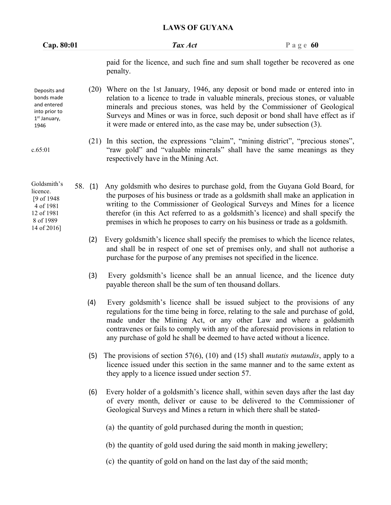| Cap. 80:01                                                                                               |                                                                                                                                                                                                                                                                                                                                                                                                                 |         | Tax Act                                                                                                                                                                                                                                                                                                                                                                                                               | Page $60$ |
|----------------------------------------------------------------------------------------------------------|-----------------------------------------------------------------------------------------------------------------------------------------------------------------------------------------------------------------------------------------------------------------------------------------------------------------------------------------------------------------------------------------------------------------|---------|-----------------------------------------------------------------------------------------------------------------------------------------------------------------------------------------------------------------------------------------------------------------------------------------------------------------------------------------------------------------------------------------------------------------------|-----------|
|                                                                                                          |                                                                                                                                                                                                                                                                                                                                                                                                                 |         | paid for the licence, and such fine and sum shall together be recovered as one<br>penalty.                                                                                                                                                                                                                                                                                                                            |           |
| Deposits and<br>bonds made<br>and entered<br>into prior to<br>1 <sup>st</sup> January,<br>1946           | (20) Where on the 1st January, 1946, any deposit or bond made or entered into in<br>relation to a licence to trade in valuable minerals, precious stones, or valuable<br>minerals and precious stones, was held by the Commissioner of Geological<br>Surveys and Mines or was in force, such deposit or bond shall have effect as if<br>it were made or entered into, as the case may be, under subsection (3). |         |                                                                                                                                                                                                                                                                                                                                                                                                                       |           |
| c.65:01                                                                                                  |                                                                                                                                                                                                                                                                                                                                                                                                                 |         | (21) In this section, the expressions "claim", "mining district", "precious stones",<br>"raw gold" and "valuable minerals" shall have the same meanings as they<br>respectively have in the Mining Act.                                                                                                                                                                                                               |           |
| Goldsmith's<br>licence.<br>$[9 \text{ of } 1948]$<br>4 of 1981<br>12 of 1981<br>8 of 1989<br>14 of 2016] |                                                                                                                                                                                                                                                                                                                                                                                                                 | 58. (1) | Any goldsmith who desires to purchase gold, from the Guyana Gold Board, for<br>the purposes of his business or trade as a goldsmith shall make an application in<br>writing to the Commissioner of Geological Surveys and Mines for a licence<br>therefor (in this Act referred to as a goldsmith's licence) and shall specify the<br>premises in which he proposes to carry on his business or trade as a goldsmith. |           |
|                                                                                                          |                                                                                                                                                                                                                                                                                                                                                                                                                 | (2)     | Every goldsmith's licence shall specify the premises to which the licence relates,<br>and shall be in respect of one set of premises only, and shall not authorise a<br>purchase for the purpose of any premises not specified in the licence.                                                                                                                                                                        |           |
|                                                                                                          |                                                                                                                                                                                                                                                                                                                                                                                                                 | (3)     | Every goldsmith's licence shall be an annual licence, and the licence duty<br>payable thereon shall be the sum of ten thousand dollars.                                                                                                                                                                                                                                                                               |           |
|                                                                                                          |                                                                                                                                                                                                                                                                                                                                                                                                                 | (4)     | Every goldsmith's licence shall be issued subject to the provisions of any<br>regulations for the time being in force, relating to the sale and purchase of gold,<br>made under the Mining Act, or any other Law and where a goldsmith<br>contravenes or fails to comply with any of the aforesaid provisions in relation to<br>any purchase of gold he shall be deemed to have acted without a licence.              |           |
|                                                                                                          |                                                                                                                                                                                                                                                                                                                                                                                                                 | (5)     | The provisions of section 57(6), (10) and (15) shall <i>mutatis mutandis</i> , apply to a<br>licence issued under this section in the same manner and to the same extent as<br>they apply to a licence issued under section 57.                                                                                                                                                                                       |           |
|                                                                                                          |                                                                                                                                                                                                                                                                                                                                                                                                                 | (6)     | Every holder of a goldsmith's licence shall, within seven days after the last day<br>of every month, deliver or cause to be delivered to the Commissioner of<br>Geological Surveys and Mines a return in which there shall be stated-                                                                                                                                                                                 |           |
|                                                                                                          |                                                                                                                                                                                                                                                                                                                                                                                                                 |         | (a) the quantity of gold purchased during the month in question;                                                                                                                                                                                                                                                                                                                                                      |           |
|                                                                                                          |                                                                                                                                                                                                                                                                                                                                                                                                                 |         | (b) the quantity of gold used during the said month in making jewellery;                                                                                                                                                                                                                                                                                                                                              |           |
|                                                                                                          |                                                                                                                                                                                                                                                                                                                                                                                                                 |         | (c) the quantity of gold on hand on the last day of the said month;                                                                                                                                                                                                                                                                                                                                                   |           |
|                                                                                                          |                                                                                                                                                                                                                                                                                                                                                                                                                 |         |                                                                                                                                                                                                                                                                                                                                                                                                                       |           |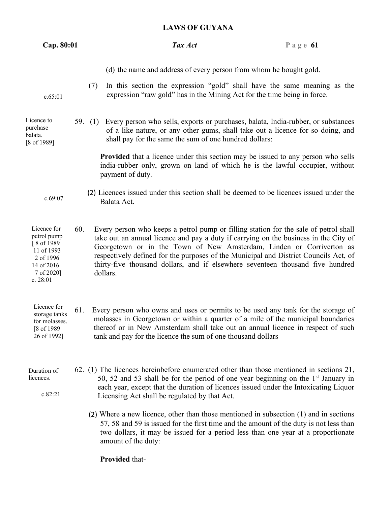| Cap. 80:01                                                                                                     |     |           | Tax Act                                                                                                                                                                                                                                                                                                                                                                                                                                    | Page $61$ |
|----------------------------------------------------------------------------------------------------------------|-----|-----------|--------------------------------------------------------------------------------------------------------------------------------------------------------------------------------------------------------------------------------------------------------------------------------------------------------------------------------------------------------------------------------------------------------------------------------------------|-----------|
|                                                                                                                |     |           | (d) the name and address of every person from whom he bought gold.                                                                                                                                                                                                                                                                                                                                                                         |           |
| c.65:01                                                                                                        |     | (7)       | In this section the expression "gold" shall have the same meaning as the<br>expression "raw gold" has in the Mining Act for the time being in force.                                                                                                                                                                                                                                                                                       |           |
| Licence to<br>purchase<br>balata.<br>[8 of 1989]                                                               |     | 59. $(1)$ | Every person who sells, exports or purchases, balata, India-rubber, or substances<br>of a like nature, or any other gums, shall take out a licence for so doing, and<br>shall pay for the same the sum of one hundred dollars:                                                                                                                                                                                                             |           |
|                                                                                                                |     |           | <b>Provided</b> that a licence under this section may be issued to any person who sells<br>india-rubber only, grown on land of which he is the lawful occupier, without<br>payment of duty.                                                                                                                                                                                                                                                |           |
| c.69:07                                                                                                        |     |           | (2) Licences issued under this section shall be deemed to be licences issued under the<br>Balata Act.                                                                                                                                                                                                                                                                                                                                      |           |
| Licence for<br>petrol pump<br>[8 of 1989]<br>11 of 1993<br>2 of 1996<br>14 of 2016<br>7 of 2020]<br>c. $28:01$ | 60. |           | Every person who keeps a petrol pump or filling station for the sale of petrol shall<br>take out an annual licence and pay a duty if carrying on the business in the City of<br>Georgetown or in the Town of New Amsterdam, Linden or Corriverton as<br>respectively defined for the purposes of the Municipal and District Councils Act, of<br>thirty-five thousand dollars, and if elsewhere seventeen thousand five hundred<br>dollars. |           |
| Licence for<br>storage tanks<br>for molasses.<br>[8 of 1989]<br>26 of 1992]                                    | 61. |           | Every person who owns and uses or permits to be used any tank for the storage of<br>molasses in Georgetown or within a quarter of a mile of the municipal boundaries<br>thereof or in New Amsterdam shall take out an annual licence in respect of such<br>tank and pay for the licence the sum of one thousand dollars                                                                                                                    |           |
| Duration of<br>licences.<br>c.82:21                                                                            |     |           | 62. (1) The licences hereinbefore enumerated other than those mentioned in sections 21,<br>50, 52 and 53 shall be for the period of one year beginning on the $1st$ January in<br>each year, except that the duration of licences issued under the Intoxicating Liquor<br>Licensing Act shall be regulated by that Act.                                                                                                                    |           |
|                                                                                                                |     |           | (2) Where a new licence, other than those mentioned in subsection (1) and in sections<br>57, 58 and 59 is issued for the first time and the amount of the duty is not less than<br>two dollars, it may be issued for a period less than one year at a proportionate<br>amount of the duty:                                                                                                                                                 |           |
|                                                                                                                |     |           | Provided that-                                                                                                                                                                                                                                                                                                                                                                                                                             |           |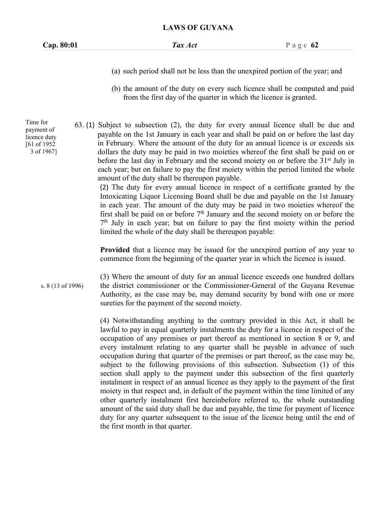| Cap. 80:01                                                           | Tax Act                                                                                                                                                                                                                                                                                                                                                                                                                                                                                                                                                                                                                                                                                                                                                                                                                                                                                                                                                                                                                                                                                                           | Page $62$ |
|----------------------------------------------------------------------|-------------------------------------------------------------------------------------------------------------------------------------------------------------------------------------------------------------------------------------------------------------------------------------------------------------------------------------------------------------------------------------------------------------------------------------------------------------------------------------------------------------------------------------------------------------------------------------------------------------------------------------------------------------------------------------------------------------------------------------------------------------------------------------------------------------------------------------------------------------------------------------------------------------------------------------------------------------------------------------------------------------------------------------------------------------------------------------------------------------------|-----------|
|                                                                      | (a) such period shall not be less than the unexpired portion of the year; and<br>(b) the amount of the duty on every such licence shall be computed and paid<br>from the first day of the quarter in which the licence is granted.                                                                                                                                                                                                                                                                                                                                                                                                                                                                                                                                                                                                                                                                                                                                                                                                                                                                                |           |
| Time for<br>payment of<br>licence duty<br>[61 of 1952]<br>3 of 1967] | 63. (1) Subject to subsection (2), the duty for every annual licence shall be due and<br>payable on the 1st January in each year and shall be paid on or before the last day<br>in February. Where the amount of the duty for an annual licence is or exceeds six<br>dollars the duty may be paid in two moieties whereof the first shall be paid on or<br>before the last day in February and the second moiety on or before the 31 <sup>st</sup> July in<br>each year; but on failure to pay the first moiety within the period limited the whole<br>amount of the duty shall be thereupon payable.<br>(2) The duty for every annual licence in respect of a certificate granted by the<br>Intoxicating Liquor Licensing Board shall be due and payable on the 1st January<br>in each year. The amount of the duty may be paid in two moieties whereof the<br>first shall be paid on or before $7th$ January and the second moiety on or before the<br>7 <sup>th</sup> July in each year; but on failure to pay the first moiety within the period<br>limited the whole of the duty shall be thereupon payable: |           |
|                                                                      | Provided that a licence may be issued for the unexpired portion of any year to<br>commence from the beginning of the quarter year in which the licence is issued.                                                                                                                                                                                                                                                                                                                                                                                                                                                                                                                                                                                                                                                                                                                                                                                                                                                                                                                                                 |           |
| s. 8 (13 of 1996)                                                    | (3) Where the amount of duty for an annual licence exceeds one hundred dollars<br>the district commissioner or the Commissioner-General of the Guyana Revenue<br>Authority, as the case may be, may demand security by bond with one or more<br>sureties for the payment of the second moiety.                                                                                                                                                                                                                                                                                                                                                                                                                                                                                                                                                                                                                                                                                                                                                                                                                    |           |
|                                                                      |                                                                                                                                                                                                                                                                                                                                                                                                                                                                                                                                                                                                                                                                                                                                                                                                                                                                                                                                                                                                                                                                                                                   |           |

(4) Notwithstanding anything to the contrary provided in this Act, it shall be lawful to pay in equal quarterly instalments the duty for a licence in respect of the occupation of any premises or part thereof as mentioned in section 8 or 9, and every instalment relating to any quarter shall be payable in advance of such occupation during that quarter of the premises or part thereof, as the case may be, subject to the following provisions of this subsection. Subsection (1) of this section shall apply to the payment under this subsection of the first quarterly instalment in respect of an annual licence as they apply to the payment of the first moiety in that respect and, in default of the payment within the time limited of any other quarterly instalment first hereinbefore referred to, the whole outstanding amount of the said duty shall be due and payable, the time for payment of licence duty for any quarter subsequent to the issue of the licence being until the end of the first month in that quarter.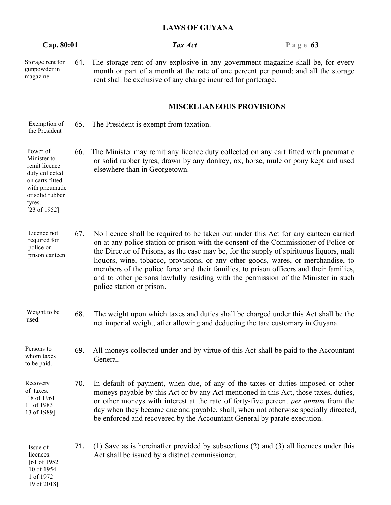| Cap. 80:01                                                                                                                                   |     | Tax Act                                                                                                                                                                                                                                                                                                                                                                                                                                                                                                                                                                  | Page $63$ |
|----------------------------------------------------------------------------------------------------------------------------------------------|-----|--------------------------------------------------------------------------------------------------------------------------------------------------------------------------------------------------------------------------------------------------------------------------------------------------------------------------------------------------------------------------------------------------------------------------------------------------------------------------------------------------------------------------------------------------------------------------|-----------|
| Storage rent for<br>gunpowder in<br>magazine.                                                                                                | 64. | The storage rent of any explosive in any government magazine shall be, for every<br>month or part of a month at the rate of one percent per pound; and all the storage<br>rent shall be exclusive of any charge incurred for porterage.                                                                                                                                                                                                                                                                                                                                  |           |
|                                                                                                                                              |     | <b>MISCELLANEOUS PROVISIONS</b>                                                                                                                                                                                                                                                                                                                                                                                                                                                                                                                                          |           |
| Exemption of<br>the President                                                                                                                | 65. | The President is exempt from taxation.                                                                                                                                                                                                                                                                                                                                                                                                                                                                                                                                   |           |
| Power of<br>Minister to<br>remit licence<br>duty collected<br>on carts fitted<br>with pneumatic<br>or solid rubber<br>tyres.<br>[23 of 1952] | 66. | The Minister may remit any licence duty collected on any cart fitted with pneumatic<br>or solid rubber tyres, drawn by any donkey, ox, horse, mule or pony kept and used<br>elsewhere than in Georgetown.                                                                                                                                                                                                                                                                                                                                                                |           |
| Licence not<br>required for<br>police or<br>prison canteen                                                                                   | 67. | No licence shall be required to be taken out under this Act for any canteen carried<br>on at any police station or prison with the consent of the Commissioner of Police or<br>the Director of Prisons, as the case may be, for the supply of spirituous liquors, malt<br>liquors, wine, tobacco, provisions, or any other goods, wares, or merchandise, to<br>members of the police force and their families, to prison officers and their families,<br>and to other persons lawfully residing with the permission of the Minister in such<br>police station or prison. |           |
| Weight to be<br>used.                                                                                                                        | 68. | The weight upon which taxes and duties shall be charged under this Act shall be the<br>net imperial weight, after allowing and deducting the tare customary in Guyana.                                                                                                                                                                                                                                                                                                                                                                                                   |           |
| Persons to<br>whom taxes<br>to be paid.                                                                                                      | 69. | All moneys collected under and by virtue of this Act shall be paid to the Accountant<br>General.                                                                                                                                                                                                                                                                                                                                                                                                                                                                         |           |
| Recovery<br>of taxes.<br>$[18$ of 1961<br>11 of 1983<br>13 of 1989]                                                                          | 70. | In default of payment, when due, of any of the taxes or duties imposed or other<br>moneys payable by this Act or by any Act mentioned in this Act, those taxes, duties,<br>or other moneys with interest at the rate of forty-five percent <i>per annum</i> from the<br>day when they became due and payable, shall, when not otherwise specially directed,<br>be enforced and recovered by the Accountant General by parate execution.                                                                                                                                  |           |
| Issue of<br>licences.<br>[61 of 1952]<br>10 of 1954<br>1 of 1972<br>19 of 2018]                                                              | 71. | (1) Save as is hereinafter provided by subsections $(2)$ and $(3)$ all licences under this<br>Act shall be issued by a district commissioner.                                                                                                                                                                                                                                                                                                                                                                                                                            |           |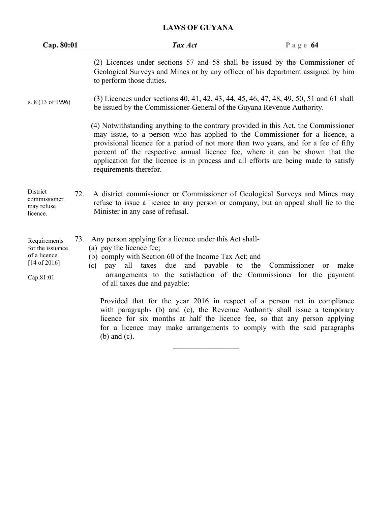| Cap. 80:01                                                                    | Tax Act                                                                                                                                                                                                                                                                                                                                                                                                                                                    | Page $64$                                             |
|-------------------------------------------------------------------------------|------------------------------------------------------------------------------------------------------------------------------------------------------------------------------------------------------------------------------------------------------------------------------------------------------------------------------------------------------------------------------------------------------------------------------------------------------------|-------------------------------------------------------|
|                                                                               | (2) Licences under sections 57 and 58 shall be issued by the Commissioner of<br>Geological Surveys and Mines or by any officer of his department assigned by him<br>to perform those duties.                                                                                                                                                                                                                                                               |                                                       |
| s. 8 (13 of 1996)                                                             | (3) Licences under sections 40, 41, 42, 43, 44, 45, 46, 47, 48, 49, 50, 51 and 61 shall<br>be issued by the Commissioner-General of the Guyana Revenue Authority.                                                                                                                                                                                                                                                                                          |                                                       |
|                                                                               | (4) Notwithstanding anything to the contrary provided in this Act, the Commissioner<br>may issue, to a person who has applied to the Commissioner for a licence, a<br>provisional licence for a period of not more than two years, and for a fee of fifty<br>percent of the respective annual licence fee, where it can be shown that the<br>application for the licence is in process and all efforts are being made to satisfy<br>requirements therefor. |                                                       |
| District<br>commissioner<br>may refuse<br>licence.                            | A district commissioner or Commissioner of Geological Surveys and Mines may<br>72.<br>refuse to issue a licence to any person or company, but an appeal shall lie to the<br>Minister in any case of refusal.                                                                                                                                                                                                                                               |                                                       |
| Requirements<br>for the issuance<br>of a licence<br>[14 of 2016]<br>Cap.81:01 | 73. Any person applying for a licence under this Act shall-<br>(a) pay the licence fee;<br>(b) comply with Section 60 of the Income Tax Act; and<br>pay<br>(c)<br>arrangements to the satisfaction of the Commissioner for the payment<br>of all taxes due and payable:                                                                                                                                                                                    | all taxes due and payable to the Commissioner or make |
|                                                                               | Provided that for the year 2016 in respect of a person not in compliance<br>with paragraphs (b) and (c), the Revenue Authority shall issue a temporary<br>licence for six months at half the licence fee, so that any person applying<br>for a licence may make arrangements to comply with the said paragraphs                                                                                                                                            |                                                       |

\_\_\_\_\_\_\_\_\_\_\_\_\_\_\_\_\_\_\_

(b) and (c).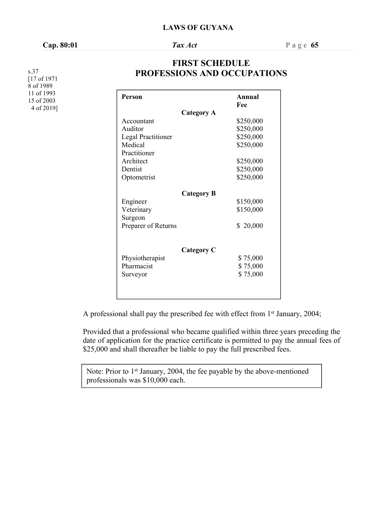### **Cap. 80:01** *Tax Act* **P a g e 65**

## **FIRST SCHEDULE PROFESSIONS AND OCCUPATIONS**

| Person                    |                   | Annual<br>Fee |
|---------------------------|-------------------|---------------|
|                           | <b>Category A</b> |               |
| Accountant                |                   | \$250,000     |
| Auditor                   |                   | \$250,000     |
| <b>Legal Practitioner</b> |                   | \$250,000     |
| Medical                   |                   | \$250,000     |
| Practitioner              |                   |               |
| Architect                 |                   | \$250,000     |
| Dentist                   |                   | \$250,000     |
| Optometrist               |                   | \$250,000     |
| Engineer                  | <b>Category B</b> | \$150,000     |
| Veterinary                |                   | \$150,000     |
| Surgeon                   |                   |               |
| Preparer of Returns       |                   | \$20,000      |
|                           | Category C        |               |
| Physiotherapist           |                   | \$75,000      |
| Pharmacist                |                   | \$75,000      |
| Surveyor                  |                   | \$75,000      |
|                           |                   |               |

A professional shall pay the prescribed fee with effect from 1 st January, 2004;

Provided that a professional who became qualified within three years preceding the date of application for the practice certificate is permitted to pay the annual fees of \$25,000 and shall thereafter be liable to pay the full prescribed fees.

Note: Prior to 1<sup>st</sup> January, 2004, the fee payable by the above-mentioned professionals was \$10,000 each.

s.37 [17 of 1971 8 of 1989 11 of 1993 15 of 2003 4 of 2019]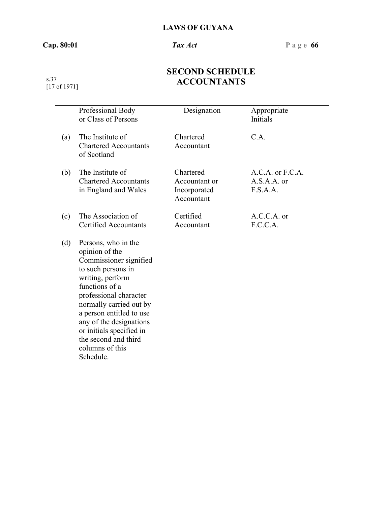# **SECOND SCHEDULE ACCOUNTANTS**

s.37 [17 of 1971]

|     | Professional Body<br>or Class of Persons                                                                                                                                                                                                                                                                                    | Designation                                              | Appropriate<br>Initials                       |
|-----|-----------------------------------------------------------------------------------------------------------------------------------------------------------------------------------------------------------------------------------------------------------------------------------------------------------------------------|----------------------------------------------------------|-----------------------------------------------|
| (a) | The Institute of<br><b>Chartered Accountants</b><br>of Scotland                                                                                                                                                                                                                                                             | Chartered<br>Accountant                                  | C.A.                                          |
| (b) | The Institute of<br><b>Chartered Accountants</b><br>in England and Wales                                                                                                                                                                                                                                                    | Chartered<br>Accountant or<br>Incorporated<br>Accountant | A.C.A. or F.C.A.<br>$A.S.A.A.$ or<br>F.S.A.A. |
| (c) | The Association of<br><b>Certified Accountants</b>                                                                                                                                                                                                                                                                          | Certified<br>Accountant                                  | $A.C.C.A.$ or<br>F.C.C.A.                     |
| (d) | Persons, who in the<br>opinion of the<br>Commissioner signified<br>to such persons in<br>writing, perform<br>functions of a<br>professional character<br>normally carried out by<br>a person entitled to use<br>any of the designations<br>or initials specified in<br>the second and third<br>columns of this<br>Schedule. |                                                          |                                               |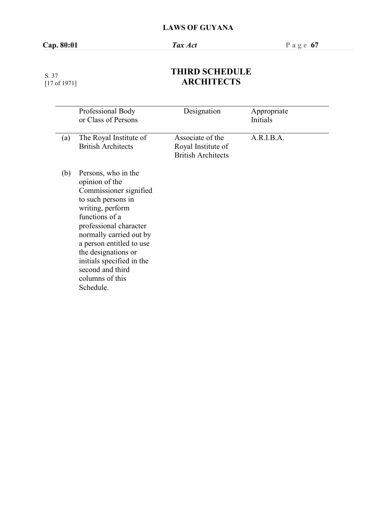#### S. 37 [17 of 1971]

# **THIRD SCHEDULE ARCHITECTS**

|     | Professional Body<br>or Class of Persons                                                                                                                                                                                                                                                                             | Designation                                                         | Appropriate<br>Initials |
|-----|----------------------------------------------------------------------------------------------------------------------------------------------------------------------------------------------------------------------------------------------------------------------------------------------------------------------|---------------------------------------------------------------------|-------------------------|
| (a) | The Royal Institute of<br><b>British Architects</b>                                                                                                                                                                                                                                                                  | Associate of the<br>Royal Institute of<br><b>British Architects</b> | A.R.I.B.A.              |
| (b) | Persons, who in the<br>opinion of the<br>Commissioner signified<br>to such persons in<br>writing, perform<br>functions of a<br>professional character<br>normally carried out by<br>a person entitled to use<br>the designations or<br>initials specified in the<br>second and third<br>columns of this<br>Schedule. |                                                                     |                         |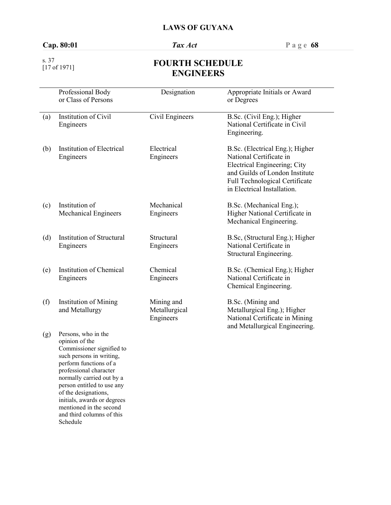## **Cap. 80:01** *Tax Act* **P a g e 68**

#### s. 37 [17 of 1971]

## **FOURTH SCHEDULE ENGINEERS**

|     | Professional Body<br>or Class of Persons                                                                                                                                                                                                                                                                                                 | Designation                              | Appropriate Initials or Award<br>or Degrees                                                                                                                                                   |
|-----|------------------------------------------------------------------------------------------------------------------------------------------------------------------------------------------------------------------------------------------------------------------------------------------------------------------------------------------|------------------------------------------|-----------------------------------------------------------------------------------------------------------------------------------------------------------------------------------------------|
| (a) | Institution of Civil<br>Engineers                                                                                                                                                                                                                                                                                                        | Civil Engineers                          | B.Sc. (Civil Eng.); Higher<br>National Certificate in Civil<br>Engineering.                                                                                                                   |
| (b) | Institution of Electrical<br>Engineers                                                                                                                                                                                                                                                                                                   | Electrical<br>Engineers                  | B.Sc. (Electrical Eng.); Higher<br>National Certificate in<br>Electrical Engineering; City<br>and Guilds of London Institute<br>Full Technological Certificate<br>in Electrical Installation. |
| (c) | Institution of<br><b>Mechanical Engineers</b>                                                                                                                                                                                                                                                                                            | Mechanical<br>Engineers                  | B.Sc. (Mechanical Eng.);<br>Higher National Certificate in<br>Mechanical Engineering.                                                                                                         |
| (d) | Institution of Structural<br>Engineers                                                                                                                                                                                                                                                                                                   | Structural<br>Engineers                  | B.Sc, (Structural Eng.); Higher<br>National Certificate in<br>Structural Engineering.                                                                                                         |
| (e) | Institution of Chemical<br>Engineers                                                                                                                                                                                                                                                                                                     | Chemical<br>Engineers                    | B.Sc. (Chemical Eng.); Higher<br>National Certificate in<br>Chemical Engineering.                                                                                                             |
| (f) | <b>Institution of Mining</b><br>and Metallurgy                                                                                                                                                                                                                                                                                           | Mining and<br>Metallurgical<br>Engineers | B.Sc. (Mining and<br>Metallurgical Eng.); Higher<br>National Certificate in Mining<br>and Metallurgical Engineering.                                                                          |
| (g) | Persons, who in the<br>opinion of the<br>Commissioner signified to<br>such persons in writing,<br>perform functions of a<br>professional character<br>normally carried out by a<br>person entitled to use any<br>of the designations,<br>initials, awards or degrees<br>mentioned in the second<br>and third columns of this<br>Schedule |                                          |                                                                                                                                                                                               |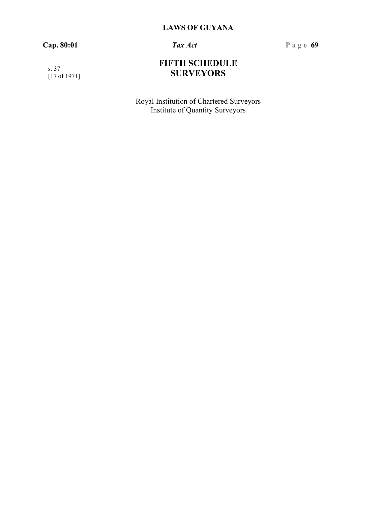## **Cap. 80:01** *Tax Act* **P a g e 69**

#### s. 37 [17 of 1971]

## **FIFTH SCHEDULE SURVEYORS**

Royal Institution of Chartered Surveyors Institute of Quantity Surveyors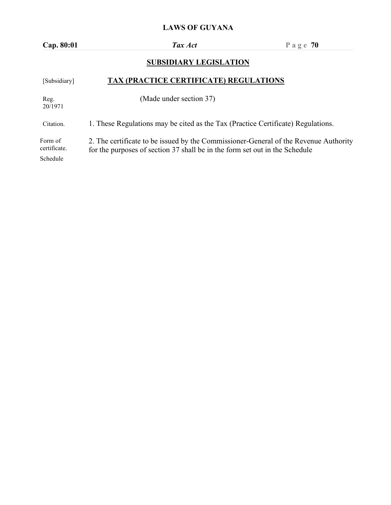**Cap. 80:01** *Tax Act* **P a g e 70**

# **SUBSIDIARY LEGISLATION**

| <b>TAX (PRACTICE CERTIFICATE) REGULATIONS</b>                                                                                                                       |
|---------------------------------------------------------------------------------------------------------------------------------------------------------------------|
| (Made under section 37)                                                                                                                                             |
| 1. These Regulations may be cited as the Tax (Practice Certificate) Regulations.                                                                                    |
| 2. The certificate to be issued by the Commissioner-General of the Revenue Authority<br>for the purposes of section 37 shall be in the form set out in the Schedule |
|                                                                                                                                                                     |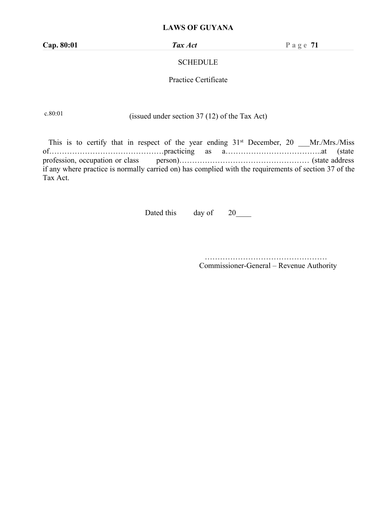**Cap. 80:01** *Tax Act* **P a g e 71**

## **SCHEDULE**

#### Practice Certificate

c.80:01

(issued under section  $37(12)$  of the Tax Act)

This is to certify that in respect of the year ending  $31<sup>st</sup>$  December, 20  $\blacksquare$  Mr./Mrs./Miss of………………………………………practicing as a………………………………..at (state profession, occupation or class person)…………………………………………… (state address if any where practice is normally carried on) has complied with the requirements of section 37 of the Tax Act.

Dated this day of 20

………………………………………… Commissioner-General – Revenue Authority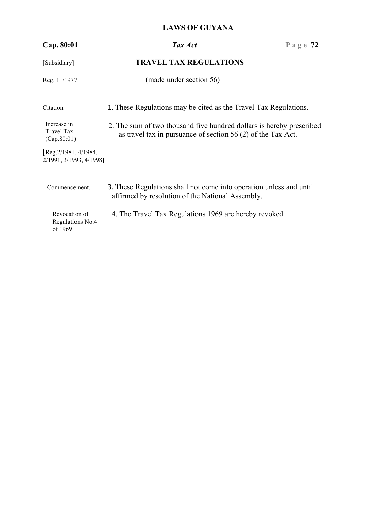## **LAWS OF GUYANA**

| Cap. 80:01                                                                      | Tax Act                                                                                                                               | Page $72$ |
|---------------------------------------------------------------------------------|---------------------------------------------------------------------------------------------------------------------------------------|-----------|
| [Subsidiary]                                                                    | <b>TRAVEL TAX REGULATIONS</b>                                                                                                         |           |
| Reg. 11/1977                                                                    | (made under section 56)                                                                                                               |           |
| Citation.                                                                       | 1. These Regulations may be cited as the Travel Tax Regulations.                                                                      |           |
| Increase in<br>Travel Tax<br>(Cap.80:01)                                        | 2. The sum of two thousand five hundred dollars is hereby prescribed<br>as travel tax in pursuance of section $56(2)$ of the Tax Act. |           |
| $\lceil \text{Reg.} \frac{2}{1981} \rceil$ , 4/1984,<br>2/1991, 3/1993, 4/1998] |                                                                                                                                       |           |
| Commencement.                                                                   | 3. These Regulations shall not come into operation unless and until<br>affirmed by resolution of the National Assembly.               |           |
| Revocation of<br>Regulations No.4<br>of 1969                                    | 4. The Travel Tax Regulations 1969 are hereby revoked.                                                                                |           |